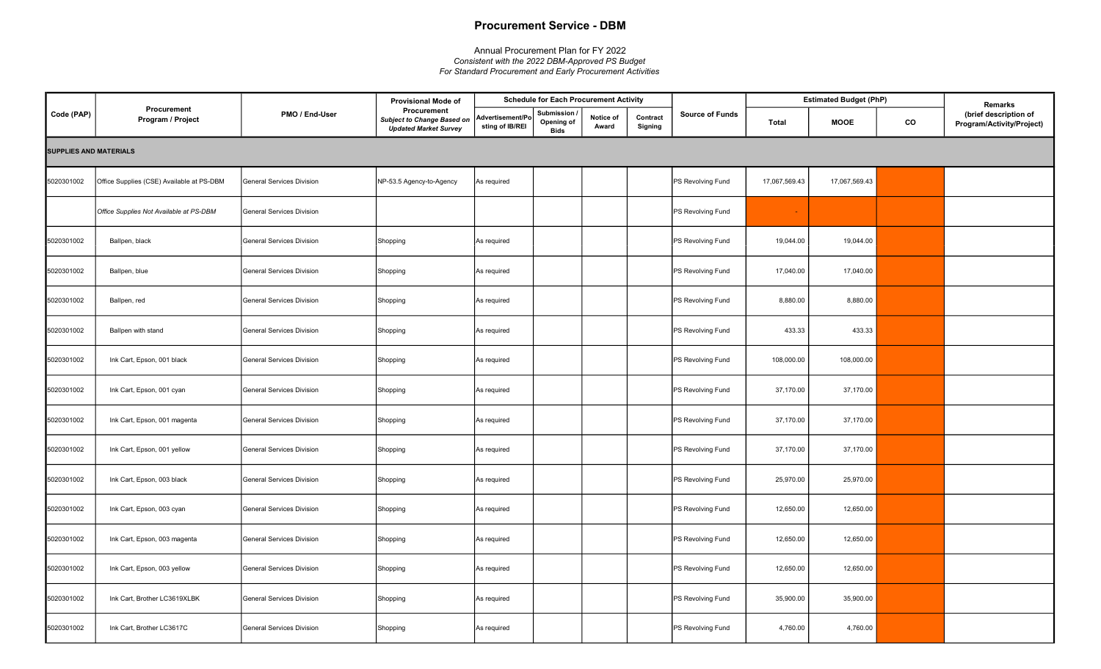## Procurement Service - DBM

## Annual Procurement Plan for FY 2022 Consistent with the 2022 DBM-Approved PS Budget For Standard Procurement and Early Procurement Activities

|                               |                                           |                                  | <b>Provisional Mode of</b>                                                       |                                    | <b>Schedule for Each Procurement Activity</b> |                    |                     |                        |               | <b>Estimated Budget (PhP)</b> |    | Remarks                                            |
|-------------------------------|-------------------------------------------|----------------------------------|----------------------------------------------------------------------------------|------------------------------------|-----------------------------------------------|--------------------|---------------------|------------------------|---------------|-------------------------------|----|----------------------------------------------------|
| Code (PAP)                    | Procurement<br>Program / Project          | PMO / End-User                   | Procurement<br><b>Subject to Change Based on</b><br><b>Updated Market Survey</b> | Advertisement/P<br>sting of IB/REI | Submission<br>Opening of<br><b>Bids</b>       | Notice of<br>Award | Contract<br>Signing | <b>Source of Funds</b> | Total         | MOOE                          | CO | (brief description of<br>Program/Activity/Project) |
| <b>SUPPLIES AND MATERIALS</b> |                                           |                                  |                                                                                  |                                    |                                               |                    |                     |                        |               |                               |    |                                                    |
| 5020301002                    | Office Supplies (CSE) Available at PS-DBM | <b>General Services Division</b> | NP-53.5 Agency-to-Agency                                                         | As required                        |                                               |                    |                     | PS Revolving Fund      | 17,067,569.43 | 17,067,569.43                 |    |                                                    |
|                               | Office Supplies Not Available at PS-DBM   | <b>General Services Division</b> |                                                                                  |                                    |                                               |                    |                     | PS Revolving Fund      |               |                               |    |                                                    |
| 5020301002                    | Ballpen, black                            | General Services Division        | Shopping                                                                         | As required                        |                                               |                    |                     | PS Revolving Fund      | 19,044.00     | 19,044.00                     |    |                                                    |
| 5020301002                    | Ballpen, blue                             | General Services Division        | Shopping                                                                         | As required                        |                                               |                    |                     | PS Revolving Fund      | 17,040.00     | 17,040.00                     |    |                                                    |
| 5020301002                    | Ballpen, red                              | General Services Division        | Shopping                                                                         | As required                        |                                               |                    |                     | PS Revolving Fund      | 8,880.00      | 8,880.00                      |    |                                                    |
| 5020301002                    | Ballpen with stand                        | <b>General Services Division</b> | Shopping                                                                         | As required                        |                                               |                    |                     | PS Revolving Fund      | 433.33        | 433.33                        |    |                                                    |
| 5020301002                    | Ink Cart, Epson, 001 black                | General Services Division        | Shopping                                                                         | As required                        |                                               |                    |                     | PS Revolving Fund      | 108,000.00    | 108,000.00                    |    |                                                    |
| 5020301002                    | Ink Cart, Epson, 001 cyan                 | <b>General Services Division</b> | Shopping                                                                         | As required                        |                                               |                    |                     | PS Revolving Fund      | 37,170.00     | 37,170.00                     |    |                                                    |
| 5020301002                    | Ink Cart, Epson, 001 magenta              | <b>General Services Division</b> | Shopping                                                                         | As required                        |                                               |                    |                     | PS Revolving Fund      | 37,170.00     | 37,170.00                     |    |                                                    |
| 5020301002                    | Ink Cart, Epson, 001 yellow               | General Services Division        | Shopping                                                                         | As required                        |                                               |                    |                     | PS Revolving Fund      | 37,170.00     | 37,170.00                     |    |                                                    |
| 5020301002                    | Ink Cart, Epson, 003 black                | <b>General Services Division</b> | Shopping                                                                         | As required                        |                                               |                    |                     | PS Revolving Fund      | 25,970.00     | 25,970.00                     |    |                                                    |
| 5020301002                    | Ink Cart, Epson, 003 cyan                 | <b>General Services Division</b> | Shopping                                                                         | As required                        |                                               |                    |                     | PS Revolving Fund      | 12,650.00     | 12,650.00                     |    |                                                    |
| 5020301002                    | Ink Cart, Epson, 003 magenta              | <b>General Services Division</b> | Shopping                                                                         | As required                        |                                               |                    |                     | PS Revolving Fund      | 12,650.00     | 12,650.00                     |    |                                                    |
| 5020301002                    | Ink Cart, Epson, 003 yellow               | <b>General Services Division</b> | Shopping                                                                         | As required                        |                                               |                    |                     | PS Revolving Fund      | 12,650.00     | 12,650.00                     |    |                                                    |
| 5020301002                    | Ink Cart, Brother LC3619XLBK              | <b>General Services Division</b> | Shopping                                                                         | As required                        |                                               |                    |                     | PS Revolving Fund      | 35,900.00     | 35,900.00                     |    |                                                    |
| 5020301002                    | Ink Cart, Brother LC3617C                 | <b>General Services Division</b> | Shopping                                                                         | As required                        |                                               |                    |                     | PS Revolving Fund      | 4,760.00      | 4,760.00                      |    |                                                    |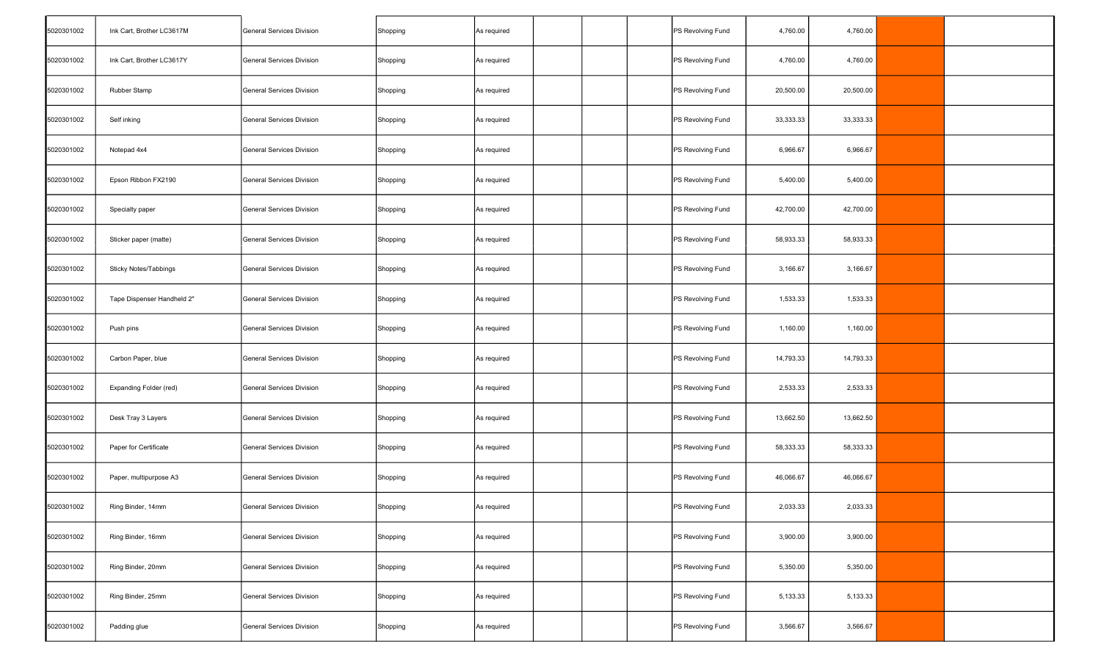| 5020301002 | Ink Cart, Brother LC3617M  | General Services Division        | Shopping | As required |  | PS Revolving Fund | 4,760.00  | 4,760.00  |  |
|------------|----------------------------|----------------------------------|----------|-------------|--|-------------------|-----------|-----------|--|
| 5020301002 | Ink Cart, Brother LC3617Y  | General Services Division        | Shopping | As required |  | PS Revolving Fund | 4,760.00  | 4,760.00  |  |
| 5020301002 | Rubber Stamp               | <b>General Services Division</b> | Shopping | As required |  | PS Revolving Fund | 20,500.00 | 20,500.00 |  |
| 5020301002 | Self inking                | General Services Division        | Shopping | As required |  | PS Revolving Fund | 33,333.33 | 33,333.33 |  |
| 5020301002 | Notepad 4x4                | General Services Division        | Shopping | As required |  | PS Revolving Fund | 6,966.67  | 6,966.67  |  |
| 5020301002 | Epson Ribbon FX2190        | General Services Division        | Shopping | As required |  | PS Revolving Fund | 5,400.00  | 5,400.00  |  |
| 5020301002 | Specialty paper            | General Services Division        | Shopping | As required |  | PS Revolving Fund | 42,700.00 | 42,700.00 |  |
| 5020301002 | Sticker paper (matte)      | General Services Division        | Shopping | As required |  | PS Revolving Fund | 58,933.33 | 58,933.33 |  |
| 5020301002 | Sticky Notes/Tabbings      | General Services Division        | Shopping | As required |  | PS Revolving Fund | 3,166.67  | 3,166.67  |  |
| 5020301002 | Tape Dispenser Handheld 2" | General Services Division        | Shopping | As required |  | PS Revolving Fund | 1,533.33  | 1,533.33  |  |
| 5020301002 | Push pins                  | General Services Division        | Shopping | As required |  | PS Revolving Fund | 1,160.00  | 1,160.00  |  |
| 5020301002 | Carbon Paper, blue         | General Services Division        | Shopping | As required |  | PS Revolving Fund | 14,793.33 | 14,793.33 |  |
| 5020301002 | Expanding Folder (red)     | General Services Division        | Shopping | As required |  | PS Revolving Fund | 2,533.33  | 2,533.33  |  |
| 5020301002 | Desk Tray 3 Layers         | General Services Division        | Shopping | As required |  | PS Revolving Fund | 13,662.50 | 13,662.50 |  |
| 5020301002 | Paper for Certificate      | General Services Division        | Shopping | As required |  | PS Revolving Fund | 58,333.33 | 58,333.33 |  |
| 5020301002 | Paper, multipurpose A3     | General Services Division        | Shopping | As required |  | PS Revolving Fund | 46,066.67 | 46,066.67 |  |
| 5020301002 | Ring Binder, 14mm          | General Services Division        | Shopping | As required |  | PS Revolving Fund | 2,033.33  | 2,033.33  |  |
| 5020301002 | Ring Binder, 16mm          | General Services Division        | Shopping | As required |  | PS Revolving Fund | 3,900.00  | 3,900.00  |  |
| 5020301002 | Ring Binder, 20mm          | General Services Division        | Shopping | As required |  | PS Revolving Fund | 5,350.00  | 5,350.00  |  |
| 5020301002 | Ring Binder, 25mm          | General Services Division        | Shopping | As required |  | PS Revolving Fund | 5,133.33  | 5,133.33  |  |
| 5020301002 | Padding glue               | General Services Division        | Shopping | As required |  | PS Revolving Fund | 3,566.67  | 3,566.67  |  |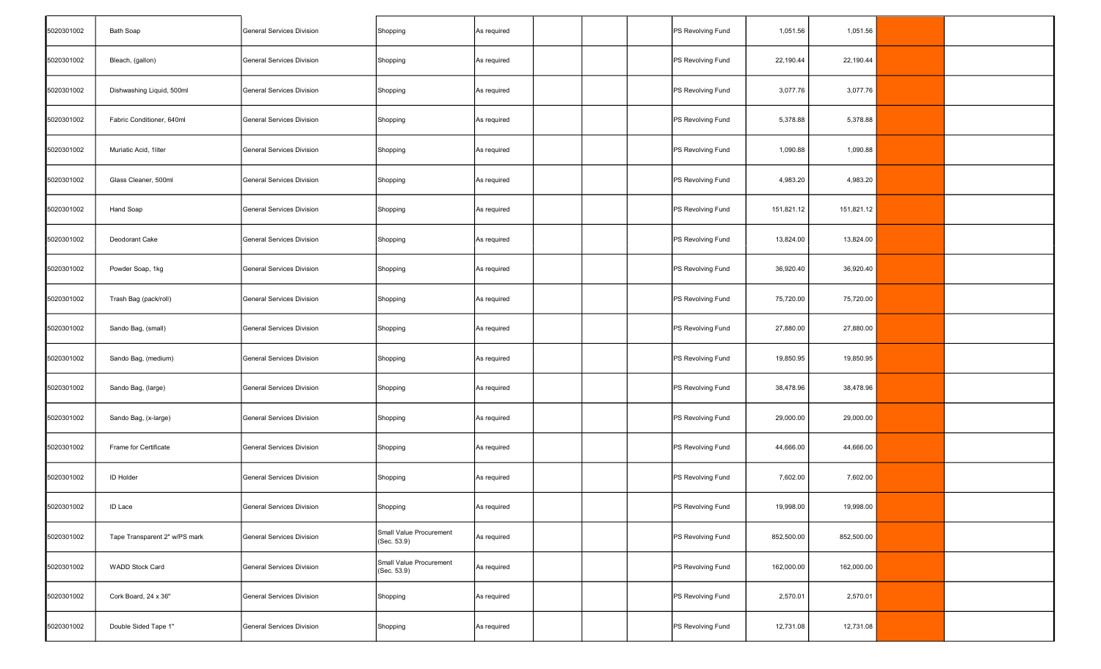| 5020301002 | <b>Bath Soap</b>              | General Services Division | Shopping                               | As required |  | PS Revolving Fund | 1,051.56   | 1,051.56   |  |
|------------|-------------------------------|---------------------------|----------------------------------------|-------------|--|-------------------|------------|------------|--|
| 5020301002 | Bleach, (gallon)              | General Services Division | Shopping                               | As required |  | PS Revolving Fund | 22,190.44  | 22,190.44  |  |
| 5020301002 | Dishwashing Liquid, 500ml     | General Services Division | Shopping                               | As required |  | PS Revolving Fund | 3,077.76   | 3,077.76   |  |
| 5020301002 | Fabric Conditioner, 640ml     | General Services Division | Shopping                               | As required |  | PS Revolving Fund | 5,378.88   | 5,378.88   |  |
| 5020301002 | Muriatic Acid, 1liter         | General Services Division | Shopping                               | As required |  | PS Revolving Fund | 1,090.88   | 1,090.88   |  |
| 5020301002 | Glass Cleaner, 500ml          | General Services Division | Shopping                               | As required |  | PS Revolving Fund | 4,983.20   | 4,983.20   |  |
| 5020301002 | Hand Soap                     | General Services Division | Shopping                               | As required |  | PS Revolving Fund | 151,821.12 | 151,821.12 |  |
| 5020301002 | Deodorant Cake                | General Services Division | Shopping                               | As required |  | PS Revolving Fund | 13,824.00  | 13,824.00  |  |
| 5020301002 | Powder Soap, 1kg              | General Services Division | Shopping                               | As required |  | PS Revolving Fund | 36,920.40  | 36,920.40  |  |
| 5020301002 | Trash Bag (pack/roll)         | General Services Division | Shopping                               | As required |  | PS Revolving Fund | 75,720.00  | 75,720.00  |  |
| 5020301002 | Sando Bag, (small)            | General Services Division | Shopping                               | As required |  | PS Revolving Fund | 27,880.00  | 27,880.00  |  |
| 5020301002 | Sando Bag, (medium)           | General Services Division | Shopping                               | As required |  | PS Revolving Fund | 19,850.95  | 19,850.95  |  |
| 5020301002 | Sando Bag, (large)            | General Services Division | Shopping                               | As required |  | PS Revolving Fund | 38,478.96  | 38,478.96  |  |
| 5020301002 | Sando Bag, (x-large)          | General Services Division | Shopping                               | As required |  | PS Revolving Fund | 29,000.00  | 29,000.00  |  |
| 5020301002 | Frame for Certificate         | General Services Division | Shopping                               | As required |  | PS Revolving Fund | 44,666.00  | 44,666.00  |  |
| 5020301002 | <b>ID Holder</b>              | General Services Division | Shopping                               | As required |  | PS Revolving Fund | 7,602.00   | 7,602.00   |  |
| 5020301002 | <b>ID Lace</b>                | General Services Division | Shopping                               | As required |  | PS Revolving Fund | 19,998.00  | 19,998.00  |  |
| 5020301002 | Tape Transparent 2" w/PS mark | General Services Division | Small Value Procurement<br>(Sec. 53.9) | As required |  | PS Revolving Fund | 852,500.00 | 852,500.00 |  |
| 5020301002 | <b>WADD Stock Card</b>        | General Services Division | Small Value Procurement<br>(Sec. 53.9) | As required |  | PS Revolving Fund | 162,000.00 | 162,000.00 |  |
| 5020301002 | Cork Board, 24 x 36"          | General Services Division | Shopping                               | As required |  | PS Revolving Fund | 2,570.01   | 2,570.01   |  |
| 5020301002 | Double Sided Tape 1"          | General Services Division | Shopping                               | As required |  | PS Revolving Fund | 12,731.08  | 12,731.08  |  |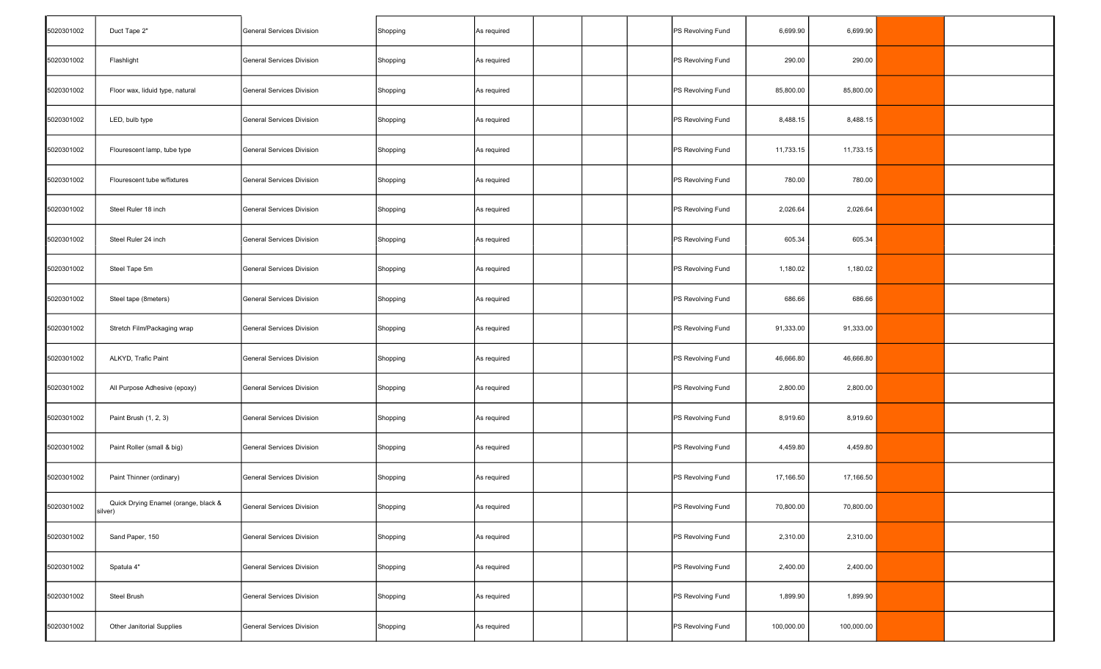| 5020301002 | Duct Tape 2"                                    | General Services Division | Shopping | As required |  | PS Revolving Fund | 6,699.90   | 6,699.90   |  |
|------------|-------------------------------------------------|---------------------------|----------|-------------|--|-------------------|------------|------------|--|
| 5020301002 | Flashlight                                      | General Services Division | Shopping | As required |  | PS Revolving Fund | 290.00     | 290.00     |  |
| 5020301002 | Floor wax, liduid type, natural                 | General Services Division | Shopping | As required |  | PS Revolving Fund | 85,800.00  | 85,800.00  |  |
| 5020301002 | LED, bulb type                                  | General Services Division | Shopping | As required |  | PS Revolving Fund | 8,488.15   | 8,488.15   |  |
| 5020301002 | Flourescent lamp, tube type                     | General Services Division | Shopping | As required |  | PS Revolving Fund | 11,733.15  | 11,733.15  |  |
| 5020301002 | Flourescent tube w/fixtures                     | General Services Division | Shopping | As required |  | PS Revolving Fund | 780.00     | 780.00     |  |
| 5020301002 | Steel Ruler 18 inch                             | General Services Division | Shopping | As required |  | PS Revolving Fund | 2,026.64   | 2,026.64   |  |
| 5020301002 | Steel Ruler 24 inch                             | General Services Division | Shopping | As required |  | PS Revolving Fund | 605.34     | 605.34     |  |
| 5020301002 | Steel Tape 5m                                   | General Services Division | Shopping | As required |  | PS Revolving Fund | 1,180.02   | 1,180.02   |  |
| 5020301002 | Steel tape (8meters)                            | General Services Division | Shopping | As required |  | PS Revolving Fund | 686.66     | 686.66     |  |
| 5020301002 | Stretch Film/Packaging wrap                     | General Services Division | Shopping | As required |  | PS Revolving Fund | 91,333.00  | 91,333.00  |  |
| 5020301002 | ALKYD, Trafic Paint                             | General Services Division | Shopping | As required |  | PS Revolving Fund | 46,666.80  | 46,666.80  |  |
| 5020301002 | All Purpose Adhesive (epoxy)                    | General Services Division | Shopping | As required |  | PS Revolving Fund | 2,800.00   | 2,800.00   |  |
| 5020301002 | Paint Brush (1, 2, 3)                           | General Services Division | Shopping | As required |  | PS Revolving Fund | 8,919.60   | 8,919.60   |  |
| 5020301002 | Paint Roller (small & big)                      | General Services Division | Shopping | As required |  | PS Revolving Fund | 4,459.80   | 4,459.80   |  |
| 5020301002 | Paint Thinner (ordinary)                        | General Services Division | Shopping | As required |  | PS Revolving Fund | 17,166.50  | 17,166.50  |  |
| 5020301002 | Quick Drying Enamel (orange, black &<br>silver) | General Services Division | Shopping | As required |  | PS Revolving Fund | 70,800.00  | 70,800.00  |  |
| 5020301002 | Sand Paper, 150                                 | General Services Division | Shopping | As required |  | PS Revolving Fund | 2,310.00   | 2,310.00   |  |
| 5020301002 | Spatula 4"                                      | General Services Division | Shopping | As required |  | PS Revolving Fund | 2,400.00   | 2,400.00   |  |
| 5020301002 | Steel Brush                                     | General Services Division | Shopping | As required |  | PS Revolving Fund | 1,899.90   | 1,899.90   |  |
| 5020301002 | Other Janitorial Supplies                       | General Services Division | Shopping | As required |  | PS Revolving Fund | 100,000.00 | 100,000.00 |  |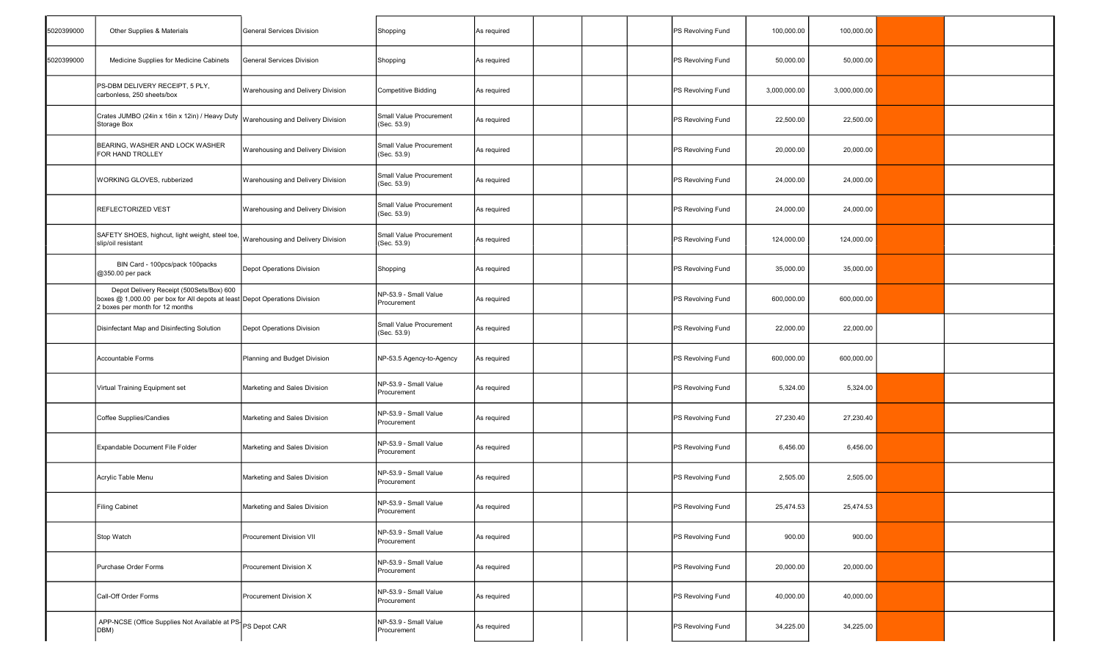| 5020399000 | Other Supplies & Materials                                                                                                                                | <b>General Services Division</b>  | Shopping                               | As required | PS Revolving Fund | 100,000.00   | 100,000.00   |  |
|------------|-----------------------------------------------------------------------------------------------------------------------------------------------------------|-----------------------------------|----------------------------------------|-------------|-------------------|--------------|--------------|--|
| 5020399000 | Medicine Supplies for Medicine Cabinets                                                                                                                   | General Services Division         | Shopping                               | As required | PS Revolving Fund | 50,000.00    | 50,000.00    |  |
|            | PS-DBM DELIVERY RECEIPT, 5 PLY,<br>carbonless, 250 sheets/box                                                                                             | Warehousing and Delivery Division | Competitive Bidding                    | As required | PS Revolving Fund | 3,000,000.00 | 3,000,000.00 |  |
|            | Crates JUMBO (24in x 16in x 12in) / Heavy Duty<br>Storage Box                                                                                             | Warehousing and Delivery Division | Small Value Procurement<br>(Sec. 53.9) | As required | PS Revolving Fund | 22,500.00    | 22,500.00    |  |
|            | BEARING, WASHER AND LOCK WASHER<br>FOR HAND TROLLEY                                                                                                       | Warehousing and Delivery Division | Small Value Procurement<br>(Sec. 53.9) | As required | PS Revolving Fund | 20,000.00    | 20,000.00    |  |
|            | WORKING GLOVES, rubberized                                                                                                                                | Warehousing and Delivery Division | Small Value Procurement<br>(Sec. 53.9) | As required | PS Revolving Fund | 24,000.00    | 24,000.00    |  |
|            | REFLECTORIZED VEST                                                                                                                                        | Warehousing and Delivery Division | Small Value Procurement<br>(Sec. 53.9) | As required | PS Revolving Fund | 24,000.00    | 24,000.00    |  |
|            | SAFETY SHOES, highcut, light weight, steel toe,<br>slip/oil resistant                                                                                     | Warehousing and Delivery Division | Small Value Procurement<br>(Sec. 53.9) | As required | PS Revolving Fund | 124,000.00   | 124,000.00   |  |
|            | BIN Card - 100pcs/pack 100packs<br>@350.00 per pack                                                                                                       | Depot Operations Division         | Shopping                               | As required | PS Revolving Fund | 35,000.00    | 35,000.00    |  |
|            | Depot Delivery Receipt (500Sets/Box) 600<br>boxes @ 1,000.00 per box for All depots at least Depot Operations Division<br>2 boxes per month for 12 months |                                   | NP-53.9 - Small Value<br>Procurement   | As required | PS Revolving Fund | 600,000.00   | 600,000.00   |  |
|            | Disinfectant Map and Disinfecting Solution                                                                                                                | Depot Operations Division         | Small Value Procurement<br>(Sec. 53.9) | As required | PS Revolving Fund | 22,000.00    | 22,000.00    |  |
|            | Accountable Forms                                                                                                                                         | Planning and Budget Division      | NP-53.5 Agency-to-Agency               | As required | PS Revolving Fund | 600,000.00   | 600,000.00   |  |
|            | Virtual Training Equipment set                                                                                                                            | Marketing and Sales Division      | NP-53.9 - Small Value<br>Procurement   | As required | PS Revolving Fund | 5,324.00     | 5,324.00     |  |
|            | Coffee Supplies/Candies                                                                                                                                   | Marketing and Sales Division      | NP-53.9 - Small Value<br>Procurement   | As required | PS Revolving Fund | 27,230.40    | 27,230.40    |  |
|            | Expandable Document File Folder                                                                                                                           | Marketing and Sales Division      | NP-53.9 - Small Value<br>Procurement   | As required | PS Revolving Fund | 6,456.00     | 6,456.00     |  |
|            | Acrylic Table Menu                                                                                                                                        | Marketing and Sales Division      | NP-53.9 - Small Value<br>Procurement   | As required | PS Revolving Fund | 2,505.00     | 2,505.00     |  |
|            | <b>Filing Cabinet</b>                                                                                                                                     | Marketing and Sales Division      | NP-53.9 - Small Value<br>Procurement   | As required | PS Revolving Fund | 25,474.53    | 25,474.53    |  |
|            | Stop Watch                                                                                                                                                | Procurement Division VII          | NP-53.9 - Small Value<br>Procurement   | As required | PS Revolving Fund | 900.00       | 900.00       |  |
|            | Purchase Order Forms                                                                                                                                      | Procurement Division X            | NP-53.9 - Small Value<br>Procurement   | As required | PS Revolving Fund | 20,000.00    | 20,000.00    |  |
|            | Call-Off Order Forms                                                                                                                                      | Procurement Division X            | NP-53.9 - Small Value<br>Procurement   | As required | PS Revolving Fund | 40,000.00    | 40,000.00    |  |
|            | APP-NCSE (Office Supplies Not Available at PS PS Depot CAR<br>DBM)                                                                                        |                                   | NP-53.9 - Small Value<br>Procurement   | As required | PS Revolving Fund | 34,225.00    | 34,225.00    |  |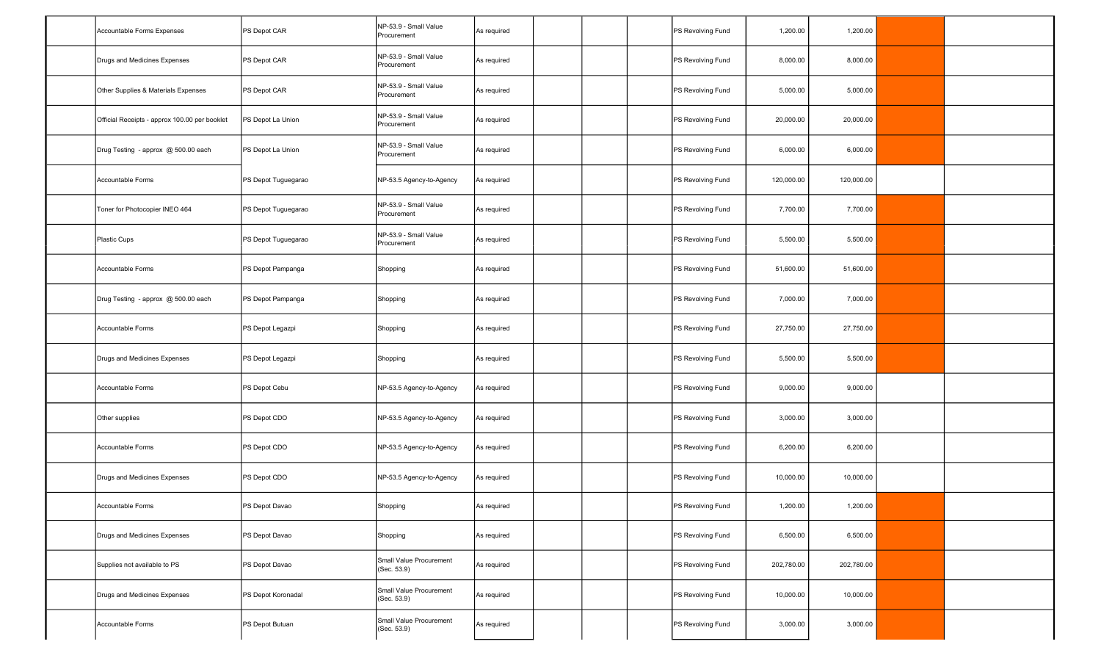| Accountable Forms Expenses                    | PS Depot CAR        | NP-53.9 - Small Value<br>Procurement   | As required |  | PS Revolving Fund | 1,200.00   | 1,200.00   |  |
|-----------------------------------------------|---------------------|----------------------------------------|-------------|--|-------------------|------------|------------|--|
| Drugs and Medicines Expenses                  | PS Depot CAR        | NP-53.9 - Small Value<br>Procurement   | As required |  | PS Revolving Fund | 8,000.00   | 8,000.00   |  |
| Other Supplies & Materials Expenses           | PS Depot CAR        | NP-53.9 - Small Value<br>Procurement   | As required |  | PS Revolving Fund | 5,000.00   | 5,000.00   |  |
| Official Receipts - approx 100.00 per booklet | PS Depot La Union   | NP-53.9 - Small Value<br>Procurement   | As required |  | PS Revolving Fund | 20,000.00  | 20,000.00  |  |
| Drug Testing - approx @ 500.00 each           | PS Depot La Union   | NP-53.9 - Small Value<br>Procurement   | As required |  | PS Revolving Fund | 6,000.00   | 6,000.00   |  |
| Accountable Forms                             | PS Depot Tuguegarao | NP-53.5 Agency-to-Agency               | As required |  | PS Revolving Fund | 120,000.00 | 120,000.00 |  |
| Toner for Photocopier INEO 464                | PS Depot Tuguegarao | NP-53.9 - Small Value<br>Procurement   | As required |  | PS Revolving Fund | 7,700.00   | 7,700.00   |  |
| Plastic Cups                                  | PS Depot Tuguegarao | NP-53.9 - Small Value<br>Procurement   | As required |  | PS Revolving Fund | 5,500.00   | 5,500.00   |  |
| Accountable Forms                             | PS Depot Pampanga   | Shopping                               | As required |  | PS Revolving Fund | 51,600.00  | 51,600.00  |  |
| Drug Testing - approx @ 500.00 each           | PS Depot Pampanga   | Shopping                               | As required |  | PS Revolving Fund | 7,000.00   | 7,000.00   |  |
| Accountable Forms                             | PS Depot Legazpi    | Shopping                               | As required |  | PS Revolving Fund | 27,750.00  | 27,750.00  |  |
| Drugs and Medicines Expenses                  | PS Depot Legazpi    | Shopping                               | As required |  | PS Revolving Fund | 5,500.00   | 5,500.00   |  |
| Accountable Forms                             | PS Depot Cebu       | NP-53.5 Agency-to-Agency               | As required |  | PS Revolving Fund | 9,000.00   | 9,000.00   |  |
| Other supplies                                | PS Depot CDO        | NP-53.5 Agency-to-Agency               | As required |  | PS Revolving Fund | 3,000.00   | 3,000.00   |  |
| Accountable Forms                             | PS Depot CDO        | NP-53.5 Agency-to-Agency               | As required |  | PS Revolving Fund | 6,200.00   | 6,200.00   |  |
| Drugs and Medicines Expenses                  | PS Depot CDO        | NP-53.5 Agency-to-Agency               | As required |  | PS Revolving Fund | 10,000.00  | 10,000.00  |  |
| Accountable Forms                             | PS Depot Davao      | Shopping                               | As required |  | PS Revolving Fund | 1,200.00   | 1,200.00   |  |
| Drugs and Medicines Expenses                  | PS Depot Davao      | Shopping                               | As required |  | PS Revolving Fund | 6,500.00   | 6,500.00   |  |
| Supplies not available to PS                  | PS Depot Davao      | Small Value Procurement<br>(Sec. 53.9) | As required |  | PS Revolving Fund | 202,780.00 | 202,780.00 |  |
| Drugs and Medicines Expenses                  | PS Depot Koronadal  | Small Value Procurement<br>(Sec. 53.9) | As required |  | PS Revolving Fund | 10,000.00  | 10,000.00  |  |
| Accountable Forms                             | PS Depot Butuan     | Small Value Procurement<br>(Sec. 53.9) | As required |  | PS Revolving Fund | 3,000.00   | 3,000.00   |  |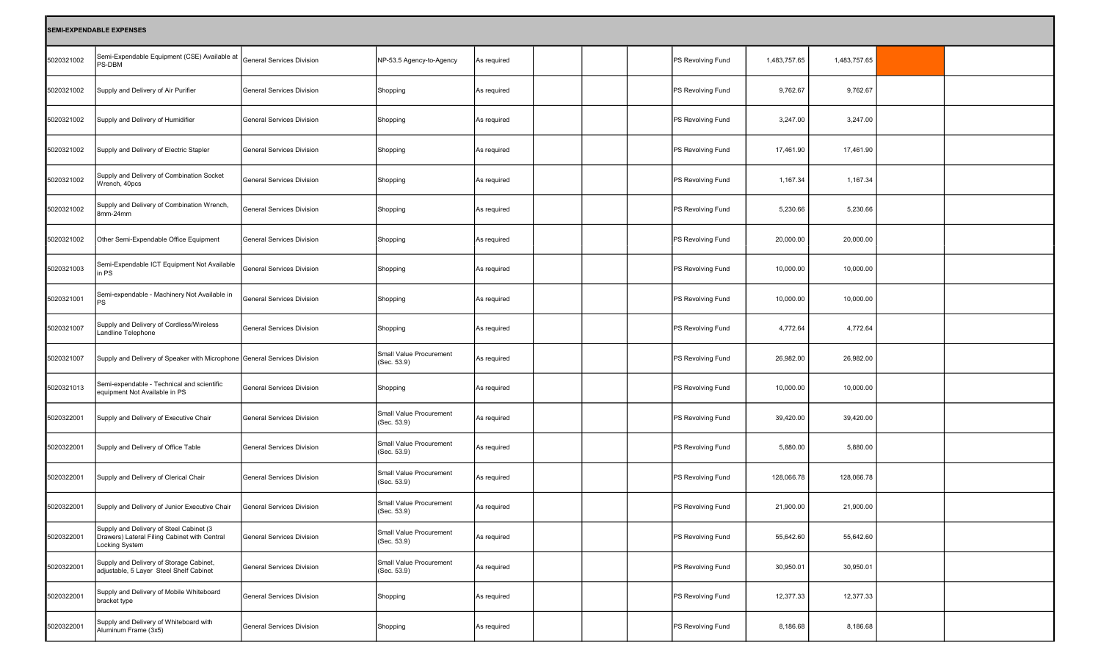|            | <b>SEMI-EXPENDABLE EXPENSES</b>                                                                           |                                  |                                        |             |  |                   |              |              |  |
|------------|-----------------------------------------------------------------------------------------------------------|----------------------------------|----------------------------------------|-------------|--|-------------------|--------------|--------------|--|
| 5020321002 | Semi-Expendable Equipment (CSE) Available at<br>PS-DBM                                                    | General Services Division        | NP-53.5 Agency-to-Agency               | As required |  | PS Revolving Fund | 1,483,757.65 | 1,483,757.65 |  |
| 5020321002 | Supply and Delivery of Air Purifier                                                                       | General Services Division        | Shopping                               | As required |  | PS Revolving Fund | 9,762.67     | 9,762.67     |  |
| 5020321002 | Supply and Delivery of Humidifier                                                                         | General Services Division        | Shopping                               | As required |  | PS Revolving Fund | 3,247.00     | 3,247.00     |  |
| 5020321002 | Supply and Delivery of Electric Stapler                                                                   | <b>General Services Division</b> | Shopping                               | As required |  | PS Revolving Fund | 17,461.90    | 17,461.90    |  |
| 5020321002 | Supply and Delivery of Combination Socket<br>Wrench, 40pcs                                                | <b>General Services Division</b> | Shopping                               | As required |  | PS Revolving Fund | 1,167.34     | 1,167.34     |  |
| 5020321002 | Supply and Delivery of Combination Wrench,<br>8mm-24mm                                                    | <b>General Services Division</b> | Shopping                               | As required |  | PS Revolving Fund | 5,230.66     | 5,230.66     |  |
| 5020321002 | Other Semi-Expendable Office Equipment                                                                    | <b>General Services Division</b> | Shopping                               | As required |  | PS Revolving Fund | 20,000.00    | 20,000.00    |  |
| 5020321003 | Semi-Expendable ICT Equipment Not Available<br>in PS                                                      | <b>General Services Division</b> | Shopping                               | As required |  | PS Revolving Fund | 10,000.00    | 10,000.00    |  |
| 5020321001 | Semi-expendable - Machinery Not Available in<br> PS                                                       | <b>General Services Division</b> | Shopping                               | As required |  | PS Revolving Fund | 10,000.00    | 10,000.00    |  |
| 5020321007 | Supply and Delivery of Cordless/Wireless<br>Landline Telephone                                            | <b>General Services Division</b> | Shopping                               | As required |  | PS Revolving Fund | 4,772.64     | 4,772.64     |  |
| 5020321007 | Supply and Delivery of Speaker with Microphone General Services Division                                  |                                  | Small Value Procurement<br>(Sec. 53.9) | As required |  | PS Revolving Fund | 26,982.00    | 26,982.00    |  |
| 5020321013 | Semi-expendable - Technical and scientific<br>equipment Not Available in PS                               | <b>General Services Division</b> | Shopping                               | As required |  | PS Revolving Fund | 10,000.00    | 10,000.00    |  |
| 5020322001 | Supply and Delivery of Executive Chair                                                                    | <b>General Services Division</b> | Small Value Procurement<br>(Sec. 53.9) | As required |  | PS Revolving Fund | 39,420.00    | 39,420.00    |  |
| 5020322001 | Supply and Delivery of Office Table                                                                       | General Services Division        | Small Value Procurement<br>(Sec. 53.9) | As required |  | PS Revolving Fund | 5,880.00     | 5,880.00     |  |
| 5020322001 | Supply and Delivery of Clerical Chair                                                                     | <b>General Services Division</b> | Small Value Procurement<br>(Sec. 53.9) | As required |  | PS Revolving Fund | 128,066.78   | 128,066.78   |  |
| 5020322001 | Supply and Delivery of Junior Executive Chair                                                             | General Services Division        | Small Value Procurement<br>(Sec. 53.9) | As required |  | PS Revolving Fund | 21,900.00    | 21,900.00    |  |
| 5020322001 | Supply and Delivery of Steel Cabinet (3<br>Drawers) Lateral Filing Cabinet with Central<br>Locking System | General Services Division        | Small Value Procurement<br>(Sec. 53.9) | As required |  | PS Revolving Fund | 55,642.60    | 55,642.60    |  |
| 5020322001 | Supply and Delivery of Storage Cabinet,<br>adjustable, 5 Layer Steel Shelf Cabinet                        | General Services Division        | Small Value Procurement<br>(Sec. 53.9) | As required |  | PS Revolving Fund | 30,950.01    | 30,950.01    |  |
| 5020322001 | Supply and Delivery of Mobile Whiteboard<br>bracket type                                                  | General Services Division        | Shopping                               | As required |  | PS Revolving Fund | 12,377.33    | 12,377.33    |  |
| 5020322001 | Supply and Delivery of Whiteboard with<br>Aluminum Frame (3x5)                                            | General Services Division        | Shopping                               | As required |  | PS Revolving Fund | 8,186.68     | 8,186.68     |  |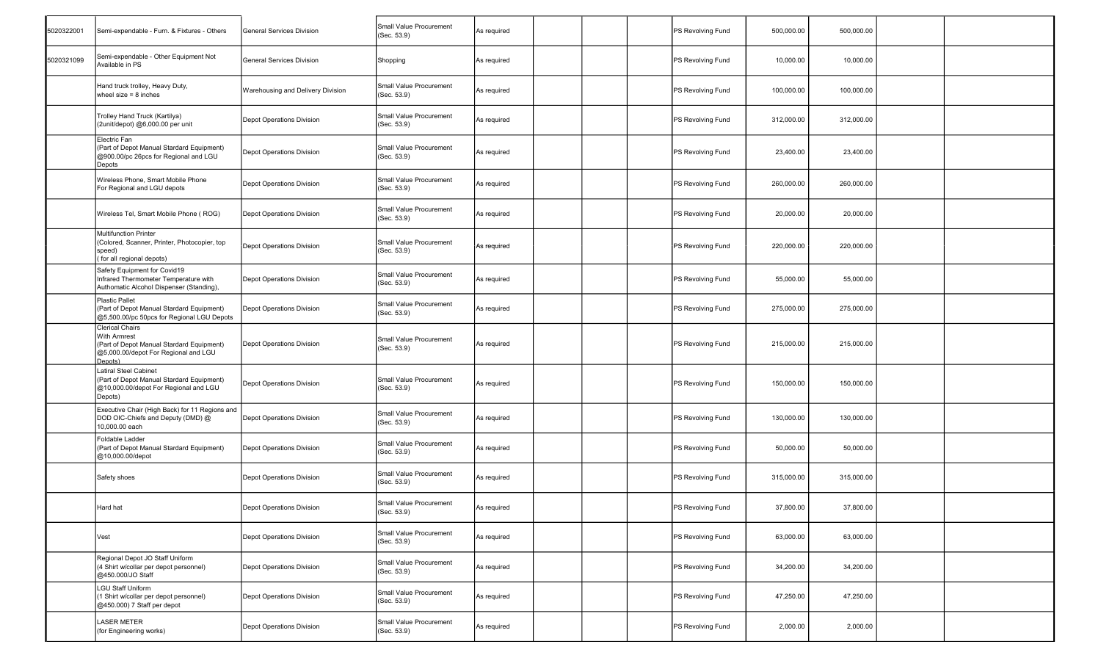| 5020322001 | Semi-expendable - Furn. & Fixtures - Others                                                                                            | General Services Division         | Small Value Procurement<br>(Sec. 53.9)        | As required |  | PS Revolving Fund | 500,000.00 | 500,000.00 |  |
|------------|----------------------------------------------------------------------------------------------------------------------------------------|-----------------------------------|-----------------------------------------------|-------------|--|-------------------|------------|------------|--|
| 5020321099 | Semi-expendable - Other Equipment Not<br>Available in PS                                                                               | General Services Division         | Shopping                                      | As required |  | PS Revolving Fund | 10,000.00  | 10,000.00  |  |
|            | Hand truck trolley, Heavy Duty,<br>wheel size $= 8$ inches                                                                             | Warehousing and Delivery Division | <b>Small Value Procurement</b><br>(Sec. 53.9) | As required |  | PS Revolving Fund | 100,000.00 | 100,000.00 |  |
|            | Trolley Hand Truck (Kartilya)<br>(2unit/depot) @6,000.00 per unit                                                                      | Depot Operations Division         | Small Value Procurement<br>(Sec. 53.9)        | As required |  | PS Revolving Fund | 312,000.00 | 312,000.00 |  |
|            | Electric Fan<br>(Part of Depot Manual Stardard Equipment)<br>@900.00/pc 26pcs for Regional and LGU<br>Depots                           | Depot Operations Division         | Small Value Procurement<br>(Sec. 53.9)        | As required |  | PS Revolving Fund | 23,400.00  | 23,400.00  |  |
|            | Wireless Phone, Smart Mobile Phone<br>For Regional and LGU depots                                                                      | Depot Operations Division         | Small Value Procurement<br>(Sec. 53.9)        | As required |  | PS Revolving Fund | 260,000.00 | 260,000.00 |  |
|            | Wireless Tel, Smart Mobile Phone (ROG)                                                                                                 | Depot Operations Division         | Small Value Procurement<br>(Sec. 53.9)        | As required |  | PS Revolving Fund | 20,000.00  | 20,000.00  |  |
|            | <b>Multifunction Printer</b><br>(Colored, Scanner, Printer, Photocopier, top<br>speed)<br>(for all regional depots)                    | Depot Operations Division         | Small Value Procurement<br>(Sec. 53.9)        | As required |  | PS Revolving Fund | 220,000.00 | 220,000.00 |  |
|            | Safety Equipment for Covid19<br>Infrared Thermometer Temperature with<br>Authomatic Alcohol Dispenser (Standing),                      | Depot Operations Division         | Small Value Procurement<br>(Sec. 53.9)        | As required |  | PS Revolving Fund | 55,000.00  | 55,000.00  |  |
|            | <b>Plastic Pallet</b><br>(Part of Depot Manual Stardard Equipment)<br>@5,500.00/pc 50pcs for Regional LGU Depots                       | Depot Operations Division         | Small Value Procurement<br>(Sec. 53.9)        | As required |  | PS Revolving Fund | 275,000.00 | 275,000.00 |  |
|            | <b>Clerical Chairs</b><br>With Armrest<br>(Part of Depot Manual Stardard Equipment)<br>@5,000.00/depot For Regional and LGU<br>Depots) | Depot Operations Division         | Small Value Procurement<br>(Sec. 53.9)        | As required |  | PS Revolving Fund | 215,000.00 | 215,000.00 |  |
|            | <b>Latiral Steel Cabinet</b><br>(Part of Depot Manual Stardard Equipment)<br>@10,000.00/depot For Regional and LGU<br>Depots)          | Depot Operations Division         | Small Value Procurement<br>(Sec. 53.9)        | As required |  | PS Revolving Fund | 150,000.00 | 150,000.00 |  |
|            | Executive Chair (High Back) for 11 Regions and<br>DOD OIC-Chiefs and Deputy (DMD) @<br>10,000.00 each                                  | Depot Operations Division         | Small Value Procurement<br>(Sec. 53.9)        | As required |  | PS Revolving Fund | 130,000.00 | 130,000.00 |  |
|            | <b>Foldable Ladder</b><br>(Part of Depot Manual Stardard Equipment)<br>@10,000.00/depot                                                | Depot Operations Division         | Small Value Procurement<br>(Sec. 53.9)        | As required |  | PS Revolving Fund | 50,000.00  | 50,000.00  |  |
|            | Safety shoes                                                                                                                           | Depot Operations Division         | Small Value Procurement<br>(Sec. 53.9)        | As required |  | PS Revolving Fund | 315,000.00 | 315,000.00 |  |
|            | ⊣ard hat                                                                                                                               | Depot Operations Division         | Small Value Procurement<br>(Sec. 53.9)        | s required  |  | PS Revolving Fund | 37,800.00  | 37,800.00  |  |
|            | Vest                                                                                                                                   | Depot Operations Division         | Small Value Procurement<br>(Sec. 53.9)        | As required |  | PS Revolving Fund | 63,000.00  | 63,000.00  |  |
|            | Regional Depot JO Staff Uniform<br>(4 Shirt w/collar per depot personnel)<br>@450.000/JO Staff                                         | Depot Operations Division         | Small Value Procurement<br>(Sec. 53.9)        | As required |  | PS Revolving Fund | 34,200.00  | 34,200.00  |  |
|            | <b>LGU Staff Uniform</b><br>(1 Shirt w/collar per depot personnel)<br>@450.000) 7 Staff per depot                                      | Depot Operations Division         | Small Value Procurement<br>(Sec. 53.9)        | As required |  | PS Revolving Fund | 47,250.00  | 47,250.00  |  |
|            | <b>LASER METER</b><br>(for Engineering works)                                                                                          | Depot Operations Division         | Small Value Procurement<br>(Sec. 53.9)        | As required |  | PS Revolving Fund | 2,000.00   | 2,000.00   |  |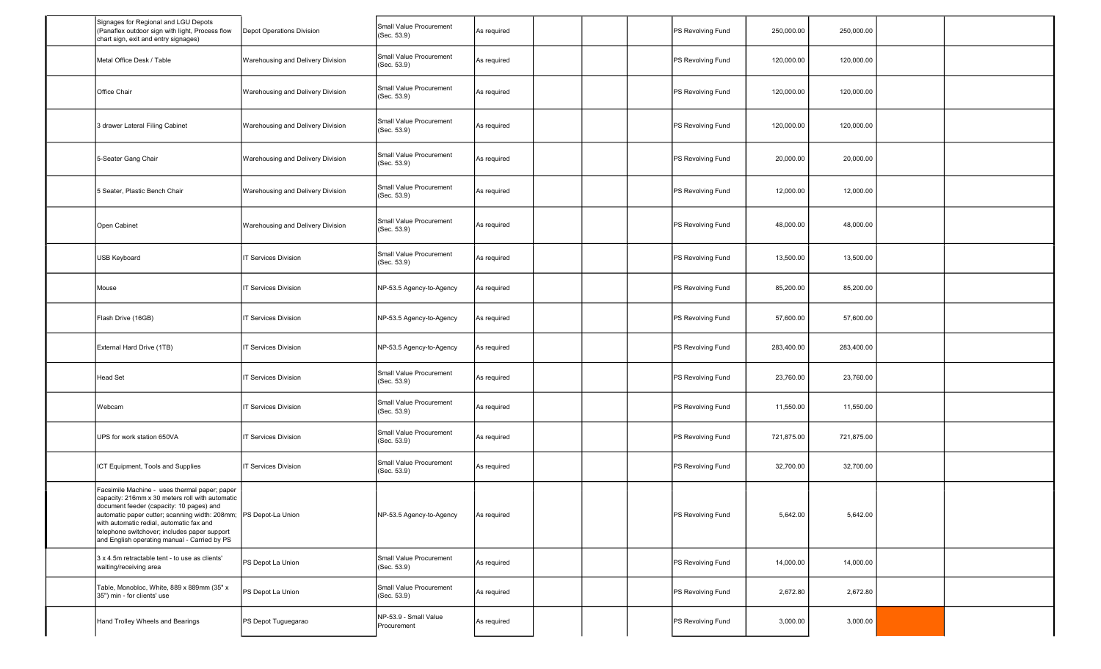| Signages for Regional and LGU Depots<br>(Panaflex outdoor sign with light, Process flow<br>chart sign, exit and entry signages)                                                                                                                                                                                                                              | Depot Operations Division         | Small Value Procurement<br>(Sec. 53.9) | As required |  | PS Revolving Fund | 250,000.00 | 250,000.00 |  |
|--------------------------------------------------------------------------------------------------------------------------------------------------------------------------------------------------------------------------------------------------------------------------------------------------------------------------------------------------------------|-----------------------------------|----------------------------------------|-------------|--|-------------------|------------|------------|--|
| Metal Office Desk / Table                                                                                                                                                                                                                                                                                                                                    | Warehousing and Delivery Division | Small Value Procurement<br>(Sec. 53.9) | As required |  | PS Revolving Fund | 120,000.00 | 120,000.00 |  |
| Office Chair                                                                                                                                                                                                                                                                                                                                                 | Warehousing and Delivery Division | Small Value Procurement<br>(Sec. 53.9) | As required |  | PS Revolving Fund | 120,000.00 | 120,000.00 |  |
| 3 drawer Lateral Filing Cabinet                                                                                                                                                                                                                                                                                                                              | Warehousing and Delivery Division | Small Value Procurement<br>(Sec. 53.9) | As required |  | PS Revolving Fund | 120,000.00 | 120,000.00 |  |
| 5-Seater Gang Chair                                                                                                                                                                                                                                                                                                                                          | Warehousing and Delivery Division | Small Value Procurement<br>(Sec. 53.9) | As required |  | PS Revolving Fund | 20,000.00  | 20,000.00  |  |
| 5 Seater, Plastic Bench Chair                                                                                                                                                                                                                                                                                                                                | Warehousing and Delivery Division | Small Value Procurement<br>(Sec. 53.9) | As required |  | PS Revolving Fund | 12,000.00  | 12,000.00  |  |
| Open Cabinet                                                                                                                                                                                                                                                                                                                                                 | Warehousing and Delivery Division | Small Value Procurement<br>(Sec. 53.9) | As required |  | PS Revolving Fund | 48,000.00  | 48,000.00  |  |
| USB Keyboard                                                                                                                                                                                                                                                                                                                                                 | IT Services Division              | Small Value Procurement<br>(Sec. 53.9) | As required |  | PS Revolving Fund | 13,500.00  | 13,500.00  |  |
| Mouse                                                                                                                                                                                                                                                                                                                                                        | T Services Division               | NP-53.5 Agency-to-Agency               | As required |  | PS Revolving Fund | 85,200.00  | 85,200.00  |  |
| Flash Drive (16GB)                                                                                                                                                                                                                                                                                                                                           | IT Services Division              | NP-53.5 Agency-to-Agency               | As required |  | PS Revolving Fund | 57,600.00  | 57,600.00  |  |
| External Hard Drive (1TB)                                                                                                                                                                                                                                                                                                                                    | IT Services Division              | NP-53.5 Agency-to-Agency               | As required |  | PS Revolving Fund | 283,400.00 | 283,400.00 |  |
| <b>Head Set</b>                                                                                                                                                                                                                                                                                                                                              | T Services Division               | Small Value Procurement<br>(Sec. 53.9) | As required |  | PS Revolving Fund | 23,760.00  | 23,760.00  |  |
| Webcam                                                                                                                                                                                                                                                                                                                                                       | T Services Division               | Small Value Procurement<br>(Sec. 53.9) | As required |  | PS Revolving Fund | 11,550.00  | 11,550.00  |  |
| UPS for work station 650VA                                                                                                                                                                                                                                                                                                                                   | T Services Division               | Small Value Procurement<br>(Sec. 53.9) | As required |  | PS Revolving Fund | 721,875.00 | 721,875.00 |  |
| ICT Equipment, Tools and Supplies                                                                                                                                                                                                                                                                                                                            | IT Services Division              | Small Value Procurement<br>(Sec. 53.9) | As required |  | PS Revolving Fund | 32,700.00  | 32,700.00  |  |
| Facsimile Machine - uses thermal paper; paper<br>capacity: 216mm x 30 meters roll with automatic<br>document feeder (capacity: 10 pages) and<br>automatic paper cutter; scanning width: 208mm; PS Depot-La Union<br>with automatic redial, automatic fax and<br>telephone switchover; includes paper support<br>and English operating manual - Carried by PS |                                   | NP-53.5 Agency-to-Agency               | As required |  | PS Revolving Fund | 5,642.00   | 5,642.00   |  |
| 3 x 4.5m retractable tent - to use as clients'<br>waiting/receiving area                                                                                                                                                                                                                                                                                     | PS Depot La Union                 | Small Value Procurement<br>(Sec. 53.9) | As required |  | PS Revolving Fund | 14,000.00  | 14,000.00  |  |
| Table, Monobloc, White, 889 x 889mm (35" x<br>35") min - for clients' use                                                                                                                                                                                                                                                                                    | PS Depot La Union                 | Small Value Procurement<br>(Sec. 53.9) | As required |  | PS Revolving Fund | 2,672.80   | 2,672.80   |  |
| Hand Trolley Wheels and Bearings                                                                                                                                                                                                                                                                                                                             | PS Depot Tuguegarao               | NP-53.9 - Small Value<br>Procurement   | As required |  | PS Revolving Fund | 3,000.00   | 3,000.00   |  |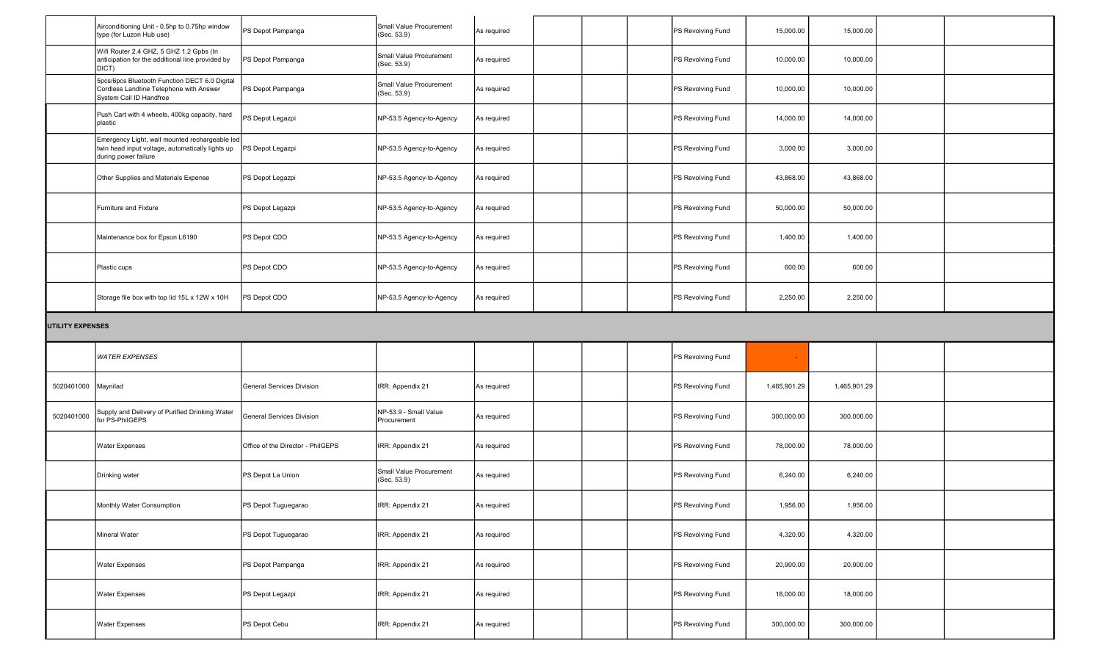|                         | Airconditioning Unit - 0.5hp to 0.75hp window<br>type (for Luzon Hub use)                                                  | PS Depot Pampanga                 | Small Value Procurement<br>(Sec. 53.9) | As required |  | PS Revolving Fund | 15,000.00    | 15,000.00    |  |
|-------------------------|----------------------------------------------------------------------------------------------------------------------------|-----------------------------------|----------------------------------------|-------------|--|-------------------|--------------|--------------|--|
|                         | Wifi Router 2.4 GHZ, 5 GHZ 1.2 Gpbs (In<br>anticipation for the additional line provided by<br>DICT)                       | PS Depot Pampanga                 | Small Value Procurement<br>(Sec. 53.9) | As required |  | PS Revolving Fund | 10,000.00    | 10,000.00    |  |
|                         | 5pcs/6pcs Bluetooth Function DECT 6.0 Digital<br>Cordless Landline Telephone with Answer<br>System Call ID Handfree        | PS Depot Pampanga                 | Small Value Procurement<br>(Sec. 53.9) | As required |  | PS Revolving Fund | 10,000.00    | 10,000.00    |  |
|                         | Push Cart with 4 wheels, 400kg capacity, hard<br>plastic                                                                   | PS Depot Legazpi                  | NP-53.5 Agency-to-Agency               | As required |  | PS Revolving Fund | 14,000.00    | 14,000.00    |  |
|                         | Emergency Light, wall mounted rechargeable led<br>twin head input voltage, automatically lights up<br>during power failure | PS Depot Legazpi                  | NP-53.5 Agency-to-Agency               | As required |  | PS Revolving Fund | 3,000.00     | 3,000.00     |  |
|                         | Other Supplies and Materials Expense                                                                                       | PS Depot Legazpi                  | NP-53.5 Agency-to-Agency               | As required |  | PS Revolving Fund | 43,868.00    | 43,868.00    |  |
|                         | <b>Furniture and Fixture</b>                                                                                               | PS Depot Legazpi                  | NP-53.5 Agency-to-Agency               | As required |  | PS Revolving Fund | 50,000.00    | 50,000.00    |  |
|                         | Maintenance box for Epson L6190                                                                                            | PS Depot CDO                      | NP-53.5 Agency-to-Agency               | As required |  | PS Revolving Fund | 1,400.00     | 1,400.00     |  |
|                         | Plastic cups                                                                                                               | PS Depot CDO                      | NP-53.5 Agency-to-Agency               | As required |  | PS Revolving Fund | 600.00       | 600.00       |  |
|                         | Storage file box with top lid 15L x 12W x 10H                                                                              | PS Depot CDO                      | NP-53.5 Agency-to-Agency               | As required |  | PS Revolving Fund | 2,250.00     | 2,250.00     |  |
| <b>UTILITY EXPENSES</b> |                                                                                                                            |                                   |                                        |             |  |                   |              |              |  |
|                         |                                                                                                                            |                                   |                                        |             |  |                   |              |              |  |
|                         | <b>WATER EXPENSES</b>                                                                                                      |                                   |                                        |             |  | PS Revolving Fund |              |              |  |
| 5020401000   Maynilad   |                                                                                                                            | General Services Division         | IRR: Appendix 21                       | As required |  | PS Revolving Fund | 1,465,901.29 | 1,465,901.29 |  |
| 5020401000              | Supply and Delivery of Purified Drinking Water<br>for PS-PhilGEPS                                                          | General Services Division         | NP-53.9 - Small Value<br>Procurement   | As required |  | PS Revolving Fund | 300,000.00   | 300,000.00   |  |
|                         | <b>Water Expenses</b>                                                                                                      | Office of the Director - PhilGEPS | IRR: Appendix 21                       | As required |  | PS Revolving Fund | 78,000.00    | 78,000.00    |  |
|                         | Drinking water                                                                                                             | PS Depot La Union                 | Small Value Procurement<br>(Sec. 53.9) | As required |  | PS Revolving Fund | 6,240.00     | 6,240.00     |  |
|                         | Monthly Water Consumption                                                                                                  | PS Depot Tuguegarao               | IRR: Appendix 21                       | As required |  | PS Revolving Fund | 1,956.00     | 1,956.00     |  |
|                         | Mineral Water                                                                                                              | PS Depot Tuguegarao               | IRR: Appendix 21                       | As required |  | PS Revolving Fund | 4,320.00     | 4,320.00     |  |
|                         | <b>Water Expenses</b>                                                                                                      | PS Depot Pampanga                 | IRR: Appendix 21                       | As required |  | PS Revolving Fund | 20,900.00    | 20,900.00    |  |
|                         | <b>Water Expenses</b>                                                                                                      | PS Depot Legazpi                  | IRR: Appendix 21                       | As required |  | PS Revolving Fund | 18,000.00    | 18,000.00    |  |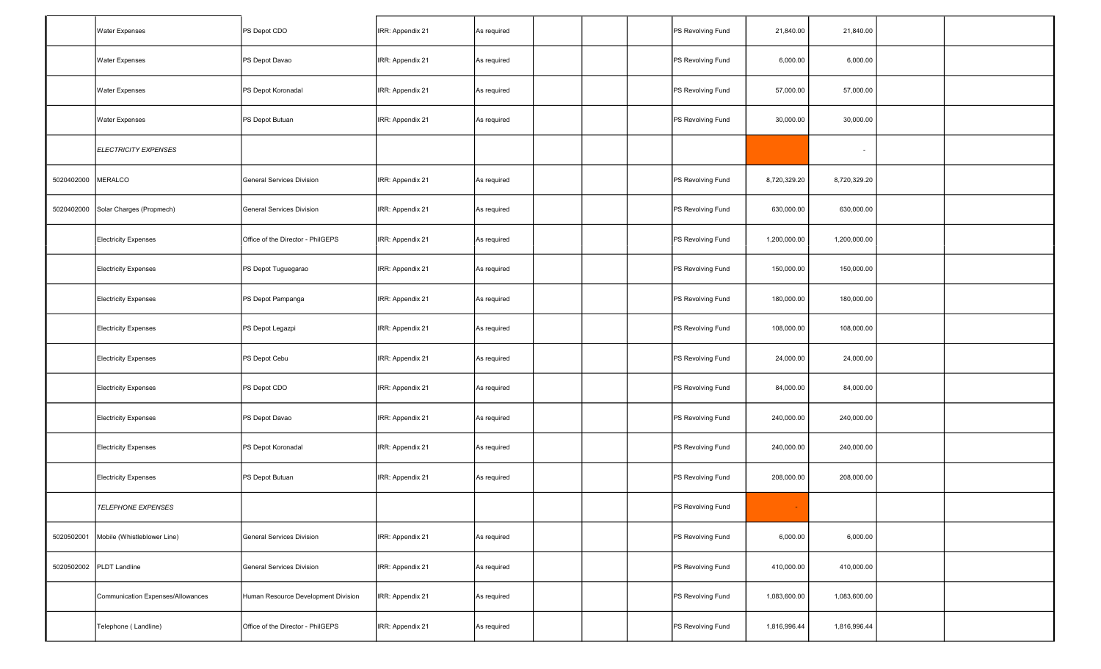|            | <b>Water Expenses</b>             | PS Depot CDO                        | IRR: Appendix 21 | As required |  | PS Revolving Fund | 21,840.00    | 21,840.00                |  |
|------------|-----------------------------------|-------------------------------------|------------------|-------------|--|-------------------|--------------|--------------------------|--|
|            | <b>Water Expenses</b>             | PS Depot Davao                      | IRR: Appendix 21 | As required |  | PS Revolving Fund | 6,000.00     | 6,000.00                 |  |
|            | <b>Water Expenses</b>             | PS Depot Koronadal                  | IRR: Appendix 21 | As required |  | PS Revolving Fund | 57,000.00    | 57,000.00                |  |
|            | <b>Water Expenses</b>             | PS Depot Butuan                     | IRR: Appendix 21 | As required |  | PS Revolving Fund | 30,000.00    | 30,000.00                |  |
|            | <b>ELECTRICITY EXPENSES</b>       |                                     |                  |             |  |                   |              | $\overline{\phantom{a}}$ |  |
| 5020402000 | MERALCO                           | General Services Division           | IRR: Appendix 21 | As required |  | PS Revolving Fund | 8,720,329.20 | 8,720,329.20             |  |
| 5020402000 | Solar Charges (Propmech)          | General Services Division           | IRR: Appendix 21 | As required |  | PS Revolving Fund | 630,000.00   | 630,000.00               |  |
|            | <b>Electricity Expenses</b>       | Office of the Director - PhilGEPS   | IRR: Appendix 21 | As required |  | PS Revolving Fund | 1,200,000.00 | 1,200,000.00             |  |
|            | <b>Electricity Expenses</b>       | PS Depot Tuguegarao                 | IRR: Appendix 21 | As required |  | PS Revolving Fund | 150,000.00   | 150,000.00               |  |
|            | <b>Electricity Expenses</b>       | PS Depot Pampanga                   | IRR: Appendix 21 | As required |  | PS Revolving Fund | 180,000.00   | 180,000.00               |  |
|            | <b>Electricity Expenses</b>       | PS Depot Legazpi                    | IRR: Appendix 21 | As required |  | PS Revolving Fund | 108,000.00   | 108,000.00               |  |
|            | <b>Electricity Expenses</b>       | PS Depot Cebu                       | IRR: Appendix 21 | As required |  | PS Revolving Fund | 24,000.00    | 24,000.00                |  |
|            | <b>Electricity Expenses</b>       | PS Depot CDO                        | IRR: Appendix 21 | As required |  | PS Revolving Fund | 84,000.00    | 84,000.00                |  |
|            | <b>Electricity Expenses</b>       | PS Depot Davao                      | IRR: Appendix 21 | As required |  | PS Revolving Fund | 240,000.00   | 240,000.00               |  |
|            | <b>Electricity Expenses</b>       | PS Depot Koronadal                  | IRR: Appendix 21 | As required |  | PS Revolving Fund | 240,000.00   | 240,000.00               |  |
|            | <b>Electricity Expenses</b>       | PS Depot Butuan                     | IRR: Appendix 21 | As required |  | PS Revolving Fund | 208,000.00   | 208,000.00               |  |
|            | <b>TELEPHONE EXPENSES</b>         |                                     |                  |             |  | PS Revolving Fund |              |                          |  |
| 5020502001 | Mobile (Whistleblower Line)       | General Services Division           | IRR: Appendix 21 | As required |  | PS Revolving Fund | 6,000.00     | 6,000.00                 |  |
| 5020502002 | PLDT Landline                     | General Services Division           | IRR: Appendix 21 | As required |  | PS Revolving Fund | 410,000.00   | 410,000.00               |  |
|            | Communication Expenses/Allowances | Human Resource Development Division | IRR: Appendix 21 | As required |  | PS Revolving Fund | 1,083,600.00 | 1,083,600.00             |  |
|            | Telephone (Landline)              | Office of the Director - PhilGEPS   | IRR: Appendix 21 | As required |  | PS Revolving Fund | 1,816,996.44 | 1,816,996.44             |  |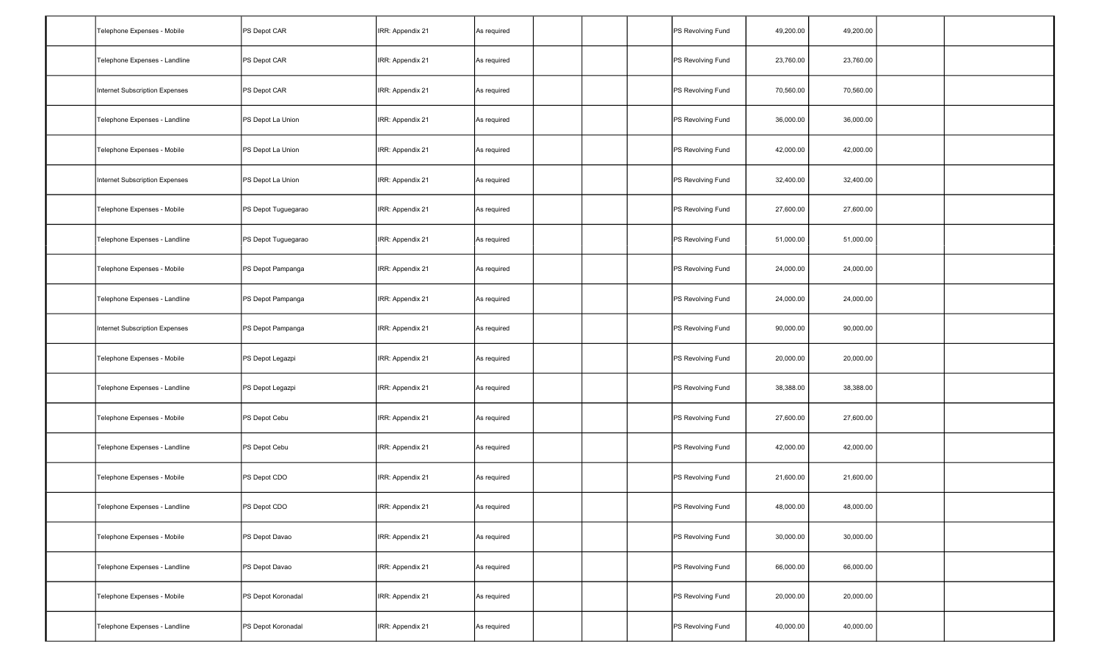| Telephone Expenses - Mobile    | PS Depot CAR        | IRR: Appendix 21 | As required |  | PS Revolving Fund | 49,200.00 | 49,200.00 |  |
|--------------------------------|---------------------|------------------|-------------|--|-------------------|-----------|-----------|--|
| Telephone Expenses - Landline  | PS Depot CAR        | IRR: Appendix 21 | As required |  | PS Revolving Fund | 23,760.00 | 23,760.00 |  |
| Internet Subscription Expenses | PS Depot CAR        | IRR: Appendix 21 | As required |  | PS Revolving Fund | 70,560.00 | 70,560.00 |  |
| Telephone Expenses - Landline  | PS Depot La Union   | IRR: Appendix 21 | As required |  | PS Revolving Fund | 36,000.00 | 36,000.00 |  |
| Telephone Expenses - Mobile    | PS Depot La Union   | IRR: Appendix 21 | As required |  | PS Revolving Fund | 42,000.00 | 42,000.00 |  |
| Internet Subscription Expenses | PS Depot La Union   | IRR: Appendix 21 | As required |  | PS Revolving Fund | 32,400.00 | 32,400.00 |  |
| Telephone Expenses - Mobile    | PS Depot Tuguegarao | IRR: Appendix 21 | As required |  | PS Revolving Fund | 27,600.00 | 27,600.00 |  |
| Telephone Expenses - Landline  | PS Depot Tuguegarao | IRR: Appendix 21 | As required |  | PS Revolving Fund | 51,000.00 | 51,000.00 |  |
| Telephone Expenses - Mobile    | PS Depot Pampanga   | IRR: Appendix 21 | As required |  | PS Revolving Fund | 24,000.00 | 24,000.00 |  |
| Telephone Expenses - Landline  | PS Depot Pampanga   | IRR: Appendix 21 | As required |  | PS Revolving Fund | 24,000.00 | 24,000.00 |  |
| Internet Subscription Expenses | PS Depot Pampanga   | IRR: Appendix 21 | As required |  | PS Revolving Fund | 90,000.00 | 90,000.00 |  |
| Telephone Expenses - Mobile    | PS Depot Legazpi    | IRR: Appendix 21 | As required |  | PS Revolving Fund | 20,000.00 | 20,000.00 |  |
| Telephone Expenses - Landline  | PS Depot Legazpi    | IRR: Appendix 21 | As required |  | PS Revolving Fund | 38,388.00 | 38,388.00 |  |
| Telephone Expenses - Mobile    | PS Depot Cebu       | IRR: Appendix 21 | As required |  | PS Revolving Fund | 27,600.00 | 27,600.00 |  |
| Telephone Expenses - Landline  | PS Depot Cebu       | IRR: Appendix 21 | As required |  | PS Revolving Fund | 42,000.00 | 42,000.00 |  |
| Telephone Expenses - Mobile    | PS Depot CDO        | IRR: Appendix 21 | As required |  | PS Revolving Fund | 21,600.00 | 21,600.00 |  |
| Telephone Expenses - Landline  | PS Depot CDO        | IRR: Appendix 21 | As required |  | PS Revolving Fund | 48,000.00 | 48,000.00 |  |
| Telephone Expenses - Mobile    | PS Depot Davao      | IRR: Appendix 21 | As required |  | PS Revolving Fund | 30,000.00 | 30,000.00 |  |
| Telephone Expenses - Landline  | PS Depot Davao      | IRR: Appendix 21 | As required |  | PS Revolving Fund | 66,000.00 | 66,000.00 |  |
| Telephone Expenses - Mobile    | PS Depot Koronadal  | IRR: Appendix 21 | As required |  | PS Revolving Fund | 20,000.00 | 20,000.00 |  |
| Telephone Expenses - Landline  | PS Depot Koronadal  | IRR: Appendix 21 | As required |  | PS Revolving Fund | 40,000.00 | 40,000.00 |  |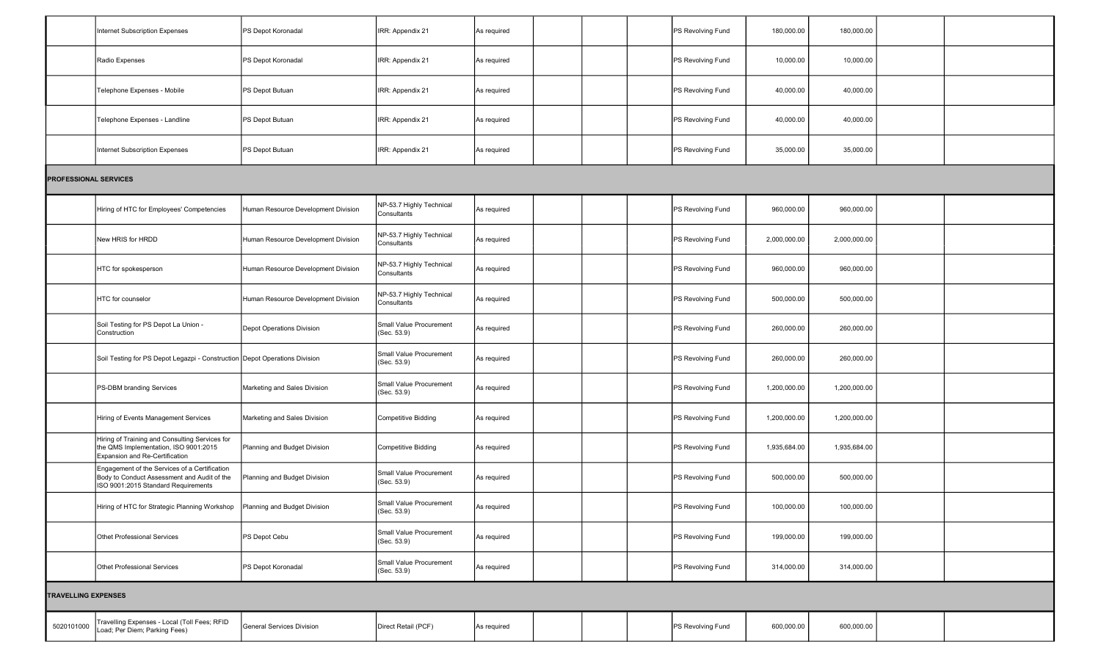|                              | Internet Subscription Expenses                                                                                                      | PS Depot Koronadal                  | IRR: Appendix 21                        | As required |  | PS Revolving Fund | 180,000.00   | 180,000.00   |  |
|------------------------------|-------------------------------------------------------------------------------------------------------------------------------------|-------------------------------------|-----------------------------------------|-------------|--|-------------------|--------------|--------------|--|
|                              | Radio Expenses                                                                                                                      | PS Depot Koronadal                  | IRR: Appendix 21                        | As required |  | PS Revolving Fund | 10,000.00    | 10,000.00    |  |
|                              | Telephone Expenses - Mobile                                                                                                         | PS Depot Butuan                     | IRR: Appendix 21                        | As required |  | PS Revolving Fund | 40,000.00    | 40,000.00    |  |
|                              | Telephone Expenses - Landline                                                                                                       | PS Depot Butuan                     | IRR: Appendix 21                        | As required |  | PS Revolving Fund | 40,000.00    | 40,000.00    |  |
|                              | Internet Subscription Expenses                                                                                                      | PS Depot Butuan                     | IRR: Appendix 21                        | As required |  | PS Revolving Fund | 35,000.00    | 35,000.00    |  |
| <b>PROFESSIONAL SERVICES</b> |                                                                                                                                     |                                     |                                         |             |  |                   |              |              |  |
|                              | Hiring of HTC for Employees' Competencies                                                                                           | Human Resource Development Division | NP-53.7 Highly Technical<br>Consultants | As required |  | PS Revolving Fund | 960,000.00   | 960,000.00   |  |
|                              | New HRIS for HRDD                                                                                                                   | Human Resource Development Division | NP-53.7 Highly Technical<br>Consultants | As required |  | PS Revolving Fund | 2,000,000.00 | 2,000,000.00 |  |
|                              | HTC for spokesperson                                                                                                                | Human Resource Development Division | NP-53.7 Highly Technical<br>Consultants | As required |  | PS Revolving Fund | 960,000.00   | 960,000.00   |  |
|                              | HTC for counselor                                                                                                                   | Human Resource Development Division | NP-53.7 Highly Technical<br>Consultants | As required |  | PS Revolving Fund | 500,000.00   | 500,000.00   |  |
|                              | Soil Testing for PS Depot La Union -<br>Construction                                                                                | Depot Operations Division           | Small Value Procurement<br>(Sec. 53.9)  | As required |  | PS Revolving Fund | 260,000.00   | 260,000.00   |  |
|                              | Soil Testing for PS Depot Legazpi - Construction Depot Operations Division                                                          |                                     | Small Value Procurement<br>(Sec. 53.9)  | As required |  | PS Revolving Fund | 260,000.00   | 260,000.00   |  |
|                              | PS-DBM branding Services                                                                                                            | Marketing and Sales Division        | Small Value Procurement<br>(Sec. 53.9)  | As required |  | PS Revolving Fund | 1,200,000.00 | 1,200,000.00 |  |
|                              | Hiring of Events Management Services                                                                                                | Marketing and Sales Division        | <b>Competitive Bidding</b>              | As required |  | PS Revolving Fund | 1,200,000.00 | 1,200,000.00 |  |
|                              | Hiring of Training and Consulting Services for<br>the QMS Implementation, ISO 9001:2015<br>Expansion and Re-Certification           | Planning and Budget Division        | <b>Competitive Bidding</b>              | As required |  | PS Revolving Fund | 1,935,684.00 | 1,935,684.00 |  |
|                              | Engagement of the Services of a Certification<br>Body to Conduct Assessment and Audit of the<br>ISO 9001:2015 Standard Requirements | Planning and Budget Division        | Small Value Procurement<br>(Sec. 53.9)  | As required |  | PS Revolving Fund | 500,000.00   | 500,000.00   |  |
|                              | Hiring of HTC for Strategic Planning Workshop   Planning and Budget Division                                                        |                                     | Small Value Procurement<br>(Sec. 53.9)  | As required |  | PS Revolving Fund | 100,000.00   | 100,000.00   |  |
|                              | <b>Othet Professional Services</b>                                                                                                  | PS Depot Cebu                       | Small Value Procurement<br>(Sec. 53.9)  | As required |  | PS Revolving Fund | 199,000.00   | 199,000.00   |  |
|                              | Othet Professional Services                                                                                                         | PS Depot Koronadal                  | Small Value Procurement<br>(Sec. 53.9)  | As required |  | PS Revolving Fund | 314,000.00   | 314,000.00   |  |
| <b>TRAVELLING EXPENSES</b>   |                                                                                                                                     |                                     |                                         |             |  |                   |              |              |  |
| 5020101000                   | Travelling Expenses - Local (Toll Fees; RFID<br><sub>-</sub> oad; Per Diem; Parking Fees)                                           | General Services Division           | Direct Retail (PCF)                     | As required |  | PS Revolving Fund | 600,000.00   | 600,000.00   |  |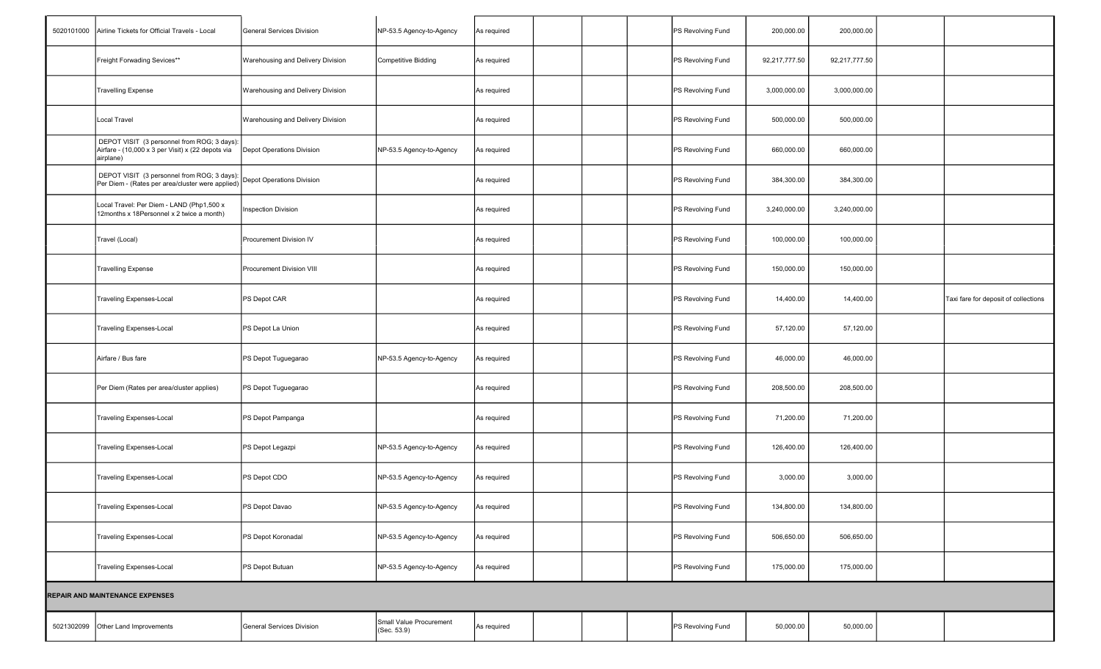| 5020101000 | Airline Tickets for Official Travels - Local                                                                  | General Services Division         | NP-53.5 Agency-to-Agency               | As required |  | PS Revolving Fund | 200,000.00    | 200,000.00    |                                      |
|------------|---------------------------------------------------------------------------------------------------------------|-----------------------------------|----------------------------------------|-------------|--|-------------------|---------------|---------------|--------------------------------------|
|            | Freight Forwading Sevices**                                                                                   | Warehousing and Delivery Division | Competitive Bidding                    | As required |  | PS Revolving Fund | 92,217,777.50 | 92,217,777.50 |                                      |
|            | <b>Travelling Expense</b>                                                                                     | Warehousing and Delivery Division |                                        | As required |  | PS Revolving Fund | 3,000,000.00  | 3,000,000.00  |                                      |
|            | Local Travel                                                                                                  | Warehousing and Delivery Division |                                        | As required |  | PS Revolving Fund | 500,000.00    | 500,000.00    |                                      |
|            | DEPOT VISIT (3 personnel from ROG; 3 days):<br>Airfare - (10,000 x 3 per Visit) x (22 depots via<br>airplane) | Depot Operations Division         | NP-53.5 Agency-to-Agency               | As required |  | PS Revolving Fund | 660,000.00    | 660,000.00    |                                      |
|            | DEPOT VISIT (3 personnel from ROG; 3 days):<br>Per Diem - (Rates per area/cluster were applied)               | Depot Operations Division         |                                        | As required |  | PS Revolving Fund | 384,300.00    | 384,300.00    |                                      |
|            | Local Travel: Per Diem - LAND (Php1,500 x<br>12months x 18Personnel x 2 twice a month)                        | <b>Inspection Division</b>        |                                        | As required |  | PS Revolving Fund | 3,240,000.00  | 3,240,000.00  |                                      |
|            | Travel (Local)                                                                                                | Procurement Division IV           |                                        | As required |  | PS Revolving Fund | 100,000.00    | 100,000.00    |                                      |
|            | <b>Travelling Expense</b>                                                                                     | Procurement Division VIII         |                                        | As required |  | PS Revolving Fund | 150,000.00    | 150,000.00    |                                      |
|            | <b>Traveling Expenses-Local</b>                                                                               | PS Depot CAR                      |                                        | As required |  | PS Revolving Fund | 14,400.00     | 14,400.00     | Taxi fare for deposit of collections |
|            | <b>Traveling Expenses-Local</b>                                                                               | PS Depot La Union                 |                                        | As required |  | PS Revolving Fund | 57,120.00     | 57,120.00     |                                      |
|            | Airfare / Bus fare                                                                                            | PS Depot Tuguegarao               | NP-53.5 Agency-to-Agency               | As required |  | PS Revolving Fund | 46,000.00     | 46,000.00     |                                      |
|            | Per Diem (Rates per area/cluster applies)                                                                     | PS Depot Tuguegarao               |                                        | As required |  | PS Revolving Fund | 208,500.00    | 208,500.00    |                                      |
|            | <b>Traveling Expenses-Local</b>                                                                               | PS Depot Pampanga                 |                                        | As required |  | PS Revolving Fund | 71,200.00     | 71,200.00     |                                      |
|            | <b>Traveling Expenses-Local</b>                                                                               | PS Depot Legazpi                  | NP-53.5 Agency-to-Agency               | As required |  | PS Revolving Fund | 126,400.00    | 126,400.00    |                                      |
|            | <b>Traveling Expenses-Local</b>                                                                               | PS Depot CDO                      | NP-53.5 Agency-to-Agency               | As required |  | PS Revolving Fund | 3,000.00      | 3,000.00      |                                      |
|            | Traveling Expenses-Local                                                                                      | PS Depot Davao                    | NP-53.5 Agency-to-Agency               | As required |  | PS Revolving Fund | 134,800.00    | 134,800.00    |                                      |
|            | <b>Traveling Expenses-Local</b>                                                                               | PS Depot Koronadal                | NP-53.5 Agency-to-Agency               | As required |  | PS Revolving Fund | 506,650.00    | 506,650.00    |                                      |
|            | <b>Traveling Expenses-Local</b>                                                                               | PS Depot Butuan                   | NP-53.5 Agency-to-Agency               | As required |  | PS Revolving Fund | 175,000.00    | 175,000.00    |                                      |
|            | REPAIR AND MAINTENANCE EXPENSES                                                                               |                                   |                                        |             |  |                   |               |               |                                      |
| 5021302099 | Other Land Improvements                                                                                       | General Services Division         | Small Value Procurement<br>(Sec. 53.9) | As required |  | PS Revolving Fund | 50,000.00     | 50,000.00     |                                      |
|            |                                                                                                               |                                   |                                        |             |  |                   |               |               |                                      |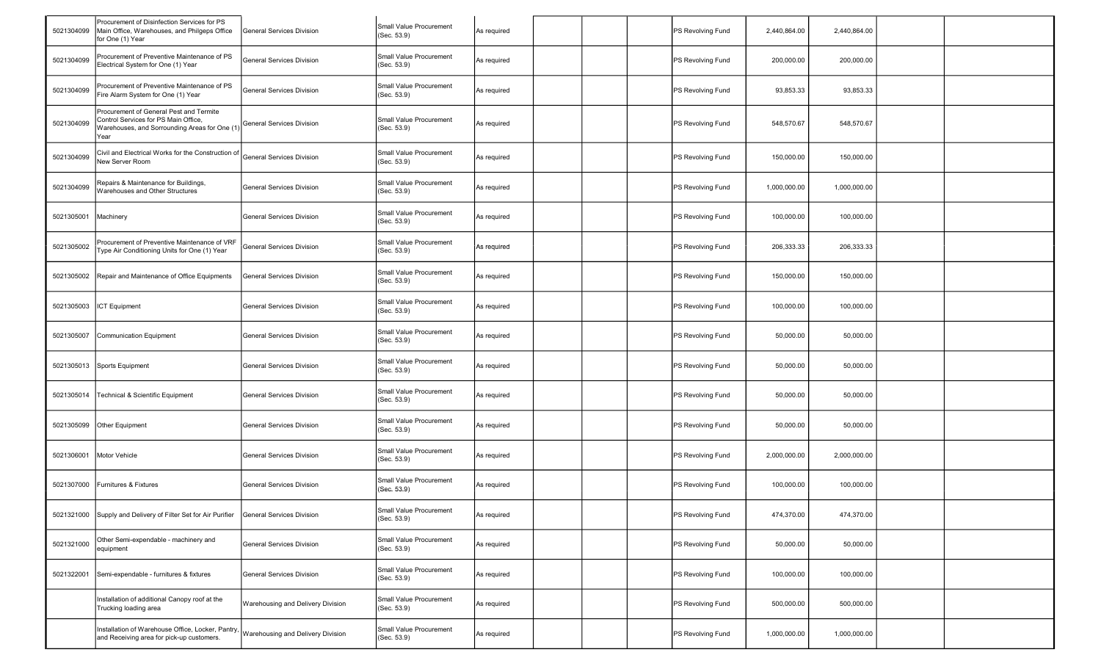| 5021304099 | Procurement of Disinfection Services for PS<br>Main Office, Warehouses, and Philgeps Office<br>for One (1) Year                          | <b>General Services Division</b>  | Small Value Procurement<br>(Sec. 53.9) | As required | PS Revolving Fund | 2,440,864.00 | 2,440,864.00 |  |
|------------|------------------------------------------------------------------------------------------------------------------------------------------|-----------------------------------|----------------------------------------|-------------|-------------------|--------------|--------------|--|
| 5021304099 | Procurement of Preventive Maintenance of PS<br>Electrical System for One (1) Year                                                        | General Services Division         | Small Value Procurement<br>(Sec. 53.9) | As required | PS Revolving Fund | 200,000.00   | 200,000.00   |  |
| 5021304099 | Procurement of Preventive Maintenance of PS<br>Fire Alarm System for One (1) Year                                                        | General Services Division         | Small Value Procurement<br>(Sec. 53.9) | As required | PS Revolving Fund | 93,853.33    | 93,853.33    |  |
| 5021304099 | Procurement of General Pest and Termite<br>Control Services for PS Main Office,<br>Warehouses, and Sorrounding Areas for One (1<br> Year | General Services Division         | Small Value Procurement<br>(Sec. 53.9) | As required | PS Revolving Fund | 548,570.67   | 548,570.67   |  |
| 5021304099 | Civil and Electrical Works for the Construction of<br>New Server Room                                                                    | <b>General Services Division</b>  | Small Value Procurement<br>(Sec. 53.9) | As required | PS Revolving Fund | 150,000.00   | 150,000.00   |  |
| 5021304099 | Repairs & Maintenance for Buildings,<br>Warehouses and Other Structures                                                                  | General Services Division         | Small Value Procurement<br>(Sec. 53.9) | As required | PS Revolving Fund | 1,000,000.00 | 1,000,000.00 |  |
| 5021305001 | Machinery                                                                                                                                | General Services Division         | Small Value Procurement<br>(Sec. 53.9) | As required | PS Revolving Fund | 100,000.00   | 100,000.00   |  |
| 5021305002 | Procurement of Preventive Maintenance of VRF<br>Type Air Conditioning Units for One (1) Year                                             | <b>General Services Division</b>  | Small Value Procurement<br>(Sec. 53.9) | As required | PS Revolving Fund | 206,333.33   | 206,333.33   |  |
| 5021305002 | Repair and Maintenance of Office Equipments                                                                                              | General Services Division         | Small Value Procurement<br>(Sec. 53.9) | As required | PS Revolving Fund | 150,000.00   | 150,000.00   |  |
| 5021305003 | <b>ICT</b> Equipment                                                                                                                     | General Services Division         | Small Value Procurement<br>(Sec. 53.9) | As required | PS Revolving Fund | 100,000.00   | 100,000.00   |  |
| 5021305007 | Communication Equipment                                                                                                                  | <b>General Services Division</b>  | Small Value Procurement<br>(Sec. 53.9) | As required | PS Revolving Fund | 50,000.00    | 50,000.00    |  |
|            | 5021305013 Sports Equipment                                                                                                              | General Services Division         | Small Value Procurement<br>(Sec. 53.9) | As required | PS Revolving Fund | 50,000.00    | 50,000.00    |  |
| 5021305014 | Technical & Scientific Equipment                                                                                                         | <b>General Services Division</b>  | Small Value Procurement<br>(Sec. 53.9) | As required | PS Revolving Fund | 50,000.00    | 50,000.00    |  |
| 5021305099 | Other Equipment                                                                                                                          | General Services Division         | Small Value Procurement<br>(Sec. 53.9) | As required | PS Revolving Fund | 50,000.00    | 50,000.00    |  |
| 5021306001 | Motor Vehicle                                                                                                                            | General Services Division         | Small Value Procurement<br>(Sec. 53.9) | As required | PS Revolving Fund | 2,000,000.00 | 2,000,000.00 |  |
| 5021307000 | Furnitures & Fixtures                                                                                                                    | <b>General Services Division</b>  | Small Value Procurement<br>(Sec. 53.9) | As required | PS Revolving Fund | 100,000.00   | 100,000.00   |  |
|            | 5021321000 Supply and Delivery of Filter Set for Air Purifier                                                                            | General Services Division         | Small Value Procurement<br>(Sec. 53.9) | As required | PS Revolving Fund | 474,370.00   | 474,370.00   |  |
| 5021321000 | Other Semi-expendable - machinery and<br>equipment                                                                                       | General Services Division         | Small Value Procurement<br>(Sec. 53.9) | As required | PS Revolving Fund | 50,000.00    | 50,000.00    |  |
| 5021322001 | Semi-expendable - furnitures & fixtures                                                                                                  | General Services Division         | Small Value Procurement<br>(Sec. 53.9) | As required | PS Revolving Fund | 100,000.00   | 100,000.00   |  |
|            | Installation of additional Canopy roof at the<br>Trucking loading area                                                                   | Warehousing and Delivery Division | Small Value Procurement<br>(Sec. 53.9) | As required | PS Revolving Fund | 500,000.00   | 500,000.00   |  |
|            | Installation of Warehouse Office, Locker, Pantry,<br>and Receiving area for pick-up customers.                                           | Warehousing and Delivery Division | Small Value Procurement<br>(Sec. 53.9) | As required | PS Revolving Fund | 1,000,000.00 | 1,000,000.00 |  |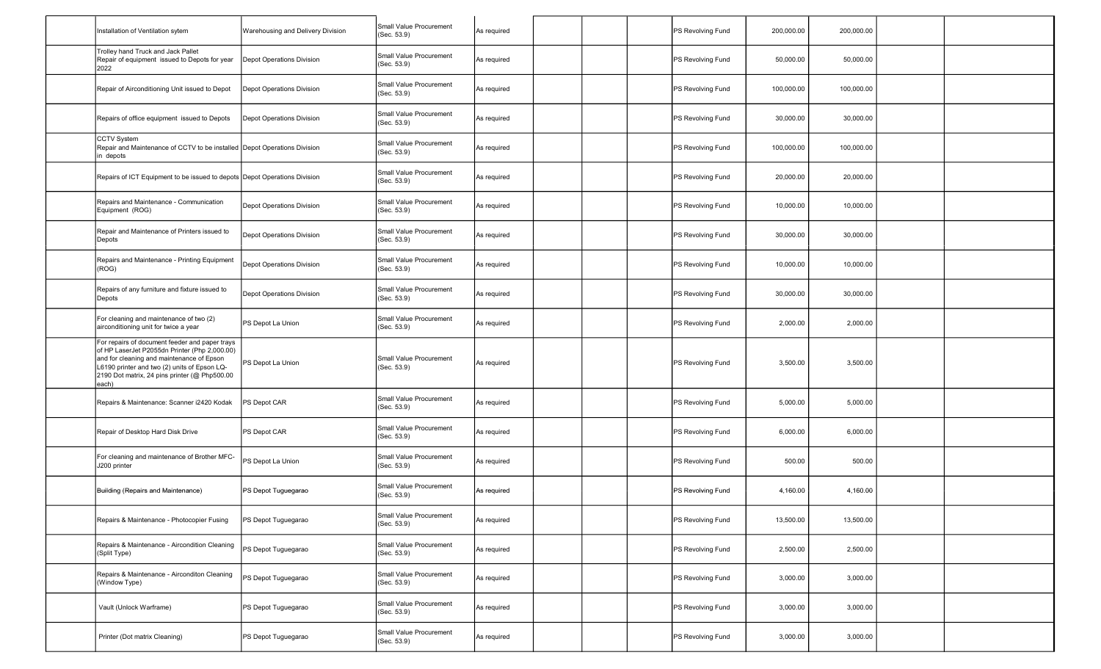| Installation of Ventilation sytem                                                                                                                                                                                                                      | Warehousing and Delivery Division | Small Value Procurement<br>(Sec. 53.9) | As required |  | PS Revolving Fund | 200,000.00 | 200,000.00 |  |
|--------------------------------------------------------------------------------------------------------------------------------------------------------------------------------------------------------------------------------------------------------|-----------------------------------|----------------------------------------|-------------|--|-------------------|------------|------------|--|
| Trolley hand Truck and Jack Pallet<br>Repair of equipment issued to Depots for year<br>2022                                                                                                                                                            | Depot Operations Division         | Small Value Procurement<br>(Sec. 53.9) | As required |  | PS Revolving Fund | 50,000.00  | 50,000.00  |  |
| Repair of Airconditioning Unit issued to Depot                                                                                                                                                                                                         | Depot Operations Division         | Small Value Procurement<br>(Sec. 53.9) | As required |  | PS Revolving Fund | 100,000.00 | 100,000.00 |  |
| Repairs of office equipment issued to Depots                                                                                                                                                                                                           | Depot Operations Division         | Small Value Procurement<br>(Sec. 53.9) | As required |  | PS Revolving Fund | 30,000.00  | 30,000.00  |  |
| <b>CCTV System</b><br>Repair and Maintenance of CCTV to be installed Depot Operations Division<br>in depots                                                                                                                                            |                                   | Small Value Procurement<br>(Sec. 53.9) | As required |  | PS Revolving Fund | 100,000.00 | 100,000.00 |  |
| Repairs of ICT Equipment to be issued to depots Depot Operations Division                                                                                                                                                                              |                                   | Small Value Procurement<br>(Sec. 53.9) | As required |  | PS Revolving Fund | 20,000.00  | 20,000.00  |  |
| Repairs and Maintenance - Communication<br>Equipment (ROG)                                                                                                                                                                                             | Depot Operations Division         | Small Value Procurement<br>(Sec. 53.9) | As required |  | PS Revolving Fund | 10,000.00  | 10,000.00  |  |
| Repair and Maintenance of Printers issued to<br>Depots                                                                                                                                                                                                 | Depot Operations Division         | Small Value Procurement<br>(Sec. 53.9) | As required |  | PS Revolving Fund | 30,000.00  | 30,000.00  |  |
| Repairs and Maintenance - Printing Equipment<br>(ROG)                                                                                                                                                                                                  | Depot Operations Division         | Small Value Procurement<br>(Sec. 53.9) | As required |  | PS Revolving Fund | 10,000.00  | 10,000.00  |  |
| Repairs of any furniture and fixture issued to<br>Depots                                                                                                                                                                                               | Depot Operations Division         | Small Value Procurement<br>(Sec. 53.9) | As required |  | PS Revolving Fund | 30,000.00  | 30,000.00  |  |
| For cleaning and maintenance of two (2)<br>airconditioning unit for twice a year                                                                                                                                                                       | PS Depot La Union                 | Small Value Procurement<br>(Sec. 53.9) | As required |  | PS Revolving Fund | 2,000.00   | 2,000.00   |  |
| For repairs of document feeder and paper trays<br>of HP LaserJet P2055dn Printer (Php 2,000.00)<br>and for cleaning and maintenance of Epson<br>L6190 printer and two (2) units of Epson LQ-<br>2190 Dot matrix, 24 pins printer (@ Php500.00<br>each) | PS Depot La Union                 | Small Value Procurement<br>(Sec. 53.9) | As required |  | PS Revolving Fund | 3,500.00   | 3,500.00   |  |
| Repairs & Maintenance: Scanner i2420 Kodak                                                                                                                                                                                                             | PS Depot CAR                      | Small Value Procurement<br>(Sec. 53.9) | As required |  | PS Revolving Fund | 5,000.00   | 5,000.00   |  |
| Repair of Desktop Hard Disk Drive                                                                                                                                                                                                                      | PS Depot CAR                      | Small Value Procurement<br>(Sec. 53.9) | As required |  | PS Revolving Fund | 6,000.00   | 6,000.00   |  |
| For cleaning and maintenance of Brother MFC-<br>J200 printer                                                                                                                                                                                           | PS Depot La Union                 | Small Value Procurement<br>(Sec. 53.9) | As required |  | PS Revolving Fund | 500.00     | 500.00     |  |
| Building (Repairs and Maintenance)                                                                                                                                                                                                                     | PS Depot Tuguegarao               | Small Value Procurement<br>(Sec. 53.9) | As required |  | PS Revolving Fund | 4,160.00   | 4,160.00   |  |
| Repairs & Maintenance - Photocopier Fusing                                                                                                                                                                                                             | PS Depot Tuguegarao               | Small Value Procurement<br>(Sec. 53.9) | As required |  | PS Revolving Fund | 13,500.00  | 13,500.00  |  |
| Repairs & Maintenance - Aircondition Cleaning<br>(Split Type)                                                                                                                                                                                          | PS Depot Tuguegarao               | Small Value Procurement<br>(Sec. 53.9) | As required |  | PS Revolving Fund | 2,500.00   | 2,500.00   |  |
| Repairs & Maintenance - Airconditon Cleaning<br>(Window Type)                                                                                                                                                                                          | PS Depot Tuguegarao               | Small Value Procurement<br>(Sec. 53.9) | As required |  | PS Revolving Fund | 3,000.00   | 3,000.00   |  |
| Vault (Unlock Warframe)                                                                                                                                                                                                                                | PS Depot Tuguegarao               | Small Value Procurement<br>(Sec. 53.9) | As required |  | PS Revolving Fund | 3,000.00   | 3,000.00   |  |
| Printer (Dot matrix Cleaning)                                                                                                                                                                                                                          | PS Depot Tuguegarao               | Small Value Procurement<br>(Sec. 53.9) | As required |  | PS Revolving Fund | 3,000.00   | 3,000.00   |  |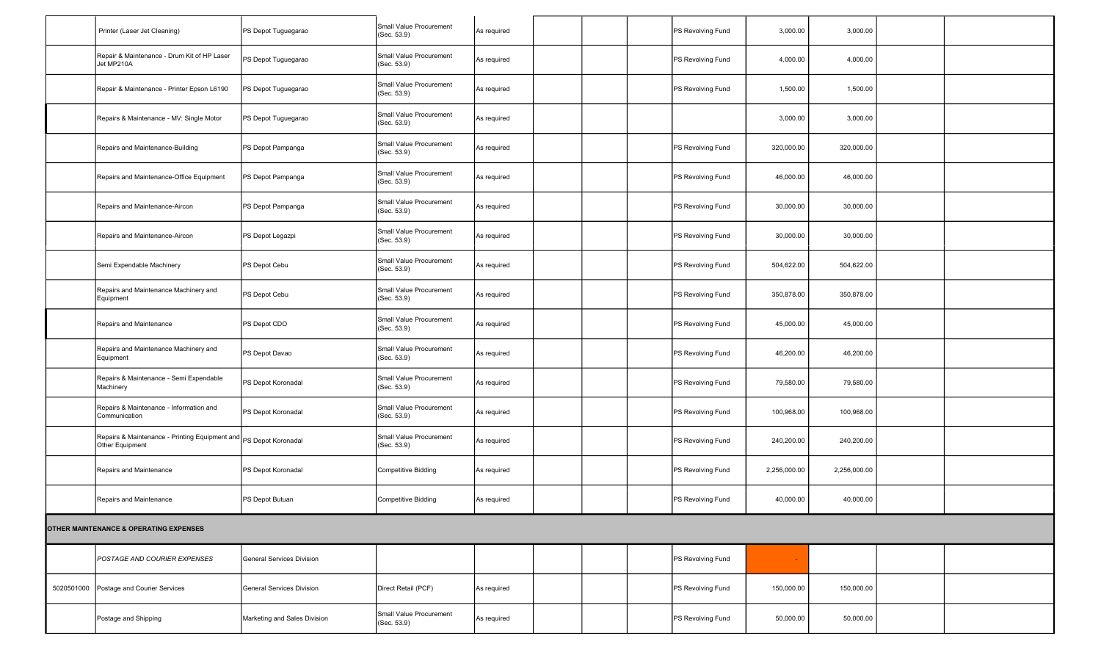|            | Printer (Laser Jet Cleaning)                                                         | PS Depot Tuguegarao              | Small Value Procurement<br>(Sec. 53.9) | As required |  | PS Revolving Fund | 3,000.00     | 3,000.00     |  |
|------------|--------------------------------------------------------------------------------------|----------------------------------|----------------------------------------|-------------|--|-------------------|--------------|--------------|--|
|            | Repair & Maintenance - Drum Kit of HP Laser<br>Jet MP210A                            | PS Depot Tuguegarao              | Small Value Procurement<br>(Sec. 53.9) | As required |  | PS Revolving Fund | 4,000.00     | 4,000.00     |  |
|            | Repair & Maintenance - Printer Epson L6190                                           | PS Depot Tuguegarao              | Small Value Procurement<br>(Sec. 53.9) | As required |  | PS Revolving Fund | 1,500.00     | 1,500.00     |  |
|            | Repairs & Maintenance - MV: Single Motor                                             | PS Depot Tuguegarao              | Small Value Procurement<br>(Sec. 53.9) | As required |  |                   | 3,000.00     | 3,000.00     |  |
|            | Repairs and Maintenance-Building                                                     | PS Depot Pampanga                | Small Value Procurement<br>(Sec. 53.9) | As required |  | PS Revolving Fund | 320,000.00   | 320,000.00   |  |
|            | Repairs and Maintenance-Office Equipment                                             | PS Depot Pampanga                | Small Value Procurement<br>(Sec. 53.9) | As required |  | PS Revolving Fund | 46,000.00    | 46,000.00    |  |
|            | Repairs and Maintenance-Aircon                                                       | PS Depot Pampanga                | Small Value Procurement<br>(Sec. 53.9) | As required |  | PS Revolving Fund | 30,000.00    | 30,000.00    |  |
|            | Repairs and Maintenance-Aircon                                                       | PS Depot Legazpi                 | Small Value Procurement<br>(Sec. 53.9) | As required |  | PS Revolving Fund | 30,000.00    | 30,000.00    |  |
|            | Semi Expendable Machinery                                                            | PS Depot Cebu                    | Small Value Procurement<br>(Sec. 53.9) | As required |  | PS Revolving Fund | 504,622.00   | 504,622.00   |  |
|            | Repairs and Maintenance Machinery and<br>Equipment                                   | PS Depot Cebu                    | Small Value Procurement<br>(Sec. 53.9) | As required |  | PS Revolving Fund | 350,878.00   | 350,878.00   |  |
|            | Repairs and Maintenance                                                              | PS Depot CDO                     | Small Value Procurement<br>(Sec. 53.9) | As required |  | PS Revolving Fund | 45,000.00    | 45,000.00    |  |
|            | Repairs and Maintenance Machinery and<br>Equipment                                   | PS Depot Davao                   | Small Value Procurement<br>(Sec. 53.9) | As required |  | PS Revolving Fund | 46,200.00    | 46,200.00    |  |
|            | Repairs & Maintenance - Semi Expendable<br>Machinery                                 | PS Depot Koronadal               | Small Value Procurement<br>(Sec. 53.9) | As required |  | PS Revolving Fund | 79,580.00    | 79,580.00    |  |
|            | Repairs & Maintenance - Information and<br>Communication                             | PS Depot Koronadal               | Small Value Procurement<br>(Sec. 53.9) | As required |  | PS Revolving Fund | 100,968.00   | 100,968.00   |  |
|            | Repairs & Maintenance - Printing Equipment and PS Depot Koronadal<br>Other Equipment |                                  | Small Value Procurement<br>(Sec. 53.9) | As required |  | PS Revolving Fund | 240,200.00   | 240,200.00   |  |
|            | Repairs and Maintenance                                                              | PS Depot Koronadal               | <b>Competitive Bidding</b>             | As required |  | PS Revolving Fund | 2,256,000.00 | 2,256,000.00 |  |
|            | Repairs and Maintenance                                                              | PS Depot Butuan                  | Competitive Bidding                    | As required |  | PS Revolving Fund | 40,000.00    | 40,000.00    |  |
|            | OTHER MAINTENANCE & OPERATING EXPENSES                                               |                                  |                                        |             |  |                   |              |              |  |
|            | <b>POSTAGE AND COURIER EXPENSES</b>                                                  | <b>General Services Division</b> |                                        |             |  | PS Revolving Fund |              |              |  |
| 5020501000 | Postage and Courier Services                                                         | General Services Division        | Direct Retail (PCF)                    | As required |  | PS Revolving Fund | 150,000.00   | 150,000.00   |  |
|            | Postage and Shipping                                                                 | Marketing and Sales Division     | Small Value Procurement<br>(Sec. 53.9) | As required |  | PS Revolving Fund | 50,000.00    | 50,000.00    |  |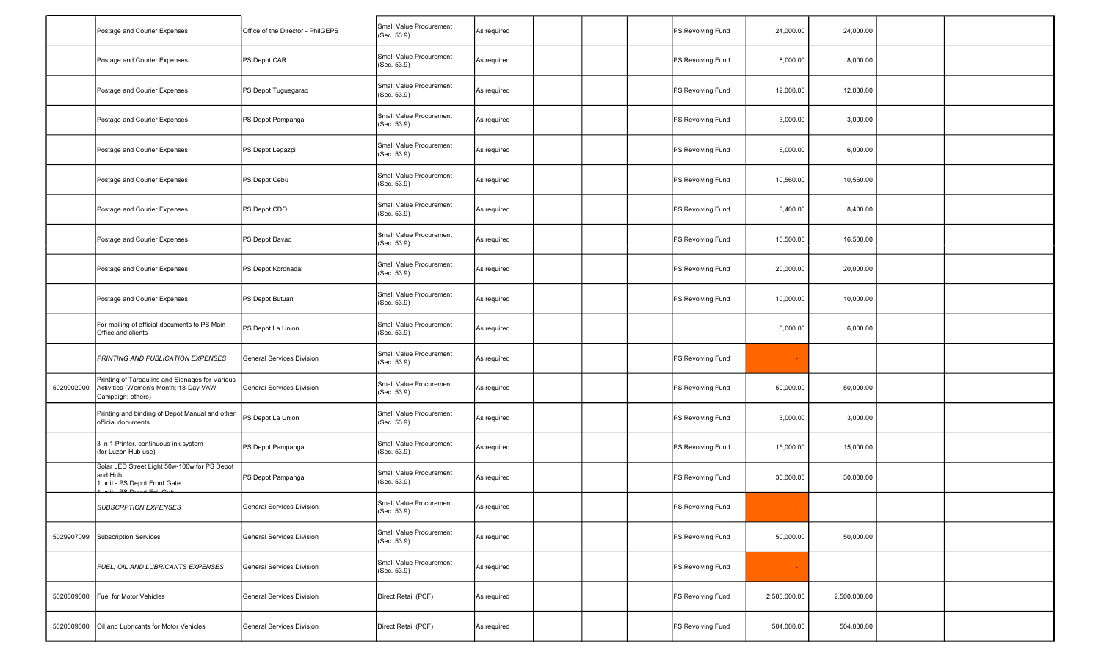|            | Postage and Courier Expenses                                                                                  | Office of the Director - PhilGEPS | Small Value Procurement<br>(Sec. 53.9) | As required |  | PS Revolving Fund | 24,000.00    | 24,000.00    |  |
|------------|---------------------------------------------------------------------------------------------------------------|-----------------------------------|----------------------------------------|-------------|--|-------------------|--------------|--------------|--|
|            | Postage and Courier Expenses                                                                                  | PS Depot CAR                      | Small Value Procurement<br>(Sec. 53.9) | As required |  | PS Revolving Fund | 8,000.00     | 8,000.00     |  |
|            | Postage and Courier Expenses                                                                                  | PS Depot Tuguegarao               | Small Value Procurement<br>(Sec. 53.9) | As required |  | PS Revolving Fund | 12,000.00    | 12,000.00    |  |
|            | Postage and Courier Expenses                                                                                  | PS Depot Pampanga                 | Small Value Procurement<br>(Sec. 53.9) | As required |  | PS Revolving Fund | 3,000.00     | 3,000.00     |  |
|            | Postage and Courier Expenses                                                                                  | PS Depot Legazpi                  | Small Value Procurement<br>(Sec. 53.9) | As required |  | PS Revolving Fund | 6,000.00     | 6,000.00     |  |
|            | Postage and Courier Expenses                                                                                  | PS Depot Cebu                     | Small Value Procurement<br>(Sec. 53.9) | As required |  | PS Revolving Fund | 10,560.00    | 10,560.00    |  |
|            | Postage and Courier Expenses                                                                                  | PS Depot CDO                      | Small Value Procurement<br>(Sec. 53.9) | As required |  | PS Revolving Fund | 8,400.00     | 8,400.00     |  |
|            | Postage and Courier Expenses                                                                                  | PS Depot Davao                    | Small Value Procurement<br>(Sec. 53.9) | As required |  | PS Revolving Fund | 16,500.00    | 16,500.00    |  |
|            | Postage and Courier Expenses                                                                                  | PS Depot Koronadal                | Small Value Procurement<br>(Sec. 53.9) | As required |  | PS Revolving Fund | 20,000.00    | 20,000.00    |  |
|            | Postage and Courier Expenses                                                                                  | PS Depot Butuan                   | Small Value Procurement<br>(Sec. 53.9) | As required |  | PS Revolving Fund | 10,000.00    | 10,000.00    |  |
|            | For mailing of official documents to PS Main<br>Office and clients                                            | PS Depot La Union                 | Small Value Procurement<br>(Sec. 53.9) | As required |  |                   | 6,000.00     | 6,000.00     |  |
|            | PRINTING AND PUBLICATION EXPENSES                                                                             | <b>General Services Division</b>  | Small Value Procurement<br>(Sec. 53.9) | As required |  | PS Revolving Fund |              |              |  |
| 5029902000 | Printing of Tarpaulins and Signages for Various<br>Activities (Women's Month; 18-Day VAW<br>Campaign; others) | General Services Division         | Small Value Procurement<br>(Sec. 53.9) | As required |  | PS Revolving Fund | 50,000.00    | 50,000.00    |  |
|            | Printing and binding of Depot Manual and other<br>official documents                                          | PS Depot La Union                 | Small Value Procurement<br>(Sec. 53.9) | As required |  | PS Revolving Fund | 3,000.00     | 3,000.00     |  |
|            | 3 in 1 Printer, continuous ink system<br>(for Luzon Hub use)                                                  | PS Depot Pampanga                 | Small Value Procurement<br>(Sec. 53.9) | As required |  | PS Revolving Fund | 15,000.00    | 15,000.00    |  |
|            | Solar LED Street Light 50w-100w for PS Depot<br>and Hub<br>1 unit - PS Depot Front Gate                       | PS Depot Pampanga                 | Small Value Procurement<br>(Sec. 53.9) | As required |  | PS Revolving Fund | 30,000.00    | 30,000.00    |  |
|            | <b>SUBSCRPTION EXPENSES</b>                                                                                   | General Services Division         | Small Value Procurement<br>(Sec. 53.9) | As required |  | PS Revolving Fund |              |              |  |
| 5029907099 | Subscription Services                                                                                         | General Services Division         | Small Value Procurement<br>(Sec. 53.9) | As required |  | PS Revolving Fund | 50,000.00    | 50,000.00    |  |
|            | FUEL, OIL AND LUBRICANTS EXPENSES                                                                             | General Services Division         | Small Value Procurement<br>(Sec. 53.9) | As required |  | PS Revolving Fund |              |              |  |
| 5020309000 | Fuel for Motor Vehicles                                                                                       | General Services Division         | Direct Retail (PCF)                    | As required |  | PS Revolving Fund | 2,500,000.00 | 2,500,000.00 |  |
| 5020309000 | Oil and Lubricants for Motor Vehicles                                                                         | General Services Division         | Direct Retail (PCF)                    | As required |  | PS Revolving Fund | 504,000.00   | 504,000.00   |  |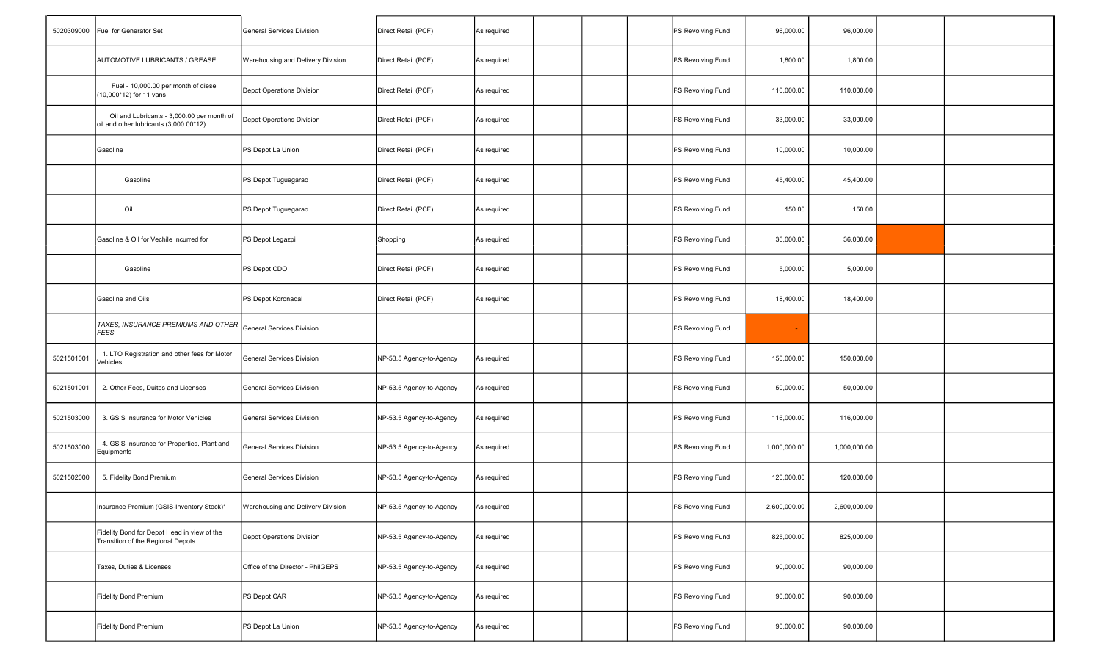| 5020309000 | Fuel for Generator Set                                                               | General Services Division         | Direct Retail (PCF)      | As required |  | PS Revolving Fund | 96,000.00    | 96,000.00    |  |
|------------|--------------------------------------------------------------------------------------|-----------------------------------|--------------------------|-------------|--|-------------------|--------------|--------------|--|
|            | AUTOMOTIVE LUBRICANTS / GREASE                                                       | Warehousing and Delivery Division | Direct Retail (PCF)      | As required |  | PS Revolving Fund | 1,800.00     | 1,800.00     |  |
|            | Fuel - 10,000.00 per month of diesel<br>(10,000*12) for 11 vans                      | Depot Operations Division         | Direct Retail (PCF)      | As required |  | PS Revolving Fund | 110,000.00   | 110,000.00   |  |
|            | Oil and Lubricants - 3,000.00 per month of<br>oil and other lubricants (3,000.00*12) | Depot Operations Division         | Direct Retail (PCF)      | As required |  | PS Revolving Fund | 33,000.00    | 33,000.00    |  |
|            | Gasoline                                                                             | PS Depot La Union                 | Direct Retail (PCF)      | As required |  | PS Revolving Fund | 10,000.00    | 10,000.00    |  |
|            | Gasoline                                                                             | PS Depot Tuguegarao               | Direct Retail (PCF)      | As required |  | PS Revolving Fund | 45,400.00    | 45,400.00    |  |
|            | Oil                                                                                  | PS Depot Tuguegarao               | Direct Retail (PCF)      | As required |  | PS Revolving Fund | 150.00       | 150.00       |  |
|            | Gasoline & Oil for Vechile incurred for                                              | PS Depot Legazpi                  | Shopping                 | As required |  | PS Revolving Fund | 36,000.00    | 36,000.00    |  |
|            | Gasoline                                                                             | PS Depot CDO                      | Direct Retail (PCF)      | As required |  | PS Revolving Fund | 5,000.00     | 5,000.00     |  |
|            | Gasoline and Oils                                                                    | PS Depot Koronadal                | Direct Retail (PCF)      | As required |  | PS Revolving Fund | 18,400.00    | 18,400.00    |  |
|            | TAXES, INSURANCE PREMIUMS AND OTHER<br><b>FEES</b>                                   | General Services Division         |                          |             |  | PS Revolving Fund |              |              |  |
| 5021501001 | 1. LTO Registration and other fees for Motor<br>Vehicles                             | General Services Division         | NP-53.5 Agency-to-Agency | As required |  | PS Revolving Fund | 150,000.00   | 150,000.00   |  |
| 5021501001 | 2. Other Fees, Duites and Licenses                                                   | General Services Division         | NP-53.5 Agency-to-Agency | As required |  | PS Revolving Fund | 50,000.00    | 50,000.00    |  |
| 5021503000 | 3. GSIS Insurance for Motor Vehicles                                                 | General Services Division         | NP-53.5 Agency-to-Agency | As required |  | PS Revolving Fund | 116,000.00   | 116,000.00   |  |
| 5021503000 | 4. GSIS Insurance for Properties, Plant and<br>Equipments                            | General Services Division         | NP-53.5 Agency-to-Agency | As required |  | PS Revolving Fund | 1,000,000.00 | 1,000,000.00 |  |
| 5021502000 | 5. Fidelity Bond Premium                                                             | <b>General Services Division</b>  | NP-53.5 Agency-to-Agency | As required |  | PS Revolving Fund | 120,000.00   | 120,000.00   |  |
|            | Insurance Premium (GSIS-Inventory Stock)*                                            | Warehousing and Delivery Division | NP-53.5 Agency-to-Agency | As required |  | PS Revolving Fund | 2,600,000.00 | 2,600,000.00 |  |
|            | Fidelity Bond for Depot Head in view of the<br>Transition of the Regional Depots     | Depot Operations Division         | NP-53.5 Agency-to-Agency | As required |  | PS Revolving Fund | 825,000.00   | 825,000.00   |  |
|            | Taxes, Duties & Licenses                                                             | Office of the Director - PhilGEPS | NP-53.5 Agency-to-Agency | As required |  | PS Revolving Fund | 90,000.00    | 90,000.00    |  |
|            | <b>Fidelity Bond Premium</b>                                                         | PS Depot CAR                      | NP-53.5 Agency-to-Agency | As required |  | PS Revolving Fund | 90,000.00    | 90,000.00    |  |
|            | <b>Fidelity Bond Premium</b>                                                         | PS Depot La Union                 | NP-53.5 Agency-to-Agency | As required |  | PS Revolving Fund | 90,000.00    | 90,000.00    |  |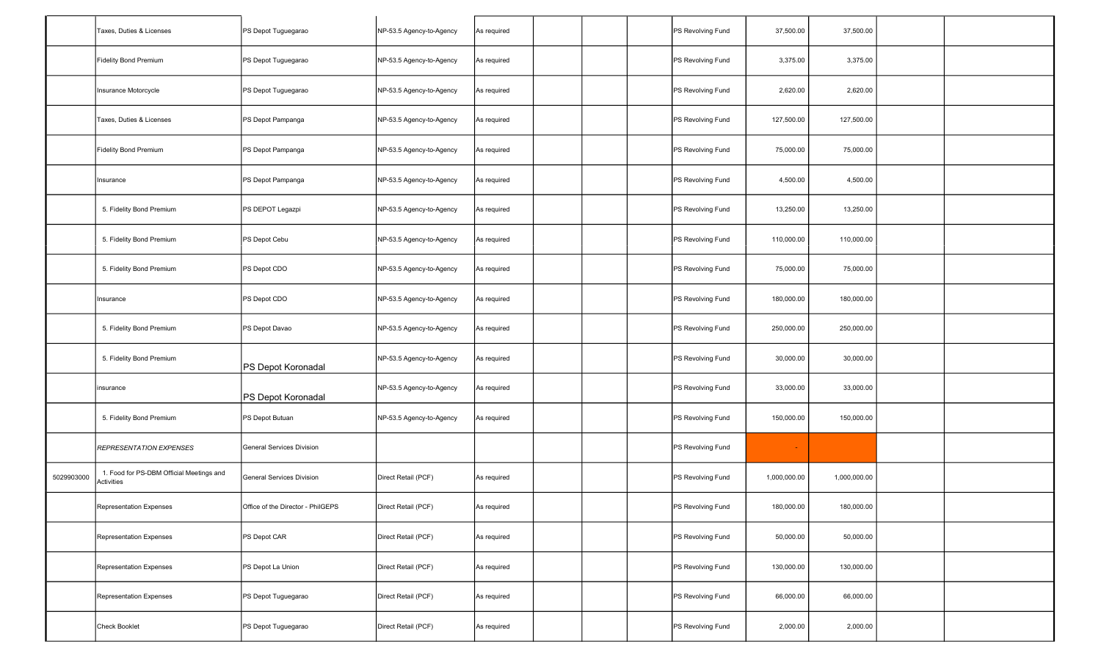| Taxes, Duties & Licenses                               | PS Depot Tuguegarao               | NP-53.5 Agency-to-Agency | As required |  | PS Revolving Fund | 37,500.00                                                                                                                                                                                                      | 37,500.00    |  |
|--------------------------------------------------------|-----------------------------------|--------------------------|-------------|--|-------------------|----------------------------------------------------------------------------------------------------------------------------------------------------------------------------------------------------------------|--------------|--|
| Fidelity Bond Premium                                  | PS Depot Tuguegarao               | NP-53.5 Agency-to-Agency | As required |  | PS Revolving Fund | 3,375.00                                                                                                                                                                                                       | 3,375.00     |  |
| Insurance Motorcycle                                   | PS Depot Tuguegarao               | NP-53.5 Agency-to-Agency | As required |  |                   | 2,620.00                                                                                                                                                                                                       | 2,620.00     |  |
| Taxes. Duties & Licenses                               | PS Depot Pampanga                 | NP-53.5 Agency-to-Agency | As required |  |                   | 127,500.00                                                                                                                                                                                                     | 127,500.00   |  |
| <b>Fidelity Bond Premium</b>                           | PS Depot Pampanga                 | NP-53.5 Agency-to-Agency | As required |  | PS Revolving Fund | 75,000.00                                                                                                                                                                                                      | 75,000.00    |  |
| Insurance                                              | PS Depot Pampanga                 | NP-53.5 Agency-to-Agency | As required |  | PS Revolving Fund | 4,500.00                                                                                                                                                                                                       | 4,500.00     |  |
| 5. Fidelity Bond Premium                               | PS DEPOT Legazpi                  | NP-53.5 Agency-to-Agency | As required |  | PS Revolving Fund | 13,250.00                                                                                                                                                                                                      | 13,250.00    |  |
| 5. Fidelity Bond Premium                               | PS Depot Cebu                     | NP-53.5 Agency-to-Agency | As required |  |                   | 110,000.00                                                                                                                                                                                                     | 110,000.00   |  |
| 5. Fidelity Bond Premium                               | PS Depot CDO                      | NP-53.5 Agency-to-Agency | As required |  | PS Revolving Fund | 75,000.00                                                                                                                                                                                                      | 75,000.00    |  |
| Insurance                                              | PS Depot CDO                      | NP-53.5 Agency-to-Agency | As required |  |                   | 180,000.00                                                                                                                                                                                                     | 180,000.00   |  |
| 5. Fidelity Bond Premium                               | PS Depot Davao                    | NP-53.5 Agency-to-Agency | As required |  | PS Revolving Fund | 250,000.00                                                                                                                                                                                                     | 250,000.00   |  |
| 5. Fidelity Bond Premium                               | PS Depot Koronadal                | NP-53.5 Agency-to-Agency | As required |  |                   | 30,000.00                                                                                                                                                                                                      | 30,000.00    |  |
| insurance                                              | PS Depot Koronadal                | NP-53.5 Agency-to-Agency | As required |  | PS Revolving Fund | 33,000.00                                                                                                                                                                                                      | 33,000.00    |  |
| 5. Fidelity Bond Premium                               | PS Depot Butuan                   | NP-53.5 Agency-to-Agency | As required |  | PS Revolving Fund | 150,000.00                                                                                                                                                                                                     | 150,000.00   |  |
| <b>REPRESENTATION EXPENSES</b>                         | <b>General Services Division</b>  |                          |             |  | PS Revolving Fund |                                                                                                                                                                                                                |              |  |
| 1. Food for PS-DBM Official Meetings and<br>Activities | <b>General Services Division</b>  | Direct Retail (PCF)      | As required |  |                   | 1,000,000.00                                                                                                                                                                                                   | 1,000,000.00 |  |
| Representation Expenses                                | Office of the Director - PhilGEPS | Direct Retail (PCF)      | As required |  |                   | 180,000.00                                                                                                                                                                                                     | 180,000.00   |  |
| Representation Expenses                                | PS Depot CAR                      | Direct Retail (PCF)      | As required |  | PS Revolving Fund | 50,000.00                                                                                                                                                                                                      | 50,000.00    |  |
| Representation Expenses                                | PS Depot La Union                 | Direct Retail (PCF)      | As required |  |                   | 130,000.00                                                                                                                                                                                                     | 130,000.00   |  |
| Representation Expenses                                | PS Depot Tuguegarao               | Direct Retail (PCF)      | As required |  |                   | 66,000.00                                                                                                                                                                                                      | 66,000.00    |  |
| Check Booklet                                          | PS Depot Tuguegarao               | Direct Retail (PCF)      | As required |  |                   | 2,000.00                                                                                                                                                                                                       | 2,000.00     |  |
|                                                        |                                   |                          |             |  |                   | PS Revolving Fund<br>PS Revolving Fund<br>PS Revolving Fund<br>PS Revolving Fund<br>PS Revolving Fund<br>PS Revolving Fund<br>PS Revolving Fund<br>PS Revolving Fund<br>PS Revolving Fund<br>PS Revolving Fund |              |  |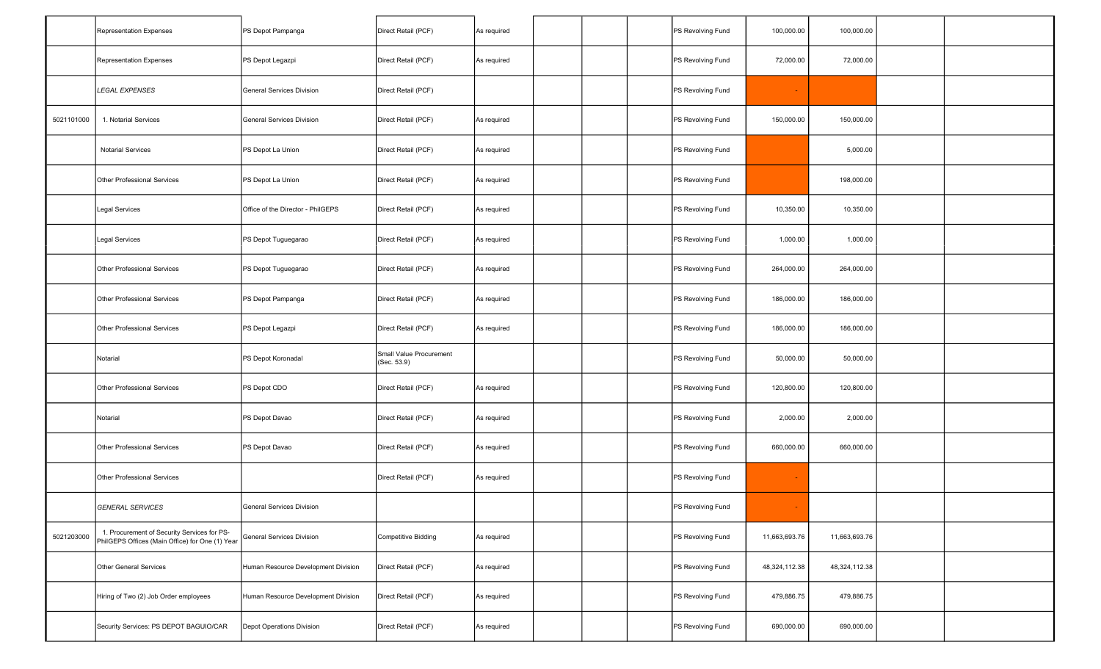|            | <b>Representation Expenses</b>                                                                 | PS Depot Pampanga                   | Direct Retail (PCF)                    | As required |  | PS Revolving Fund | 100,000.00    | 100,000.00    |  |
|------------|------------------------------------------------------------------------------------------------|-------------------------------------|----------------------------------------|-------------|--|-------------------|---------------|---------------|--|
|            | <b>Representation Expenses</b>                                                                 | PS Depot Legazpi                    | Direct Retail (PCF)                    | As required |  | PS Revolving Fund | 72,000.00     | 72,000.00     |  |
|            | <b>LEGAL EXPENSES</b>                                                                          | General Services Division           | Direct Retail (PCF)                    |             |  | PS Revolving Fund |               |               |  |
| 5021101000 | 1. Notarial Services                                                                           | <b>General Services Division</b>    | Direct Retail (PCF)                    | As required |  | PS Revolving Fund | 150,000.00    | 150,000.00    |  |
|            | <b>Notarial Services</b>                                                                       | PS Depot La Union                   | Direct Retail (PCF)                    | As required |  | PS Revolving Fund |               | 5,000.00      |  |
|            | Other Professional Services                                                                    | PS Depot La Union                   | Direct Retail (PCF)                    | As required |  | PS Revolving Fund |               | 198,000.00    |  |
|            | Legal Services                                                                                 | Office of the Director - PhilGEPS   | Direct Retail (PCF)                    | As required |  | PS Revolving Fund | 10,350.00     | 10,350.00     |  |
|            | <b>Legal Services</b>                                                                          | PS Depot Tuguegarao                 | Direct Retail (PCF)                    | As required |  | PS Revolving Fund | 1,000.00      | 1,000.00      |  |
|            | Other Professional Services                                                                    | PS Depot Tuguegarao                 | Direct Retail (PCF)                    | As required |  | PS Revolving Fund | 264,000.00    | 264,000.00    |  |
|            | Other Professional Services                                                                    | PS Depot Pampanga                   | Direct Retail (PCF)                    | As required |  | PS Revolving Fund | 186,000.00    | 186,000.00    |  |
|            | Other Professional Services                                                                    | PS Depot Legazpi                    | Direct Retail (PCF)                    | As required |  | PS Revolving Fund | 186,000.00    | 186,000.00    |  |
|            | Notarial                                                                                       | PS Depot Koronadal                  | Small Value Procurement<br>(Sec. 53.9) |             |  | PS Revolving Fund | 50,000.00     | 50,000.00     |  |
|            | Other Professional Services                                                                    | PS Depot CDO                        | Direct Retail (PCF)                    | As required |  | PS Revolving Fund | 120,800.00    | 120,800.00    |  |
|            | Notarial                                                                                       | PS Depot Davao                      | Direct Retail (PCF)                    | As required |  | PS Revolving Fund | 2,000.00      | 2,000.00      |  |
|            | Other Professional Services                                                                    | PS Depot Davao                      | Direct Retail (PCF)                    | As required |  | PS Revolving Fund | 660,000.00    | 660,000.00    |  |
|            | <b>Other Professional Services</b>                                                             |                                     | Direct Retail (PCF)                    | As required |  | PS Revolving Fund | $\sim$        |               |  |
|            | <b>GENERAL SERVICES</b>                                                                        | General Services Division           |                                        |             |  | PS Revolving Fund |               |               |  |
| 5021203000 | 1. Procurement of Security Services for PS-<br>PhilGEPS Offices (Main Office) for One (1) Year | General Services Division           | <b>Competitive Bidding</b>             | As required |  | PS Revolving Fund | 11,663,693.76 | 11,663,693.76 |  |
|            | Other General Services                                                                         | Human Resource Development Division | Direct Retail (PCF)                    | As required |  | PS Revolving Fund | 48,324,112.38 | 48,324,112.38 |  |
|            | Hiring of Two (2) Job Order employees                                                          | Human Resource Development Division | Direct Retail (PCF)                    | As required |  | PS Revolving Fund | 479,886.75    | 479,886.75    |  |
|            | Security Services: PS DEPOT BAGUIO/CAR                                                         | Depot Operations Division           | Direct Retail (PCF)                    | As required |  | PS Revolving Fund | 690,000.00    | 690,000.00    |  |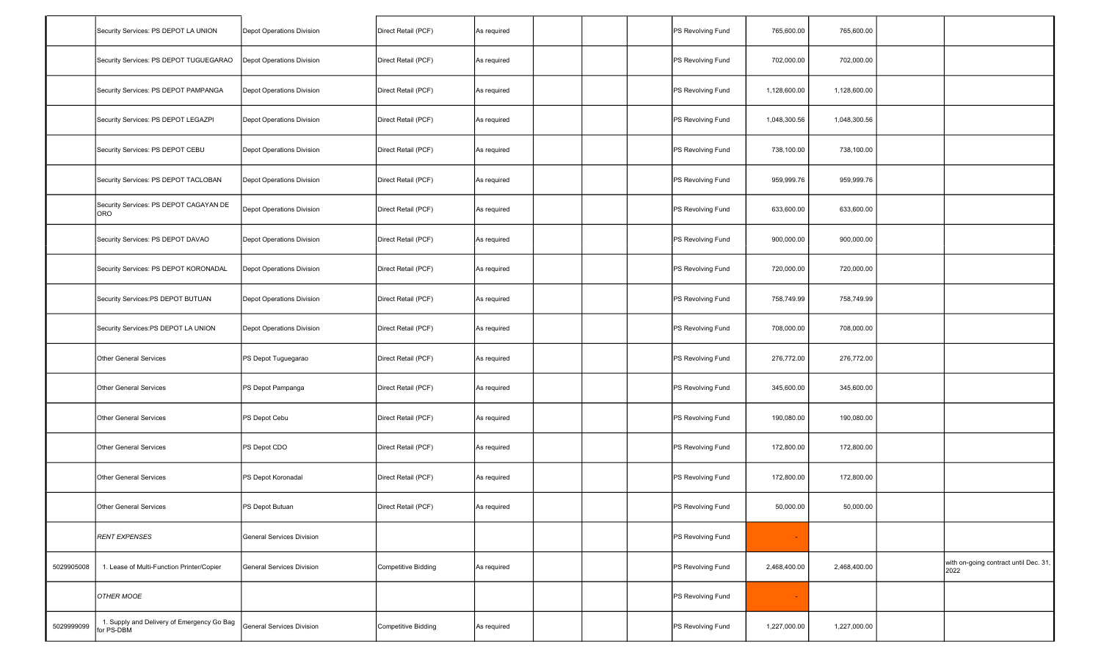|            | Security Services: PS DEPOT LA UNION                     | Depot Operations Division        | Direct Retail (PCF)        | As required |  | PS Revolving Fund | 765,600.00   | 765,600.00   |                                               |
|------------|----------------------------------------------------------|----------------------------------|----------------------------|-------------|--|-------------------|--------------|--------------|-----------------------------------------------|
|            | Security Services: PS DEPOT TUGUEGARAO                   | Depot Operations Division        | Direct Retail (PCF)        | As required |  | PS Revolving Fund | 702,000.00   | 702,000.00   |                                               |
|            | Security Services: PS DEPOT PAMPANGA                     | Depot Operations Division        | Direct Retail (PCF)        | As required |  | PS Revolving Fund | 1,128,600.00 | 1,128,600.00 |                                               |
|            | Security Services: PS DEPOT LEGAZPI                      | Depot Operations Division        | Direct Retail (PCF)        | As required |  | PS Revolving Fund | 1,048,300.56 | 1,048,300.56 |                                               |
|            | Security Services: PS DEPOT CEBU                         | Depot Operations Division        | Direct Retail (PCF)        | As required |  | PS Revolving Fund | 738,100.00   | 738,100.00   |                                               |
|            | Security Services: PS DEPOT TACLOBAN                     | Depot Operations Division        | Direct Retail (PCF)        | As required |  | PS Revolving Fund | 959,999.76   | 959,999.76   |                                               |
|            | Security Services: PS DEPOT CAGAYAN DE<br>ORO            | Depot Operations Division        | Direct Retail (PCF)        | As required |  | PS Revolving Fund | 633,600.00   | 633,600.00   |                                               |
|            | Security Services: PS DEPOT DAVAO                        | Depot Operations Division        | Direct Retail (PCF)        | As required |  | PS Revolving Fund | 900,000.00   | 900,000.00   |                                               |
|            | Security Services: PS DEPOT KORONADAL                    | Depot Operations Division        | Direct Retail (PCF)        | As required |  | PS Revolving Fund | 720,000.00   | 720,000.00   |                                               |
|            | Security Services:PS DEPOT BUTUAN                        | Depot Operations Division        | Direct Retail (PCF)        | As required |  | PS Revolving Fund | 758,749.99   | 758,749.99   |                                               |
|            | Security Services:PS DEPOT LA UNION                      | Depot Operations Division        | Direct Retail (PCF)        | As required |  | PS Revolving Fund | 708,000.00   | 708,000.00   |                                               |
|            | Other General Services                                   | PS Depot Tuguegarao              | Direct Retail (PCF)        | As required |  | PS Revolving Fund | 276,772.00   | 276,772.00   |                                               |
|            | Other General Services                                   | PS Depot Pampanga                | Direct Retail (PCF)        | As required |  | PS Revolving Fund | 345,600.00   | 345,600.00   |                                               |
|            | <b>Other General Services</b>                            | PS Depot Cebu                    | Direct Retail (PCF)        | As required |  | PS Revolving Fund | 190,080.00   | 190,080.00   |                                               |
|            | <b>Other General Services</b>                            | PS Depot CDO                     | Direct Retail (PCF)        | As required |  | PS Revolving Fund | 172,800.00   | 172,800.00   |                                               |
|            | Other General Services                                   | PS Depot Koronadal               | Direct Retail (PCF)        | As required |  | PS Revolving Fund | 172,800.00   | 172,800.00   |                                               |
|            | Other General Services                                   | PS Depot Butuan                  | Direct Retail (PCF)        | As required |  | PS Revolving Fund | 50,000.00    | 50,000.00    |                                               |
|            | <b>RENT EXPENSES</b>                                     | <b>General Services Division</b> |                            |             |  | PS Revolving Fund |              |              |                                               |
| 5029905008 | 1. Lease of Multi-Function Printer/Copier                | General Services Division        | <b>Competitive Bidding</b> | As required |  | PS Revolving Fund | 2,468,400.00 | 2,468,400.00 | with on-going contract until Dec. 31,<br>2022 |
|            | OTHER MOOE                                               |                                  |                            |             |  | PS Revolving Fund |              |              |                                               |
| 5029999099 | 1. Supply and Delivery of Emergency Go Bag<br>for PS-DBM | <b>General Services Division</b> | <b>Competitive Bidding</b> | As required |  | PS Revolving Fund | 1,227,000.00 | 1,227,000.00 |                                               |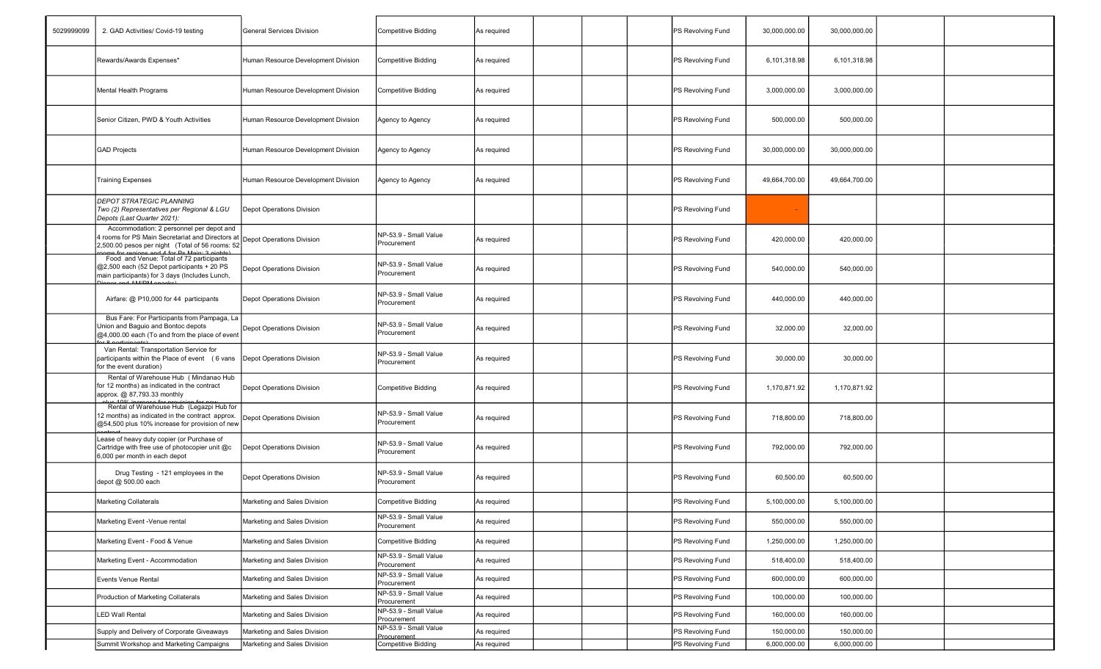| 5029999099 | 2. GAD Activities/ Covid-19 testing                                                                                                                                       | General Services Division           | <b>Competitive Bidding</b>           | As required |  | PS Revolving Fund | 30,000,000.00 | 30,000,000.00 |  |
|------------|---------------------------------------------------------------------------------------------------------------------------------------------------------------------------|-------------------------------------|--------------------------------------|-------------|--|-------------------|---------------|---------------|--|
|            | Rewards/Awards Expenses*                                                                                                                                                  | Human Resource Development Division | Competitive Bidding                  | As required |  | PS Revolving Fund | 6,101,318.98  | 6,101,318.98  |  |
|            | Mental Health Programs                                                                                                                                                    | Human Resource Development Division | Competitive Bidding                  | As required |  | PS Revolving Fund | 3,000,000.00  | 3,000,000.00  |  |
|            | Senior Citizen, PWD & Youth Activities                                                                                                                                    | Human Resource Development Division | Agency to Agency                     | As required |  | PS Revolving Fund | 500,000.00    | 500,000.00    |  |
|            | <b>GAD Projects</b>                                                                                                                                                       | Human Resource Development Division | Agency to Agency                     | As required |  | PS Revolving Fund | 30,000,000.00 | 30,000,000.00 |  |
|            | <b>Training Expenses</b>                                                                                                                                                  | Human Resource Development Division | Agency to Agency                     | As required |  | PS Revolving Fund | 49,664,700.00 | 49,664,700.00 |  |
|            | <b>DEPOT STRATEGIC PLANNING</b><br>Two (2) Representatives per Regional & LGU<br>Depots (Last Quarter 2021):                                                              | Depot Operations Division           |                                      |             |  | PS Revolving Fund |               |               |  |
|            | Accommodation: 2 personnel per depot and<br>4 rooms for PS Main Secretariat and Directors at Depot Operations Division<br>2,500.00 pesos per night (Total of 56 rooms: 52 |                                     | NP-53.9 - Small Value<br>Procurement | As required |  | PS Revolving Fund | 420,000.00    | 420,000.00    |  |
|            | Food and Venue: Total of 72 participants<br>@2,500 each (52 Depot participants + 20 PS<br>main participants) for 3 days (Includes Lunch,                                  | Depot Operations Division           | NP-53.9 - Small Value<br>Procurement | As required |  | PS Revolving Fund | 540,000.00    | 540,000.00    |  |
|            | Airfare: @ P10,000 for 44 participants                                                                                                                                    | Depot Operations Division           | NP-53.9 - Small Value<br>Procurement | As required |  | PS Revolving Fund | 440,000.00    | 440,000.00    |  |
|            | Bus Fare: For Participants from Pampaga, La<br>Union and Baguio and Bontoc depots<br>@4,000.00 each (To and from the place of even                                        | Depot Operations Division           | NP-53.9 - Small Value<br>Procurement | As required |  | PS Revolving Fund | 32,000.00     | 32,000.00     |  |
|            | Van Rental: Transportation Service for<br>participants within the Place of event (6 vans<br>for the event duration)                                                       | Depot Operations Division           | NP-53.9 - Small Value<br>Procurement | As required |  | PS Revolving Fund | 30,000.00     | 30,000.00     |  |
|            | Rental of Warehouse Hub ( Mindanao Hub<br>for 12 months) as indicated in the contract<br>approx. @ 87,793.33 monthly                                                      | Depot Operations Division           | Competitive Bidding                  | As required |  | PS Revolving Fund | 1,170,871.92  | 1,170,871.92  |  |
|            | Rental of Warehouse Hub (Legazpi Hub for<br>12 months) as indicated in the contract approx.<br>@54,500 plus 10% increase for provision of new                             | Depot Operations Division           | NP-53.9 - Small Value<br>Procurement | As required |  | PS Revolving Fund | 718,800.00    | 718,800.00    |  |
|            | Lease of heavy duty copier (or Purchase of<br>Cartridge with free use of photocopier unit @c<br>6,000 per month in each depot                                             | Depot Operations Division           | NP-53.9 - Small Value<br>Procurement | As required |  | PS Revolving Fund | 792,000.00    | 792,000.00    |  |
|            | Drug Testing - 121 employees in the<br>depot @ 500.00 each                                                                                                                | Depot Operations Division           | NP-53.9 - Small Value<br>Procurement | As required |  | PS Revolving Fund | 60,500.00     | 60,500.00     |  |
|            | Marketing Collaterals                                                                                                                                                     | Marketing and Sales Division        | Competitive Bidding                  | As required |  | PS Revolving Fund | 5,100,000.00  | 5,100,000.00  |  |
|            | Marketing Event -Venue rental                                                                                                                                             | Marketing and Sales Division        | NP-53.9 - Small Value<br>Procurement | As required |  | PS Revolving Fund | 550,000.00    | 550,000.00    |  |
|            | Marketing Event - Food & Venue                                                                                                                                            | Marketing and Sales Division        | <b>Competitive Bidding</b>           | As required |  | PS Revolving Fund | 1,250,000.00  | 1,250,000.00  |  |
|            | Marketing Event - Accommodation                                                                                                                                           | Marketing and Sales Division        | NP-53.9 - Small Value<br>Procurement | As required |  | PS Revolving Fund | 518,400.00    | 518,400.00    |  |
|            | Events Venue Rental                                                                                                                                                       | Marketing and Sales Division        | NP-53.9 - Small Value<br>Procurement | As required |  | PS Revolving Fund | 600,000.00    | 600,000.00    |  |
|            | Production of Marketing Collaterals                                                                                                                                       | Marketing and Sales Division        | NP-53.9 - Small Value<br>Procurement | As required |  | PS Revolving Fund | 100,000.00    | 100,000.00    |  |
|            | <b>LED Wall Rental</b>                                                                                                                                                    | Marketing and Sales Division        | NP-53.9 - Small Value<br>Procurement | As required |  | PS Revolving Fund | 160,000.00    | 160,000.00    |  |
|            | Supply and Delivery of Corporate Giveaways                                                                                                                                | Marketing and Sales Division        | NP-53.9 - Small Value<br>Procurement | As required |  | PS Revolving Fund | 150,000.00    | 150,000.00    |  |
|            | Summit Workshop and Marketing Campaigns                                                                                                                                   | Marketing and Sales Division        | Competitive Bidding                  | As required |  | PS Revolving Fund | 6,000,000.00  | 6,000,000.00  |  |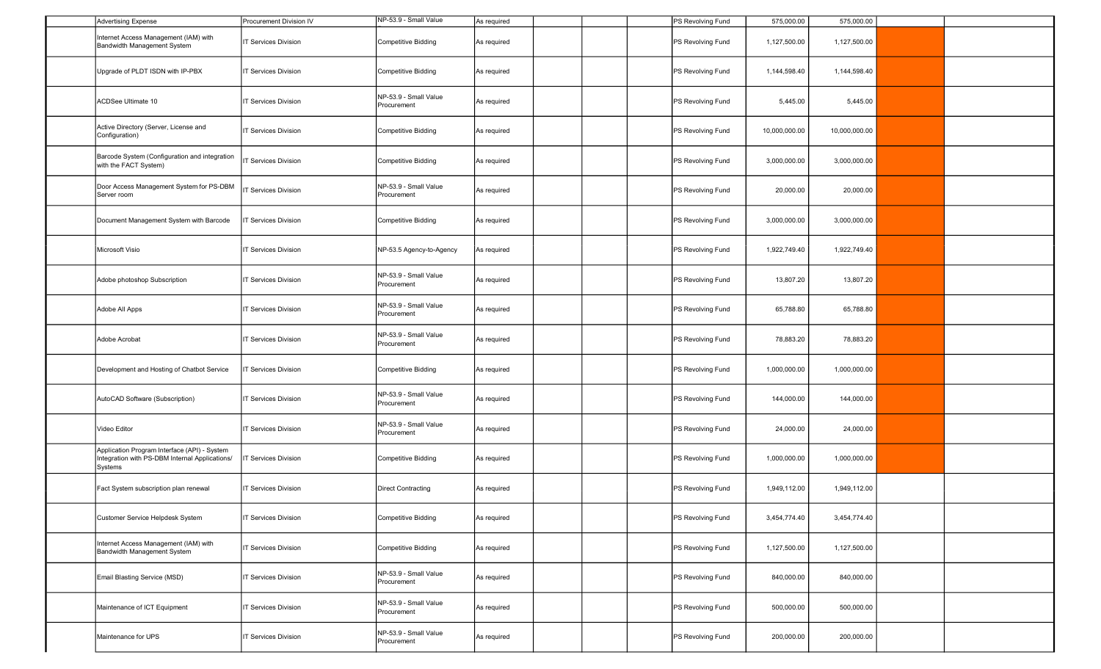| <b>Advertising Expense</b>                                                                                | Procurement Division IV    | NP-53.9 - Small Value                | As required |  | PS Revolving Fund | 575,000.00    | 575,000.00    |  |
|-----------------------------------------------------------------------------------------------------------|----------------------------|--------------------------------------|-------------|--|-------------------|---------------|---------------|--|
| Internet Access Management (IAM) with<br>Bandwidth Management System                                      | <b>T Services Division</b> | Competitive Bidding                  | As required |  | PS Revolving Fund | 1,127,500.00  | 1,127,500.00  |  |
| Upgrade of PLDT ISDN with IP-PBX                                                                          | T Services Division        | Competitive Bidding                  | As required |  | PS Revolving Fund | 1,144,598.40  | 1,144,598.40  |  |
| ACDSee Ultimate 10                                                                                        | <b>T Services Division</b> | NP-53.9 - Small Value<br>Procurement | As required |  | PS Revolving Fund | 5,445.00      | 5,445.00      |  |
| Active Directory (Server, License and<br>Configuration)                                                   | <b>T Services Division</b> | <b>Competitive Bidding</b>           | As required |  | PS Revolving Fund | 10,000,000.00 | 10,000,000.00 |  |
| Barcode System (Configuration and integration<br>with the FACT System)                                    | <b>T Services Division</b> | <b>Competitive Bidding</b>           | As required |  | PS Revolving Fund | 3,000,000.00  | 3,000,000.00  |  |
| Door Access Management System for PS-DBM<br>Server room                                                   | <b>T Services Division</b> | NP-53.9 - Small Value<br>Procurement | As required |  | PS Revolving Fund | 20,000.00     | 20,000.00     |  |
| Document Management System with Barcode                                                                   | <b>T Services Division</b> | <b>Competitive Bidding</b>           | As required |  | PS Revolving Fund | 3,000,000.00  | 3,000,000.00  |  |
| Microsoft Visio                                                                                           | <b>T Services Division</b> | NP-53.5 Agency-to-Agency             | As required |  | PS Revolving Fund | 1,922,749.40  | 1,922,749.40  |  |
| Adobe photoshop Subscription                                                                              | <b>T Services Division</b> | NP-53.9 - Small Value<br>Procurement | As required |  | PS Revolving Fund | 13,807.20     | 13,807.20     |  |
| Adobe All Apps                                                                                            | T Services Division        | NP-53.9 - Small Value<br>Procurement | As required |  | PS Revolving Fund | 65,788.80     | 65,788.80     |  |
| Adobe Acrobat                                                                                             | <b>T Services Division</b> | NP-53.9 - Small Value<br>Procurement | As required |  | PS Revolving Fund | 78,883.20     | 78,883.20     |  |
| Development and Hosting of Chatbot Service                                                                | <b>T Services Division</b> | Competitive Bidding                  | As required |  | PS Revolving Fund | 1,000,000.00  | 1,000,000.00  |  |
| AutoCAD Software (Subscription)                                                                           | <b>T Services Division</b> | NP-53.9 - Small Value<br>Procurement | As required |  | PS Revolving Fund | 144,000.00    | 144,000.00    |  |
| Video Editor                                                                                              | <b>T Services Division</b> | NP-53.9 - Small Value<br>Procurement | As required |  | PS Revolving Fund | 24,000.00     | 24,000.00     |  |
| Application Program Interface (API) - System<br>Integration with PS-DBM Internal Applications/<br>Systems | <b>T Services Division</b> | <b>Competitive Bidding</b>           | As required |  | PS Revolving Fund | 1,000,000.00  | 1,000,000.00  |  |
| Fact System subscription plan renewal                                                                     | <b>T Services Division</b> | <b>Direct Contracting</b>            | As required |  | PS Revolving Fund | 1,949,112.00  | 1,949,112.00  |  |
| Customer Service Helpdesk System                                                                          | <b>T Services Division</b> | <b>Competitive Bidding</b>           | As required |  | PS Revolving Fund | 3,454,774.40  | 3,454,774.40  |  |
| Internet Access Management (IAM) with<br>Bandwidth Management System                                      | <b>T Services Division</b> | <b>Competitive Bidding</b>           | As required |  | PS Revolving Fund | 1,127,500.00  | 1,127,500.00  |  |
| Email Blasting Service (MSD)                                                                              | T Services Division        | NP-53.9 - Small Value<br>Procurement | As required |  | PS Revolving Fund | 840,000.00    | 840,000.00    |  |
| Maintenance of ICT Equipment                                                                              | <b>T Services Division</b> | NP-53.9 - Small Value<br>Procurement | As required |  | PS Revolving Fund | 500,000.00    | 500,000.00    |  |
| Maintenance for UPS                                                                                       | <b>T Services Division</b> | NP-53.9 - Small Value<br>Procurement | As required |  | PS Revolving Fund | 200,000.00    | 200,000.00    |  |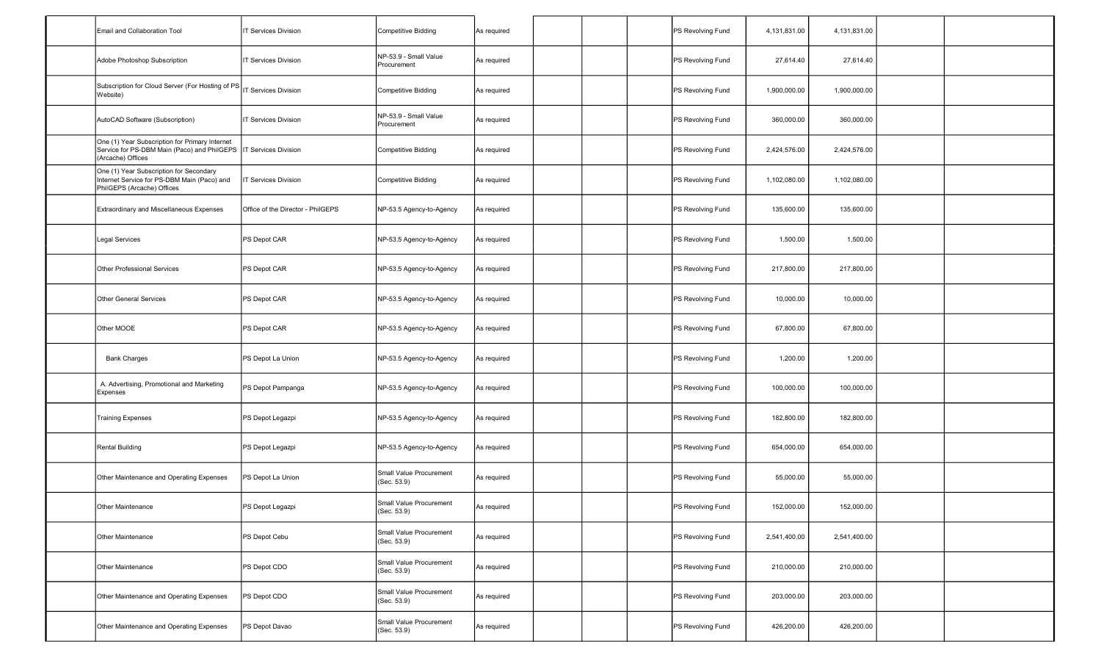| Email and Collaboration Tool                                                                                         | <b>T Services Division</b>        | Competitive Bidding                              | As required        |  | PS Revolving Fund | 4,131,831.00 | 4,131,831.00 |  |
|----------------------------------------------------------------------------------------------------------------------|-----------------------------------|--------------------------------------------------|--------------------|--|-------------------|--------------|--------------|--|
| Adobe Photoshop Subscription                                                                                         | <b>T Services Division</b>        | NP-53.9 - Small Value<br>Procurement             | As required        |  | PS Revolving Fund | 27,614.40    | 27,614.40    |  |
| Website)                                                                                                             | IT Services Division              | Competitive Bidding                              | As required        |  | PS Revolving Fund | 1,900,000.00 | 1,900,000.00 |  |
| AutoCAD Software (Subscription)                                                                                      | IT Services Division              | NP-53.9 - Small Value<br>Procurement             | As required        |  | PS Revolving Fund | 360,000.00   | 360,000.00   |  |
| One (1) Year Subscription for Primary Internet<br>Service for PS-DBM Main (Paco) and PhilGEPS<br>(Arcache) Offices   | <b>T Services Division</b>        | Competitive Bidding                              | As required        |  | PS Revolving Fund | 2,424,576.00 | 2,424,576.00 |  |
| One (1) Year Subscription for Secondary<br>Internet Service for PS-DBM Main (Paco) and<br>PhilGEPS (Arcache) Offices | <b>T Services Division</b>        | <b>Competitive Bidding</b>                       | As required        |  | PS Revolving Fund | 1,102,080.00 | 1,102,080.00 |  |
| Extraordinary and Miscellaneous Expenses                                                                             | Office of the Director - PhilGEPS | NP-53.5 Agency-to-Agency                         | As required        |  | PS Revolving Fund | 135,600.00   | 135,600.00   |  |
| <b>Legal Services</b>                                                                                                | PS Depot CAR                      | NP-53.5 Agency-to-Agency                         | As required        |  | PS Revolving Fund | 1,500.00     | 1,500.00     |  |
| Other Professional Services                                                                                          | PS Depot CAR                      | NP-53.5 Agency-to-Agency                         | As required        |  | PS Revolving Fund | 217,800.00   | 217,800.00   |  |
| <b>Other General Services</b>                                                                                        | PS Depot CAR                      | NP-53.5 Agency-to-Agency                         | As required        |  | PS Revolving Fund | 10,000.00    | 10,000.00    |  |
| Other MOOE                                                                                                           | PS Depot CAR                      | NP-53.5 Agency-to-Agency                         | As required        |  | PS Revolving Fund | 67,800.00    | 67,800.00    |  |
| <b>Bank Charges</b>                                                                                                  | PS Depot La Union                 | NP-53.5 Agency-to-Agency                         | As required        |  | PS Revolving Fund | 1,200.00     | 1,200.00     |  |
| A. Advertising, Promotional and Marketing<br>Expenses                                                                | PS Depot Pampanga                 | NP-53.5 Agency-to-Agency                         | As required        |  | PS Revolving Fund | 100,000.00   | 100,000.00   |  |
| <b>Training Expenses</b>                                                                                             | PS Depot Legazpi                  | NP-53.5 Agency-to-Agency                         | As required        |  | PS Revolving Fund | 182,800.00   | 182,800.00   |  |
| Rental Building                                                                                                      | PS Depot Legazpi                  | NP-53.5 Agency-to-Agency                         | As required        |  | PS Revolving Fund | 654,000.00   | 654,000.00   |  |
| Other Maintenance and Operating Expenses                                                                             | PS Depot La Union                 | Small Value Procurement<br>(Sec. 53.9)           | As required        |  | PS Revolving Fund | 55,000.00    | 55,000.00    |  |
| Other Maintenance                                                                                                    | PS Depot Legazpi                  | Small Value Procurement<br>(Sec. 53.9)           | <b>\s</b> required |  | PS Revolving Fund | 152,000.00   | 152,000.00   |  |
| Other Maintenance                                                                                                    | PS Depot Cebu                     | Small Value Procurement<br>(Sec. 53.9)           | As required        |  | PS Revolving Fund | 2,541,400.00 | 2,541,400.00 |  |
| Other Maintenance                                                                                                    | PS Depot CDO                      | Small Value Procurement<br>(Sec. 53.9)           | As required        |  | PS Revolving Fund | 210,000.00   | 210,000.00   |  |
| Other Maintenance and Operating Expenses                                                                             | PS Depot CDO                      | Small Value Procurement<br>(Sec. 53.9)           | As required        |  | PS Revolving Fund | 203,000.00   | 203,000.00   |  |
| Other Maintenance and Operating Expenses                                                                             | PS Depot Davao                    | Small Value Procurement<br>(Sec. 53.9)           | As required        |  | PS Revolving Fund | 426,200.00   | 426,200.00   |  |
|                                                                                                                      |                                   | Subscription for Cloud Server (For Hosting of PS |                    |  |                   |              |              |  |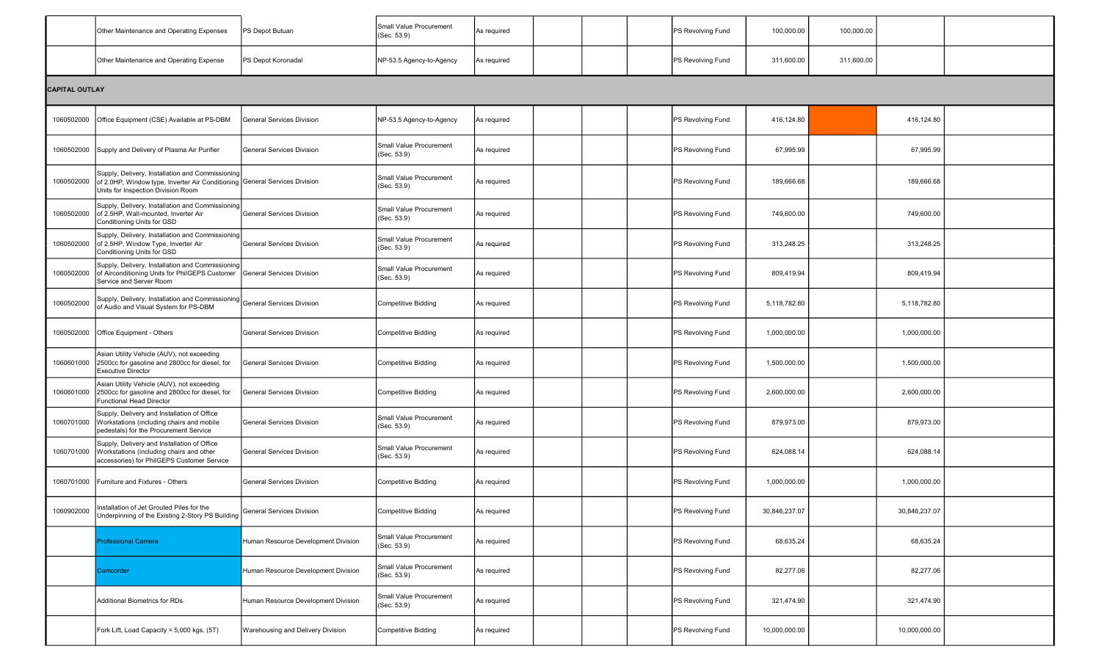|            | Other Maintenance and Operating Expenses                                                                                                                             | PS Depot Butuan                     | Small Value Procurement<br>(Sec. 53.9) | As required |  |  |  | PS Revolving Fund | 100,000.00    | 100,000.00 |               |  |  |  |
|------------|----------------------------------------------------------------------------------------------------------------------------------------------------------------------|-------------------------------------|----------------------------------------|-------------|--|--|--|-------------------|---------------|------------|---------------|--|--|--|
|            | Other Maintenance and Operating Expense                                                                                                                              | PS Depot Koronadal                  | NP-53.5 Agency-to-Agency               | As required |  |  |  | PS Revolving Fund | 311,600.00    | 311,600.00 |               |  |  |  |
|            | <b>CAPITAL OUTLAY</b>                                                                                                                                                |                                     |                                        |             |  |  |  |                   |               |            |               |  |  |  |
| 1060502000 | Office Equipment (CSE) Available at PS-DBM                                                                                                                           | General Services Division           | NP-53.5 Agency-to-Agency               | As required |  |  |  | PS Revolving Fund | 416,124.80    |            | 416,124.80    |  |  |  |
| 1060502000 | Supply and Delivery of Plasma Air Purifier                                                                                                                           | <b>General Services Division</b>    | Small Value Procurement<br>(Sec. 53.9) | As required |  |  |  | PS Revolving Fund | 67,995.99     |            | 67,995.99     |  |  |  |
| 1060502000 | Supply, Delivery, Installation and Commissioning<br>of 2.0HP, Window type, Inverter Air Conditioning General Services Division<br>Units for Inspection Division Room |                                     | Small Value Procurement<br>(Sec. 53.9) | As required |  |  |  | PS Revolving Fund | 189,666.68    |            | 189,666.68    |  |  |  |
| 1060502000 | Supply, Delivery, Installation and Commissioning<br>of 2.5HP, Wall-mounted, Inverter Air<br>Conditioning Units for GSD                                               | General Services Division           | Small Value Procurement<br>(Sec. 53.9) | As required |  |  |  | PS Revolving Fund | 749,600.00    |            | 749,600.00    |  |  |  |
| 1060502000 | Supply, Delivery, Installation and Commissioning<br>of 2.5HP, Window Type, Inverter Air<br>Conditioning Units for GSD                                                | General Services Division           | Small Value Procurement<br>(Sec. 53.9) | As required |  |  |  | PS Revolving Fund | 313,248.25    |            | 313,248.25    |  |  |  |
| 1060502000 | Supply, Delivery, Installation and Commissioning<br>of Airconditioning Units for PhilGEPS Customer<br>Service and Server Room                                        | General Services Division           | Small Value Procurement<br>(Sec. 53.9) | As required |  |  |  | PS Revolving Fund | 809,419.94    |            | 809,419.94    |  |  |  |
| 1060502000 | Supply, Delivery, Installation and Commissioning<br>of Audio and Visual System for PS-DBM                                                                            | General Services Division           | <b>Competitive Bidding</b>             | As required |  |  |  | PS Revolving Fund | 5,118,782.80  |            | 5,118,782.80  |  |  |  |
| 1060502000 | Office Equipment - Others                                                                                                                                            | <b>General Services Division</b>    | Competitive Bidding                    | As required |  |  |  | PS Revolving Fund | 1,000,000.00  |            | 1,000,000.00  |  |  |  |
| 1060601000 | Asian Utility Vehicle (AUV), not exceeding<br>2500cc for gasoline and 2800cc for diesel, for<br><b>Executive Director</b>                                            | <b>General Services Division</b>    | <b>Competitive Bidding</b>             | As required |  |  |  | PS Revolving Fund | 1,500,000.00  |            | 1,500,000.00  |  |  |  |
| 1060601000 | Asian Utility Vehicle (AUV), not exceeding<br>2500cc for gasoline and 2800cc for diesel, for<br>Functional Head Director                                             | General Services Division           | Competitive Bidding                    | As required |  |  |  | PS Revolving Fund | 2,600,000.00  |            | 2,600,000.00  |  |  |  |
| 1060701000 | Supply, Delivery and Installation of Office<br>Workstations (including chairs and mobile<br>pedestals) for the Procurement Service                                   | <b>General Services Division</b>    | Small Value Procurement<br>(Sec. 53.9) | As required |  |  |  | PS Revolving Fund | 879,973.00    |            | 879,973.00    |  |  |  |
| 1060701000 | Supply, Delivery and Installation of Office<br>Workstations (including chairs and other<br>accessories) for PhilGEPS Customer Service                                | <b>General Services Division</b>    | Small Value Procurement<br>(Sec. 53.9) | As required |  |  |  | PS Revolving Fund | 624,088.14    |            | 624,088.14    |  |  |  |
| 1060701000 | Furniture and Fixtures - Others                                                                                                                                      | <b>General Services Division</b>    | <b>Competitive Bidding</b>             | As required |  |  |  | PS Revolving Fund | 1,000,000.00  |            | 1,000,000.00  |  |  |  |
| 1060902000 | Installation of Jet Grouted Piles for the<br>Underpinning of the Existing 2-Story PS Building                                                                        | General Services Division           | <b>Competitive Bidding</b>             | As required |  |  |  | PS Revolving Fund | 30,846,237.07 |            | 30,846,237.07 |  |  |  |
|            | <b>Professional Camera</b>                                                                                                                                           | Human Resource Development Division | Small Value Procurement<br>(Sec. 53.9) | As required |  |  |  | PS Revolving Fund | 68,635.24     |            | 68,635.24     |  |  |  |
|            | Camcorder                                                                                                                                                            | Human Resource Development Division | Small Value Procurement<br>(Sec. 53.9) | As required |  |  |  | PS Revolving Fund | 82,277.06     |            | 82,277.06     |  |  |  |
|            | <b>Additional Biometrics for RDs</b>                                                                                                                                 | Human Resource Development Division | Small Value Procurement<br>(Sec. 53.9) | As required |  |  |  | PS Revolving Fund | 321,474.90    |            | 321,474.90    |  |  |  |
|            | Fork Lift, Load Capacity = 5,000 kgs. (5T)                                                                                                                           | Warehousing and Delivery Division   | <b>Competitive Bidding</b>             | As required |  |  |  | PS Revolving Fund | 10,000,000.00 |            | 10,000,000.00 |  |  |  |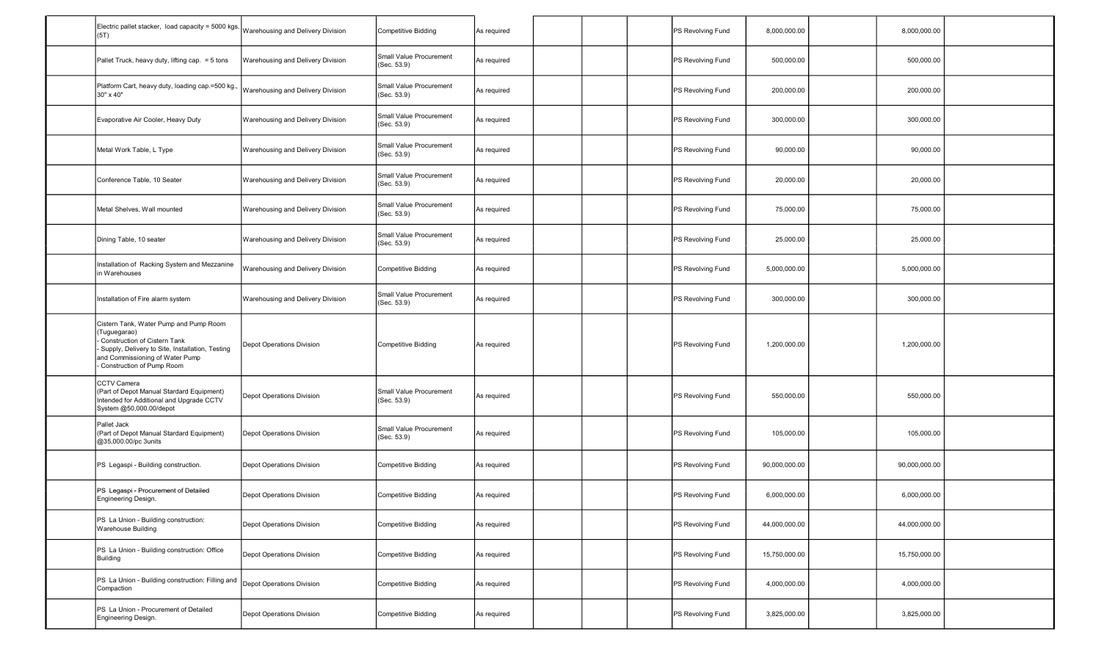| Electric pallet stacker, load capacity = 5000 kgs.<br>(5T)                                                                                                                                                    | Warehousing and Delivery Division | <b>Competitive Bidding</b>             | As required |  | PS Revolving Fund | 8,000,000.00  | 8,000,000.00  |  |
|---------------------------------------------------------------------------------------------------------------------------------------------------------------------------------------------------------------|-----------------------------------|----------------------------------------|-------------|--|-------------------|---------------|---------------|--|
| Pallet Truck, heavy duty, lifting cap. = 5 tons                                                                                                                                                               | Warehousing and Delivery Division | Small Value Procurement<br>(Sec. 53.9) | As required |  | PS Revolving Fund | 500,000.00    | 500,000.00    |  |
| Platform Cart, heavy duty, loading cap.=500 kg.<br>30" x 40"                                                                                                                                                  | Warehousing and Delivery Division | Small Value Procurement<br>(Sec. 53.9) | As required |  | PS Revolving Fund | 200,000.00    | 200,000.00    |  |
| Evaporative Air Cooler, Heavy Duty                                                                                                                                                                            | Warehousing and Delivery Division | Small Value Procurement<br>(Sec. 53.9) | As required |  | PS Revolving Fund | 300,000.00    | 300,000.00    |  |
| Metal Work Table, L Type                                                                                                                                                                                      | Warehousing and Delivery Division | Small Value Procurement<br>(Sec. 53.9) | As required |  | PS Revolving Fund | 90,000.00     | 90,000.00     |  |
| Conference Table, 10 Seater                                                                                                                                                                                   | Warehousing and Delivery Division | Small Value Procurement<br>(Sec. 53.9) | As required |  | PS Revolving Fund | 20,000.00     | 20,000.00     |  |
| Metal Shelves, Wall mounted                                                                                                                                                                                   | Warehousing and Delivery Division | Small Value Procurement<br>(Sec. 53.9) | As required |  | PS Revolving Fund | 75,000.00     | 75,000.00     |  |
| Dining Table, 10 seater                                                                                                                                                                                       | Warehousing and Delivery Division | Small Value Procurement<br>(Sec. 53.9) | As required |  | PS Revolving Fund | 25,000.00     | 25,000.00     |  |
| Installation of Racking System and Mezzanine<br>in Warehouses                                                                                                                                                 | Warehousing and Delivery Division | <b>Competitive Bidding</b>             | As required |  | PS Revolving Fund | 5,000,000.00  | 5,000,000.00  |  |
| Installation of Fire alarm system                                                                                                                                                                             | Warehousing and Delivery Division | Small Value Procurement<br>(Sec. 53.9) | As required |  | PS Revolving Fund | 300,000.00    | 300,000.00    |  |
| Cistern Tank, Water Pump and Pump Room<br>(Tuguegarao)<br>Construction of Cistern Tank<br>- Supply, Delivery to Site, Installation, Testing<br>and Commissioning of Water Pump<br>- Construction of Pump Room | Depot Operations Division         | Competitive Bidding                    | As required |  | PS Revolving Fund | 1,200,000.00  | 1,200,000.00  |  |
| CCTV Camera<br>(Part of Depot Manual Stardard Equipment)<br>Intended for Additional and Upgrade CCTV<br>System @50,000.00/depot                                                                               | Depot Operations Division         | Small Value Procurement<br>(Sec. 53.9) | As required |  | PS Revolving Fund | 550,000.00    | 550,000.00    |  |
| Pallet Jack<br>(Part of Depot Manual Stardard Equipment)<br>@35,000.00/pc 3units                                                                                                                              | Depot Operations Division         | Small Value Procurement<br>(Sec. 53.9) | As required |  | PS Revolving Fund | 105,000.00    | 105,000.00    |  |
| PS Legaspi - Building construction.                                                                                                                                                                           | Depot Operations Division         | <b>Competitive Bidding</b>             | As required |  | PS Revolving Fund | 90,000,000.00 | 90,000,000.00 |  |
| PS Legaspi - Procurement of Detailed<br>Engineering Design.                                                                                                                                                   | Depot Operations Division         | <b>Competitive Bidding</b>             | As required |  | PS Revolving Fund | 6,000,000.00  | 6,000,000.00  |  |
| PS La Union - Building construction:<br><b>Warehouse Building</b>                                                                                                                                             | Depot Operations Division         | <b>Competitive Bidding</b>             | As required |  | PS Revolving Fund | 44,000,000.00 | 44,000,000.00 |  |
| PS La Union - Building construction: Office<br>Building                                                                                                                                                       | Depot Operations Division         | Competitive Bidding                    | As required |  | PS Revolving Fund | 15,750,000.00 | 15,750,000.00 |  |
| PS La Union - Building construction: Filling and<br>Compaction                                                                                                                                                | Depot Operations Division         | <b>Competitive Bidding</b>             | As required |  | PS Revolving Fund | 4,000,000.00  | 4,000,000.00  |  |
| PS La Union - Procurement of Detailed<br>Engineering Design.                                                                                                                                                  | Depot Operations Division         | <b>Competitive Bidding</b>             | As required |  | PS Revolving Fund | 3,825,000.00  | 3,825,000.00  |  |
|                                                                                                                                                                                                               |                                   |                                        |             |  |                   |               |               |  |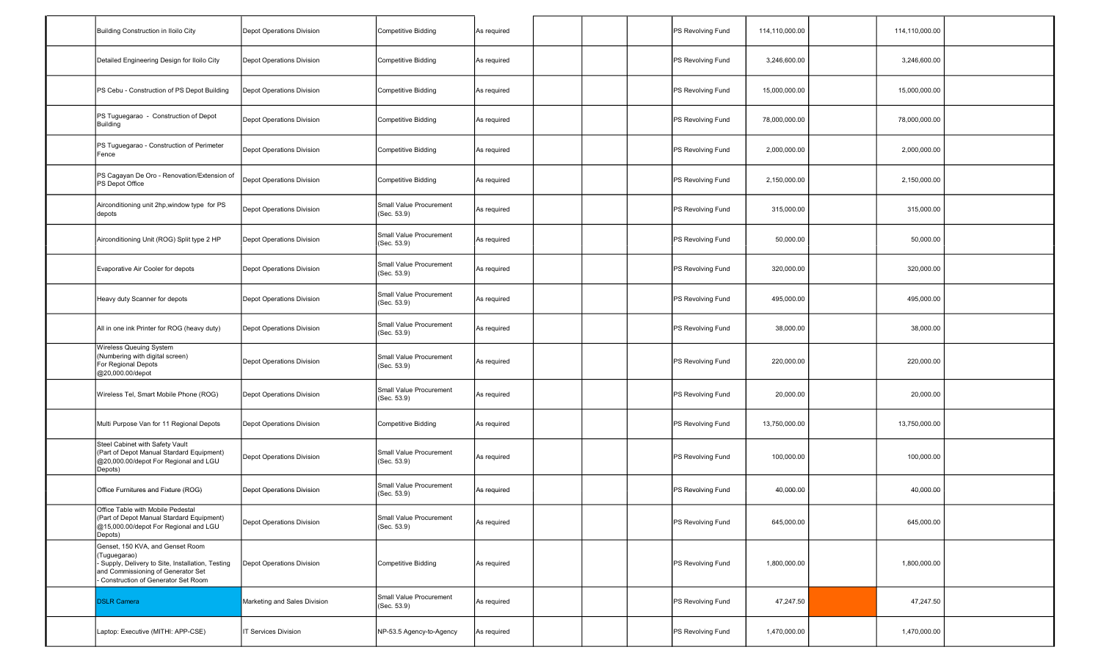| Building Construction in Iloilo City                                                                                                                                              | Depot Operations Division        | <b>Competitive Bidding</b>             | As required |  | PS Revolving Fund | 114,110,000.00 | 114,110,000.00 |  |
|-----------------------------------------------------------------------------------------------------------------------------------------------------------------------------------|----------------------------------|----------------------------------------|-------------|--|-------------------|----------------|----------------|--|
| Detailed Engineering Design for Iloilo City                                                                                                                                       | Depot Operations Division        | <b>Competitive Bidding</b>             | As required |  | PS Revolving Fund | 3,246,600.00   | 3,246,600.00   |  |
| PS Cebu - Construction of PS Depot Building                                                                                                                                       | Depot Operations Division        | <b>Competitive Bidding</b>             | As required |  | PS Revolving Fund | 15,000,000.00  | 15,000,000.00  |  |
| PS Tuguegarao - Construction of Depot<br>Building                                                                                                                                 | Depot Operations Division        | <b>Competitive Bidding</b>             | As required |  | PS Revolving Fund | 78,000,000.00  | 78,000,000.00  |  |
| PS Tuguegarao - Construction of Perimeter<br>Fence                                                                                                                                | Depot Operations Division        | Competitive Bidding                    | As required |  | PS Revolving Fund | 2,000,000.00   | 2,000,000.00   |  |
| PS Cagayan De Oro - Renovation/Extension of<br>PS Depot Office                                                                                                                    | Depot Operations Division        | <b>Competitive Bidding</b>             | As required |  | PS Revolving Fund | 2,150,000.00   | 2,150,000.00   |  |
| Airconditioning unit 2hp, window type for PS<br>depots                                                                                                                            | Depot Operations Division        | Small Value Procurement<br>(Sec. 53.9) | As required |  | PS Revolving Fund | 315,000.00     | 315,000.00     |  |
| Airconditioning Unit (ROG) Split type 2 HP                                                                                                                                        | <b>Depot Operations Division</b> | Small Value Procurement<br>(Sec. 53.9) | As required |  | PS Revolving Fund | 50,000.00      | 50,000.00      |  |
| Evaporative Air Cooler for depots                                                                                                                                                 | Depot Operations Division        | Small Value Procurement<br>(Sec. 53.9) | As required |  | PS Revolving Fund | 320,000.00     | 320,000.00     |  |
| Heavy duty Scanner for depots                                                                                                                                                     | <b>Depot Operations Division</b> | Small Value Procurement<br>(Sec. 53.9) | As required |  | PS Revolving Fund | 495,000.00     | 495,000.00     |  |
| All in one ink Printer for ROG (heavy duty)                                                                                                                                       | <b>Depot Operations Division</b> | Small Value Procurement<br>(Sec. 53.9) | As required |  | PS Revolving Fund | 38,000.00      | 38,000.00      |  |
| Wireless Queuing System<br>(Numbering with digital screen)<br>For Regional Depots<br>@20,000.00/depot                                                                             | Depot Operations Division        | Small Value Procurement<br>(Sec. 53.9) | As required |  | PS Revolving Fund | 220,000.00     | 220,000.00     |  |
| Wireless Tel, Smart Mobile Phone (ROG)                                                                                                                                            | Depot Operations Division        | Small Value Procurement<br>(Sec. 53.9) | As required |  | PS Revolving Fund | 20,000.00      | 20,000.00      |  |
| Multi Purpose Van for 11 Regional Depots                                                                                                                                          | Depot Operations Division        | <b>Competitive Bidding</b>             | As required |  | PS Revolving Fund | 13,750,000.00  | 13,750,000.00  |  |
| Steel Cabinet with Safety Vault<br>(Part of Depot Manual Stardard Equipment)<br>@20,000.00/depot For Regional and LGU<br>Depots)                                                  | Depot Operations Division        | Small Value Procurement<br>(Sec. 53.9) | As required |  | PS Revolving Fund | 100,000.00     | 100,000.00     |  |
| Office Furnitures and Fixture (ROG)                                                                                                                                               | Depot Operations Division        | Small Value Procurement<br>(Sec. 53.9) | As required |  | PS Revolving Fund | 40,000.00      | 40,000.00      |  |
| Office Table with Mobile Pedestal<br>(Part of Depot Manual Stardard Equipment)<br>@15,000.00/depot For Regional and LGU<br>Depots)                                                | Depot Operations Division        | Small Value Procurement<br>(Sec. 53.9) | As required |  | PS Revolving Fund | 645,000.00     | 645,000.00     |  |
| Genset, 150 KVA, and Genset Room<br>(Tuguegarao)<br>- Supply, Delivery to Site, Installation, Testing<br>and Commissioning of Generator Set<br>Construction of Generator Set Room | Depot Operations Division        | <b>Competitive Bidding</b>             | As required |  | PS Revolving Fund | 1,800,000.00   | 1,800,000.00   |  |
| <b>DSLR Camera</b>                                                                                                                                                                | Marketing and Sales Division     | Small Value Procurement<br>(Sec. 53.9) | As required |  | PS Revolving Fund | 47,247.50      | 47,247.50      |  |
| Laptop: Executive (MITHI: APP-CSE)                                                                                                                                                | IT Services Division             | NP-53.5 Agency-to-Agency               | As required |  | PS Revolving Fund | 1,470,000.00   | 1,470,000.00   |  |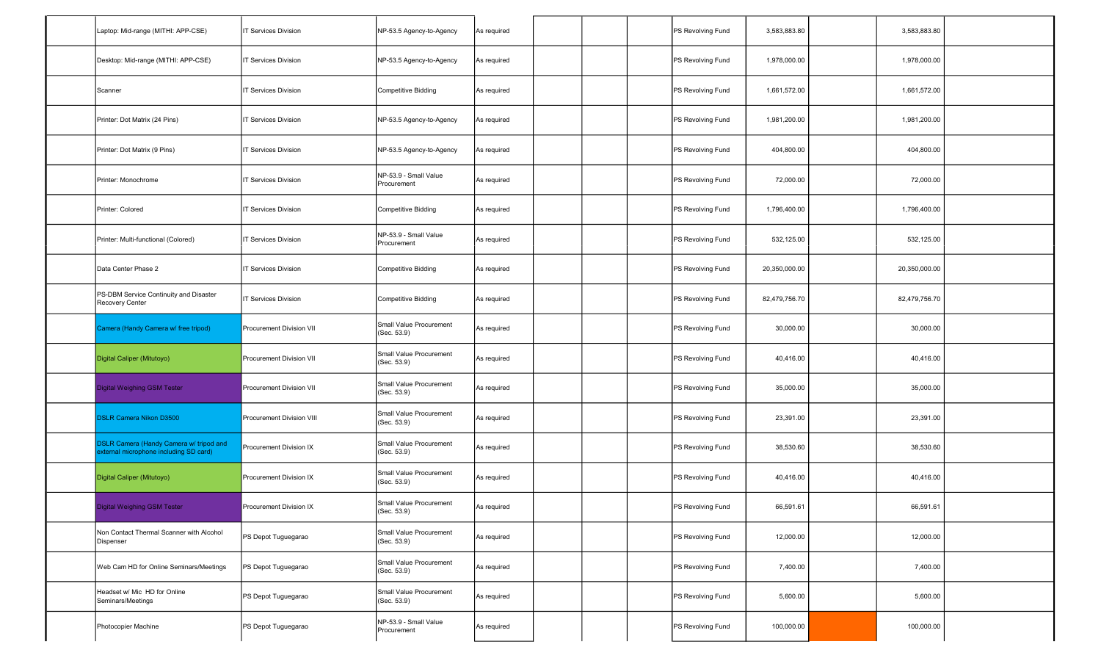| Laptop: Mid-range (MITHI: APP-CSE)                                                | <b>IT Services Division</b> | NP-53.5 Agency-to-Agency               | As required |  | PS Revolving Fund | 3,583,883.80  | 3,583,883.80  |  |
|-----------------------------------------------------------------------------------|-----------------------------|----------------------------------------|-------------|--|-------------------|---------------|---------------|--|
| Desktop: Mid-range (MITHI: APP-CSE)                                               | <b>IT Services Division</b> | NP-53.5 Agency-to-Agency               | As required |  | PS Revolving Fund | 1,978,000.00  | 1,978,000.00  |  |
| Scanner                                                                           | <b>T Services Division</b>  | Competitive Bidding                    | As required |  | PS Revolving Fund | 1,661,572.00  | 1,661,572.00  |  |
| Printer: Dot Matrix (24 Pins)                                                     | <b>T Services Division</b>  | NP-53.5 Agency-to-Agency               | As required |  | PS Revolving Fund | 1,981,200.00  | 1,981,200.00  |  |
| Printer: Dot Matrix (9 Pins)                                                      | <b>T Services Division</b>  | NP-53.5 Agency-to-Agency               | As required |  | PS Revolving Fund | 404,800.00    | 404,800.00    |  |
| Printer: Monochrome                                                               | <b>IT Services Division</b> | NP-53.9 - Small Value<br>Procurement   | As required |  | PS Revolving Fund | 72,000.00     | 72,000.00     |  |
| Printer: Colored                                                                  | <b>T Services Division</b>  | Competitive Bidding                    | As required |  | PS Revolving Fund | 1,796,400.00  | 1,796,400.00  |  |
| Printer: Multi-functional (Colored)                                               | <b>T Services Division</b>  | NP-53.9 - Small Value<br>Procurement   | As required |  | PS Revolving Fund | 532,125.00    | 532,125.00    |  |
| Data Center Phase 2                                                               | <b>T Services Division</b>  | Competitive Bidding                    | As required |  | PS Revolving Fund | 20,350,000.00 | 20,350,000.00 |  |
| PS-DBM Service Continuity and Disaster<br>Recovery Center                         | <b>IT Services Division</b> | Competitive Bidding                    | As required |  | PS Revolving Fund | 82,479,756.70 | 82,479,756.70 |  |
| Camera (Handy Camera w/ free tripod)                                              | Procurement Division VII    | Small Value Procurement<br>(Sec. 53.9) | As required |  | PS Revolving Fund | 30,000.00     | 30,000.00     |  |
| Digital Caliper (Mitutoyo)                                                        | Procurement Division VII    | Small Value Procurement<br>(Sec. 53.9) | As required |  | PS Revolving Fund | 40,416.00     | 40,416.00     |  |
| Digital Weighing GSM Tester                                                       | Procurement Division VII    | Small Value Procurement<br>(Sec. 53.9) | As required |  | PS Revolving Fund | 35,000.00     | 35,000.00     |  |
| <b>DSLR Camera Nikon D3500</b>                                                    | Procurement Division VIII   | Small Value Procurement<br>(Sec. 53.9) | As required |  | PS Revolving Fund | 23,391.00     | 23,391.00     |  |
| DSLR Camera (Handy Camera w/ tripod and<br>external microphone including SD card) | Procurement Division IX     | Small Value Procurement<br>(Sec. 53.9) | As required |  | PS Revolving Fund | 38,530.60     | 38,530.60     |  |
| Digital Caliper (Mitutoyo)                                                        | Procurement Division IX     | Small Value Procurement<br>(Sec. 53.9) | As required |  | PS Revolving Fund | 40,416.00     | 40,416.00     |  |
| Digital Weighing GSM Tester                                                       | Procurement Division IX     | Small Value Procurement<br>(Sec. 53.9) | As required |  | PS Revolving Fund | 66,591.61     | 66,591.61     |  |
| Non Contact Thermal Scanner with Alcohol<br>Dispenser                             | PS Depot Tuguegarao         | Small Value Procurement<br>(Sec. 53.9) | As required |  | PS Revolving Fund | 12,000.00     | 12,000.00     |  |
| Web Cam HD for Online Seminars/Meetings                                           | PS Depot Tuguegarao         | Small Value Procurement<br>(Sec. 53.9) | As required |  | PS Revolving Fund | 7,400.00      | 7,400.00      |  |
| Headset w/ Mic HD for Online<br>Seminars/Meetings                                 | PS Depot Tuguegarao         | Small Value Procurement<br>(Sec. 53.9) | As required |  | PS Revolving Fund | 5,600.00      | 5,600.00      |  |
| Photocopier Machine                                                               | PS Depot Tuguegarao         | NP-53.9 - Small Value<br>Procurement   | As required |  | PS Revolving Fund | 100,000.00    | 100,000.00    |  |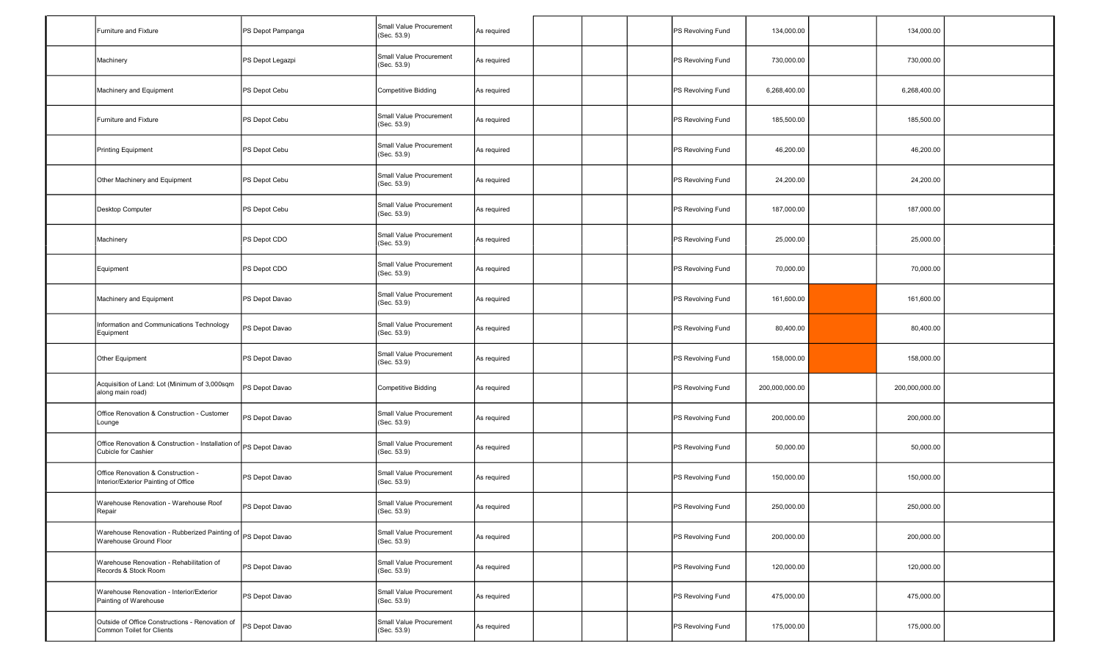| Furniture and Fixture                                                                    | PS Depot Pampanga | Small Value Procurement<br>(Sec. 53.9) | As required |  | PS Revolving Fund | 134,000.00     | 134,000.00     |  |
|------------------------------------------------------------------------------------------|-------------------|----------------------------------------|-------------|--|-------------------|----------------|----------------|--|
| Machinery                                                                                | PS Depot Legazpi  | Small Value Procurement<br>(Sec. 53.9) | As required |  | PS Revolving Fund | 730,000.00     | 730,000.00     |  |
| Machinery and Equipment                                                                  | PS Depot Cebu     | <b>Competitive Bidding</b>             | As required |  | PS Revolving Fund | 6,268,400.00   | 6,268,400.00   |  |
| Furniture and Fixture                                                                    | PS Depot Cebu     | Small Value Procurement<br>(Sec. 53.9) | As required |  | PS Revolving Fund | 185,500.00     | 185,500.00     |  |
| Printing Equipment                                                                       | PS Depot Cebu     | Small Value Procurement<br>(Sec. 53.9) | As required |  | PS Revolving Fund | 46,200.00      | 46,200.00      |  |
| Other Machinery and Equipment                                                            | PS Depot Cebu     | Small Value Procurement<br>(Sec. 53.9) | As required |  | PS Revolving Fund | 24,200.00      | 24,200.00      |  |
| Desktop Computer                                                                         | PS Depot Cebu     | Small Value Procurement<br>(Sec. 53.9) | As required |  | PS Revolving Fund | 187,000.00     | 187,000.00     |  |
| Machinery                                                                                | PS Depot CDO      | Small Value Procurement<br>(Sec. 53.9) | As required |  | PS Revolving Fund | 25,000.00      | 25,000.00      |  |
| Equipment                                                                                | PS Depot CDO      | Small Value Procurement<br>(Sec. 53.9) | As required |  | PS Revolving Fund | 70,000.00      | 70,000.00      |  |
| Machinery and Equipment                                                                  | PS Depot Davao    | Small Value Procurement<br>(Sec. 53.9) | As required |  | PS Revolving Fund | 161,600.00     | 161,600.00     |  |
| Information and Communications Technology<br>Equipment                                   | PS Depot Davao    | Small Value Procurement<br>(Sec. 53.9) | As required |  | PS Revolving Fund | 80,400.00      | 80,400.00      |  |
| Other Equipment                                                                          | PS Depot Davao    | Small Value Procurement<br>(Sec. 53.9) | As required |  | PS Revolving Fund | 158,000.00     | 158,000.00     |  |
| Acquisition of Land: Lot (Minimum of 3,000sqm<br>along main road)                        | PS Depot Davao    | <b>Competitive Bidding</b>             | As required |  | PS Revolving Fund | 200,000,000.00 | 200,000,000.00 |  |
| Office Renovation & Construction - Customer<br>Lounge                                    | PS Depot Davao    | Small Value Procurement<br>(Sec. 53.9) | As required |  | PS Revolving Fund | 200,000.00     | 200,000.00     |  |
| Office Renovation & Construction - Installation of PS Depot Davao<br>Cubicle for Cashier |                   | Small Value Procurement<br>(Sec. 53.9) | As required |  | PS Revolving Fund | 50,000.00      | 50,000.00      |  |
| Office Renovation & Construction -<br>Interior/Exterior Painting of Office               | PS Depot Davao    | Small Value Procurement<br>(Sec. 53.9) | As required |  | PS Revolving Fund | 150,000.00     | 150,000.00     |  |
| Warehouse Renovation - Warehouse Roof<br>Repair                                          | PS Depot Davao    | Small Value Procurement<br>(Sec. 53.9) | As required |  | PS Revolving Fund | 250,000.00     | 250,000.00     |  |
| Warehouse Renovation - Rubberized Painting of PS Depot Davao<br>Warehouse Ground Floor   |                   | Small Value Procurement<br>(Sec. 53.9) | As required |  | PS Revolving Fund | 200,000.00     | 200,000.00     |  |
| Warehouse Renovation - Rehabilitation of<br>Records & Stock Room                         | PS Depot Davao    | Small Value Procurement<br>(Sec. 53.9) | As required |  | PS Revolving Fund | 120,000.00     | 120,000.00     |  |
| Warehouse Renovation - Interior/Exterior<br>Painting of Warehouse                        | PS Depot Davao    | Small Value Procurement<br>(Sec. 53.9) | As required |  | PS Revolving Fund | 475,000.00     | 475,000.00     |  |
| Outside of Office Constructions - Renovation of<br>Common Toilet for Clients             | PS Depot Davao    | Small Value Procurement<br>(Sec. 53.9) | As required |  | PS Revolving Fund | 175,000.00     | 175,000.00     |  |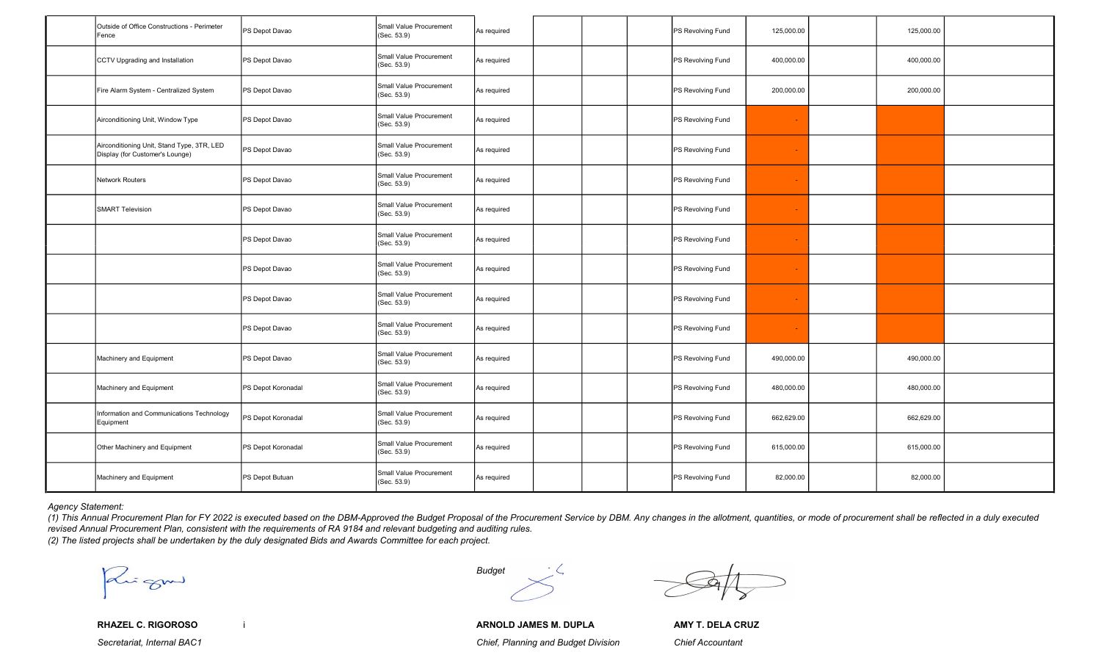| Outside of Office Constructions - Perimeter<br><b>IFence</b>                  | PS Depot Davao     | Small Value Procurement<br>(Sec. 53.9) | As required |  | PS Revolving Fund | 125,000.00     | 125,000.00 |  |
|-------------------------------------------------------------------------------|--------------------|----------------------------------------|-------------|--|-------------------|----------------|------------|--|
| CCTV Upgrading and Installation                                               | PS Depot Davao     | Small Value Procurement<br>(Sec. 53.9) | As required |  | PS Revolving Fund | 400,000.00     | 400,000.00 |  |
| Fire Alarm System - Centralized System                                        | PS Depot Davao     | Small Value Procurement<br>(Sec. 53.9) | As required |  | PS Revolving Fund | 200,000.00     | 200,000.00 |  |
| Airconditioning Unit, Window Type                                             | PS Depot Davao     | Small Value Procurement<br>(Sec. 53.9) | As required |  | PS Revolving Fund | $\sim$         |            |  |
| Airconditioning Unit, Stand Type, 3TR, LED<br>Display (for Customer's Lounge) | PS Depot Davao     | Small Value Procurement<br>(Sec. 53.9) | As required |  | PS Revolving Fund |                |            |  |
| Network Routers                                                               | PS Depot Davao     | Small Value Procurement<br>(Sec. 53.9) | As required |  | PS Revolving Fund | $\blacksquare$ |            |  |
| <b>SMART Television</b>                                                       | PS Depot Davao     | Small Value Procurement<br>(Sec. 53.9) | As required |  | PS Revolving Fund |                |            |  |
|                                                                               | PS Depot Davao     | Small Value Procurement<br>(Sec. 53.9) | As required |  | PS Revolving Fund |                |            |  |
|                                                                               | PS Depot Davao     | Small Value Procurement<br>(Sec. 53.9) | As required |  | PS Revolving Fund | $\sim$         |            |  |
|                                                                               | PS Depot Davao     | Small Value Procurement<br>(Sec. 53.9) | As required |  | PS Revolving Fund |                |            |  |
|                                                                               | PS Depot Davao     | Small Value Procurement<br>(Sec. 53.9) | As required |  | PS Revolving Fund |                |            |  |
| Machinery and Equipment                                                       | PS Depot Davao     | Small Value Procurement<br>(Sec. 53.9) | As required |  | PS Revolving Fund | 490,000.00     | 490,000.00 |  |
| Machinery and Equipment                                                       | PS Depot Koronadal | Small Value Procurement<br>(Sec. 53.9) | As required |  | PS Revolving Fund | 480,000.00     | 480,000.00 |  |
| Information and Communications Technology<br>Equipment                        | PS Depot Koronadal | Small Value Procurement<br>(Sec. 53.9) | As required |  | PS Revolving Fund | 662,629.00     | 662,629.00 |  |
| Other Machinery and Equipment                                                 | PS Depot Koronadal | Small Value Procurement<br>(Sec. 53.9) | As required |  | PS Revolving Fund | 615,000.00     | 615,000.00 |  |
| Machinery and Equipment                                                       | PS Depot Butuan    | Small Value Procurement<br>(Sec. 53.9) | As required |  | PS Revolving Fund | 82,000.00      | 82,000.00  |  |

Agency Statement:

(1) This Annual Procurement Plan for FY 2022 is executed based on the DBM-Approved the Budget Proposal of the Procurement Service by DBM. Any changes in the allotment, quantities, or mode of procurement shall be reflected revised Annual Procurement Plan, consistent with the requirements of RA 9184 and relevant budgeting and auditing rules. (2) The listed projects shall be undertaken by the duly designated Bids and Awards Committee for each project.

Paris grown Budget

RHAZEL C. RIGOROSO i ARNOLD JAMES M. DUPLA AMY T. DELA CRUZ Secretariat, Internal BAC1 Chief, Planning and Budget Division Chief Accountant